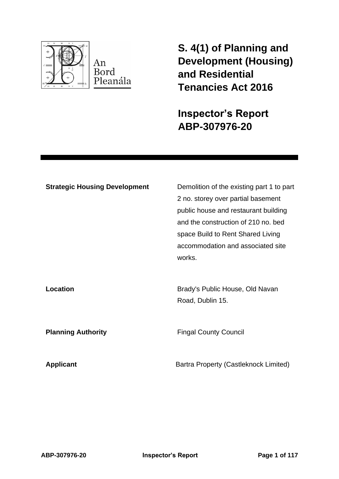

**S. 4(1) of Planning and Development (Housing) and Residential Tenancies Act 2016** 

**Inspector's Report ABP-307976-20**

| <b>Strategic Housing Development</b> | Demolition of the existing part 1 to part<br>2 no. storey over partial basement<br>public house and restaurant building<br>and the construction of 210 no. bed<br>space Build to Rent Shared Living<br>accommodation and associated site<br>works. |
|--------------------------------------|----------------------------------------------------------------------------------------------------------------------------------------------------------------------------------------------------------------------------------------------------|
| Location                             | Brady's Public House, Old Navan<br>Road, Dublin 15.                                                                                                                                                                                                |
| <b>Planning Authority</b>            | <b>Fingal County Council</b>                                                                                                                                                                                                                       |
| <b>Applicant</b>                     | Bartra Property (Castleknock Limited)                                                                                                                                                                                                              |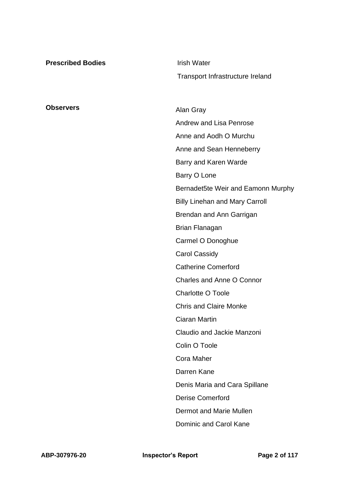| <b>Prescribed Bodies</b> | <b>Irish Water</b>                    |
|--------------------------|---------------------------------------|
|                          | Transport Infrastructure Ireland      |
|                          |                                       |
| <b>Observers</b>         | Alan Gray                             |
|                          | <b>Andrew and Lisa Penrose</b>        |
|                          | Anne and Aodh O Murchu                |
|                          | Anne and Sean Henneberry              |
|                          | Barry and Karen Warde                 |
|                          | Barry O Lone                          |
|                          | Bernadet5te Weir and Eamonn Murphy    |
|                          | <b>Billy Linehan and Mary Carroll</b> |
|                          | Brendan and Ann Garrigan              |
|                          | <b>Brian Flanagan</b>                 |
|                          | Carmel O Donoghue                     |
|                          | <b>Carol Cassidy</b>                  |
|                          | <b>Catherine Comerford</b>            |
|                          | Charles and Anne O Connor             |
|                          | <b>Charlotte O Toole</b>              |
|                          | <b>Chris and Claire Monke</b>         |
|                          | Ciaran Martin                         |
|                          | Claudio and Jackie Manzoni            |
|                          | Colin O Toole                         |
|                          | <b>Cora Maher</b>                     |
|                          | Darren Kane                           |
|                          | Denis Maria and Cara Spillane         |
|                          | <b>Derise Comerford</b>               |
|                          | Dermot and Marie Mullen               |
|                          | Dominic and Carol Kane                |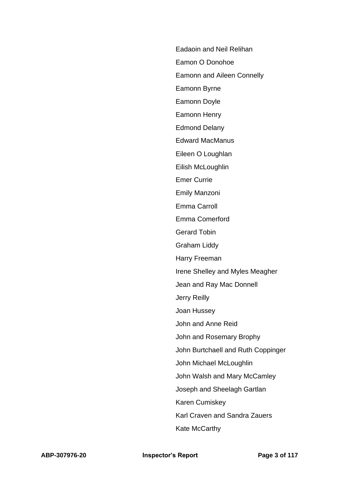Eadaoin and Neil Relihan

Eamon O Donohoe

Eamonn and Aileen Connelly

Eamonn Byrne

Eamonn Doyle

Eamonn Henry

Edmond Delany

Edward MacManus

Eileen O Loughlan

Eilish McLoughlin

Emer Currie

Emily Manzoni

Emma Carroll

Emma Comerford

Gerard Tobin

Graham Liddy

Harry Freeman

Irene Shelley and Myles Meagher

Jean and Ray Mac Donnell

Jerry Reilly

Joan Hussey

John and Anne Reid

John and Rosemary Brophy

John Burtchaell and Ruth Coppinger

John Michael McLoughlin

John Walsh and Mary McCamley

Joseph and Sheelagh Gartlan

Karen Cumiskey

Karl Craven and Sandra Zauers

Kate McCarthy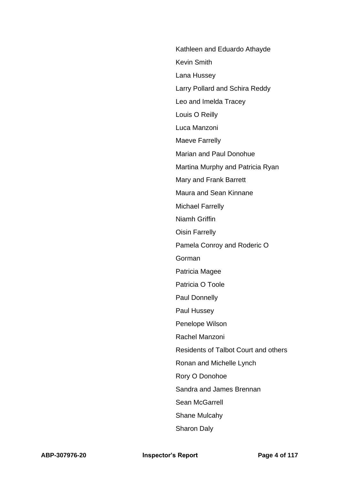Kathleen and Eduardo Athayde Kevin Smith Lana Hussey Larry Pollard and Schira Reddy Leo and Imelda Tracey Louis O Reilly Luca Manzoni Maeve Farrelly Marian and Paul Donohue Martina Murphy and Patricia Ryan Mary and Frank Barrett Maura and Sean Kinnane Michael Farrelly Niamh Griffin Oisin Farrelly Pamela Conroy and Roderic O Gorman Patricia Magee Patricia O Toole Paul Donnelly Paul Hussey Penelope Wilson Rachel Manzoni Residents of Talbot Court and others Ronan and Michelle Lynch Rory O Donohoe Sandra and James Brennan Sean McGarrell Shane Mulcahy Sharon Daly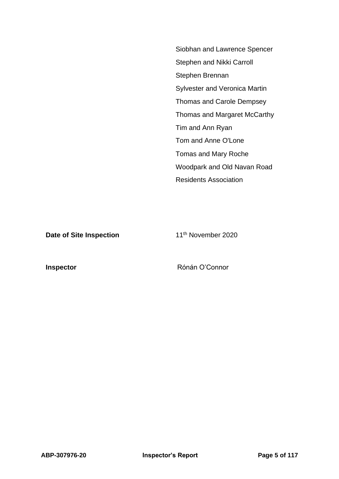Siobhan and Lawrence Spencer Stephen and Nikki Carroll Stephen Brennan Sylvester and Veronica Martin Thomas and Carole Dempsey Thomas and Margaret McCarthy Tim and Ann Ryan Tom and Anne O'Lone Tomas and Mary Roche Woodpark and Old Navan Road Residents Association

**Date of Site Inspection** 11<sup>th</sup> November 2020

**Inspector Connor** Rónán O'Connor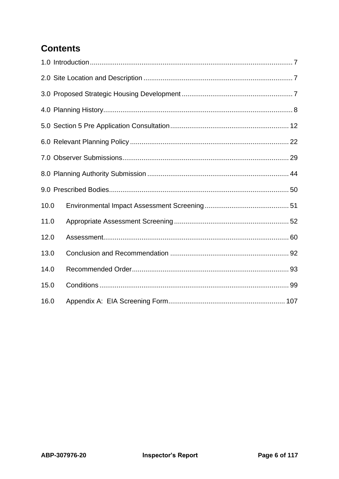# **Contents**

| 10.0 |  |
|------|--|
| 11.0 |  |
| 12.0 |  |
| 13.0 |  |
| 14.0 |  |
| 15.0 |  |
| 16.0 |  |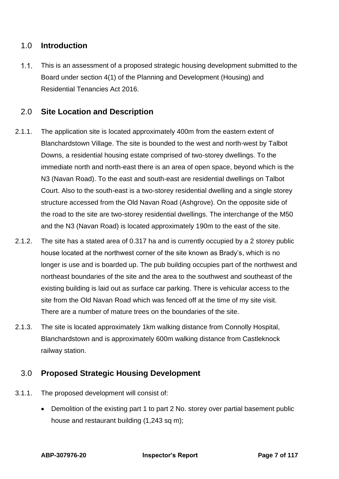# <span id="page-6-0"></span>1.0 **Introduction**

 $1.1.$ This is an assessment of a proposed strategic housing development submitted to the Board under section 4(1) of the Planning and Development (Housing) and Residential Tenancies Act 2016.

# <span id="page-6-1"></span>2.0 **Site Location and Description**

- 2.1.1. The application site is located approximately 400m from the eastern extent of Blanchardstown Village. The site is bounded to the west and north-west by Talbot Downs, a residential housing estate comprised of two-storey dwellings. To the immediate north and north-east there is an area of open space, beyond which is the N3 (Navan Road). To the east and south-east are residential dwellings on Talbot Court. Also to the south-east is a two-storey residential dwelling and a single storey structure accessed from the Old Navan Road (Ashgrove). On the opposite side of the road to the site are two-storey residential dwellings. The interchange of the M50 and the N3 (Navan Road) is located approximately 190m to the east of the site.
- 2.1.2. The site has a stated area of 0.317 ha and is currently occupied by a 2 storey public house located at the northwest corner of the site known as Brady's, which is no longer is use and is boarded up. The pub building occupies part of the northwest and northeast boundaries of the site and the area to the southwest and southeast of the existing building is laid out as surface car parking. There is vehicular access to the site from the Old Navan Road which was fenced off at the time of my site visit. There are a number of mature trees on the boundaries of the site.
- 2.1.3. The site is located approximately 1km walking distance from Connolly Hospital, Blanchardstown and is approximately 600m walking distance from Castleknock railway station.

# <span id="page-6-2"></span>3.0 **Proposed Strategic Housing Development**

- 3.1.1. The proposed development will consist of:
	- Demolition of the existing part 1 to part 2 No. storey over partial basement public house and restaurant building (1,243 sq m);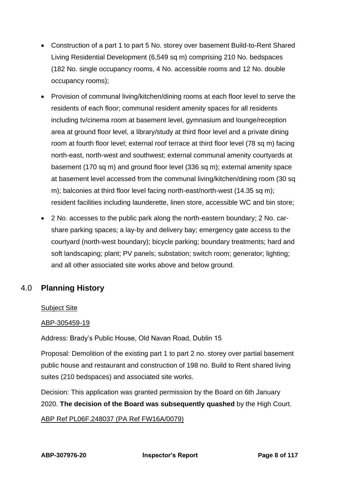- Construction of a part 1 to part 5 No. storey over basement Build-to-Rent Shared Living Residential Development (6,549 sq m) comprising 210 No. bedspaces (182 No. single occupancy rooms, 4 No. accessible rooms and 12 No. double occupancy rooms);
- Provision of communal living/kitchen/dining rooms at each floor level to serve the residents of each floor; communal resident amenity spaces for all residents including tv/cinema room at basement level, gymnasium and lounge/reception area at ground floor level, a library/study at third floor level and a private dining room at fourth floor level; external roof terrace at third floor level (78 sq m) facing north-east, north-west and southwest; external communal amenity courtyards at basement (170 sq m) and ground floor level (336 sq m); external amenity space at basement level accessed from the communal living/kitchen/dining room (30 sq m); balconies at third floor level facing north-east/north-west (14.35 sq m); resident facilities including launderette, linen store, accessible WC and bin store;
- 2 No. accesses to the public park along the north-eastern boundary; 2 No. carshare parking spaces; a lay-by and delivery bay; emergency gate access to the courtyard (north-west boundary); bicycle parking; boundary treatments; hard and soft landscaping; plant; PV panels; substation; switch room; generator; lighting; and all other associated site works above and below ground.

# <span id="page-7-0"></span>4.0 **Planning History**

# Subject Site

# ABP-305459-19

Address: Brady's Public House, Old Navan Road, Dublin 15

Proposal: Demolition of the existing part 1 to part 2 no. storey over partial basement public house and restaurant and construction of 198 no. Build to Rent shared living suites (210 bedspaces) and associated site works.

Decision: This application was granted permission by the Board on 6th January 2020. **The decision of the Board was subsequently quashed** by the High Court.

# ABP Ref PL06F.248037 (PA Ref FW16A/0079)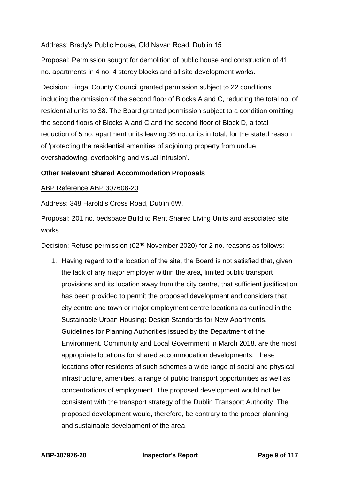# Address: Brady's Public House, Old Navan Road, Dublin 15

Proposal: Permission sought for demolition of public house and construction of 41 no. apartments in 4 no. 4 storey blocks and all site development works.

Decision: Fingal County Council granted permission subject to 22 conditions including the omission of the second floor of Blocks A and C, reducing the total no. of residential units to 38. The Board granted permission subject to a condition omitting the second floors of Blocks A and C and the second floor of Block D, a total reduction of 5 no. apartment units leaving 36 no. units in total, for the stated reason of 'protecting the residential amenities of adjoining property from undue overshadowing, overlooking and visual intrusion'.

# **Other Relevant Shared Accommodation Proposals**

### ABP Reference ABP 307608-20

Address: 348 Harold's Cross Road, Dublin 6W.

Proposal: 201 no. bedspace Build to Rent Shared Living Units and associated site works.

Decision: Refuse permission (02<sup>nd</sup> November 2020) for 2 no. reasons as follows:

1. Having regard to the location of the site, the Board is not satisfied that, given the lack of any major employer within the area, limited public transport provisions and its location away from the city centre, that sufficient justification has been provided to permit the proposed development and considers that city centre and town or major employment centre locations as outlined in the Sustainable Urban Housing: Design Standards for New Apartments, Guidelines for Planning Authorities issued by the Department of the Environment, Community and Local Government in March 2018, are the most appropriate locations for shared accommodation developments. These locations offer residents of such schemes a wide range of social and physical infrastructure, amenities, a range of public transport opportunities as well as concentrations of employment. The proposed development would not be consistent with the transport strategy of the Dublin Transport Authority. The proposed development would, therefore, be contrary to the proper planning and sustainable development of the area.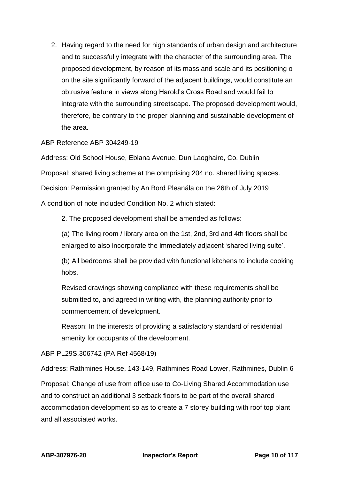2. Having regard to the need for high standards of urban design and architecture and to successfully integrate with the character of the surrounding area. The proposed development, by reason of its mass and scale and its positioning o on the site significantly forward of the adjacent buildings, would constitute an obtrusive feature in views along Harold's Cross Road and would fail to integrate with the surrounding streetscape. The proposed development would, therefore, be contrary to the proper planning and sustainable development of the area.

# ABP Reference ABP 304249-19

Address: Old School House, Eblana Avenue, Dun Laoghaire, Co. Dublin Proposal: shared living scheme at the comprising 204 no. shared living spaces. Decision: Permission granted by An Bord Pleanála on the 26th of July 2019 A condition of note included Condition No. 2 which stated:

2. The proposed development shall be amended as follows:

(a) The living room / library area on the 1st, 2nd, 3rd and 4th floors shall be enlarged to also incorporate the immediately adjacent 'shared living suite'.

(b) All bedrooms shall be provided with functional kitchens to include cooking hobs.

Revised drawings showing compliance with these requirements shall be submitted to, and agreed in writing with, the planning authority prior to commencement of development.

Reason: In the interests of providing a satisfactory standard of residential amenity for occupants of the development.

# ABP PL29S.306742 (PA Ref 4568/19)

Address: Rathmines House, 143-149, Rathmines Road Lower, Rathmines, Dublin 6 Proposal: Change of use from office use to Co-Living Shared Accommodation use and to construct an additional 3 setback floors to be part of the overall shared accommodation development so as to create a 7 storey building with roof top plant and all associated works.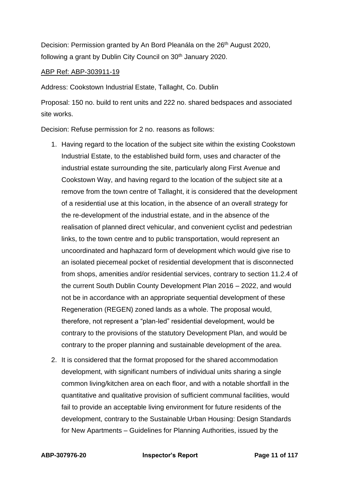Decision: Permission granted by An Bord Pleanála on the 26<sup>th</sup> August 2020, following a grant by Dublin City Council on 30<sup>th</sup> January 2020.

### ABP Ref: ABP-303911-19

Address: Cookstown Industrial Estate, Tallaght, Co. Dublin

Proposal: 150 no. build to rent units and 222 no. shared bedspaces and associated site works.

Decision: Refuse permission for 2 no. reasons as follows:

- 1. Having regard to the location of the subject site within the existing Cookstown Industrial Estate, to the established build form, uses and character of the industrial estate surrounding the site, particularly along First Avenue and Cookstown Way, and having regard to the location of the subject site at a remove from the town centre of Tallaght, it is considered that the development of a residential use at this location, in the absence of an overall strategy for the re-development of the industrial estate, and in the absence of the realisation of planned direct vehicular, and convenient cyclist and pedestrian links, to the town centre and to public transportation, would represent an uncoordinated and haphazard form of development which would give rise to an isolated piecemeal pocket of residential development that is disconnected from shops, amenities and/or residential services, contrary to section 11.2.4 of the current South Dublin County Development Plan 2016 – 2022, and would not be in accordance with an appropriate sequential development of these Regeneration (REGEN) zoned lands as a whole. The proposal would, therefore, not represent a "plan-led" residential development, would be contrary to the provisions of the statutory Development Plan, and would be contrary to the proper planning and sustainable development of the area.
- 2. It is considered that the format proposed for the shared accommodation development, with significant numbers of individual units sharing a single common living/kitchen area on each floor, and with a notable shortfall in the quantitative and qualitative provision of sufficient communal facilities, would fail to provide an acceptable living environment for future residents of the development, contrary to the Sustainable Urban Housing: Design Standards for New Apartments – Guidelines for Planning Authorities, issued by the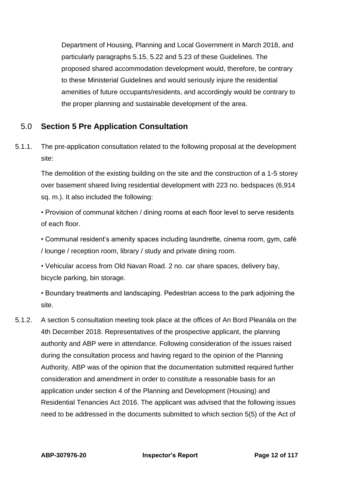Department of Housing, Planning and Local Government in March 2018, and particularly paragraphs 5.15, 5.22 and 5.23 of these Guidelines. The proposed shared accommodation development would, therefore, be contrary to these Ministerial Guidelines and would seriously injure the residential amenities of future occupants/residents, and accordingly would be contrary to the proper planning and sustainable development of the area.

# <span id="page-11-0"></span>5.0 **Section 5 Pre Application Consultation**

5.1.1. The pre-application consultation related to the following proposal at the development site:

The demolition of the existing building on the site and the construction of a 1-5 storey over basement shared living residential development with 223 no. bedspaces (6,914 sq. m.). It also included the following:

• Provision of communal kitchen / dining rooms at each floor level to serve residents of each floor.

• Communal resident's amenity spaces including laundrette, cinema room, gym, café / lounge / reception room, library / study and private dining room.

• Vehicular access from Old Navan Road. 2 no. car share spaces, delivery bay, bicycle parking, bin storage.

• Boundary treatments and landscaping. Pedestrian access to the park adjoining the site.

5.1.2. A section 5 consultation meeting took place at the offices of An Bord Pleanála on the 4th December 2018. Representatives of the prospective applicant, the planning authority and ABP were in attendance. Following consideration of the issues raised during the consultation process and having regard to the opinion of the Planning Authority, ABP was of the opinion that the documentation submitted required further consideration and amendment in order to constitute a reasonable basis for an application under section 4 of the Planning and Development (Housing) and Residential Tenancies Act 2016. The applicant was advised that the following issues need to be addressed in the documents submitted to which section 5(5) of the Act of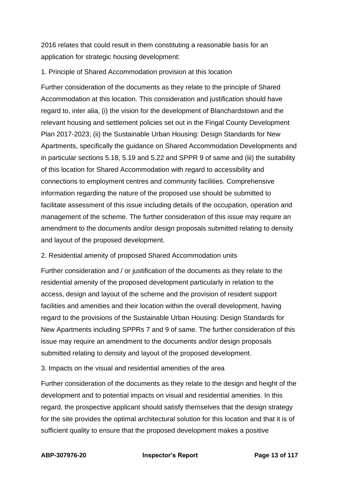2016 relates that could result in them constituting a reasonable basis for an application for strategic housing development:

# 1. Principle of Shared Accommodation provision at this location

Further consideration of the documents as they relate to the principle of Shared Accommodation at this location. This consideration and justification should have regard to, inter alia, (i) the vision for the development of Blanchardstown and the relevant housing and settlement policies set out in the Fingal County Development Plan 2017-2023; (ii) the Sustainable Urban Housing: Design Standards for New Apartments, specifically the guidance on Shared Accommodation Developments and in particular sections 5.18, 5.19 and 5.22 and SPPR 9 of same and (iii) the suitability of this location for Shared Accommodation with regard to accessibility and connections to employment centres and community facilities. Comprehensive information regarding the nature of the proposed use should be submitted to facilitate assessment of this issue including details of the occupation, operation and management of the scheme. The further consideration of this issue may require an amendment to the documents and/or design proposals submitted relating to density and layout of the proposed development.

# 2. Residential amenity of proposed Shared Accommodation units

Further consideration and / or justification of the documents as they relate to the residential amenity of the proposed development particularly in relation to the access, design and layout of the scheme and the provision of resident support facilities and amenities and their location within the overall development, having regard to the provisions of the Sustainable Urban Housing: Design Standards for New Apartments including SPPRs 7 and 9 of same. The further consideration of this issue may require an amendment to the documents and/or design proposals submitted relating to density and layout of the proposed development.

3. Impacts on the visual and residential amenities of the area

Further consideration of the documents as they relate to the design and height of the development and to potential impacts on visual and residential amenities. In this regard, the prospective applicant should satisfy themselves that the design strategy for the site provides the optimal architectural solution for this location and that it is of sufficient quality to ensure that the proposed development makes a positive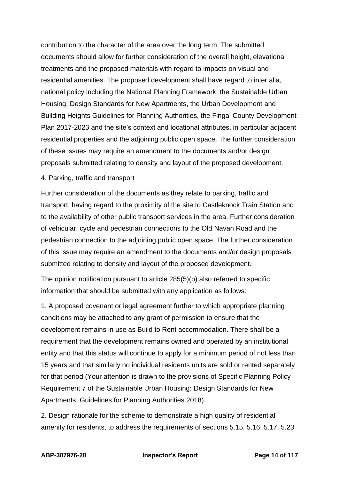contribution to the character of the area over the long term. The submitted documents should allow for further consideration of the overall height, elevational treatments and the proposed materials with regard to impacts on visual and residential amenities. The proposed development shall have regard to inter alia, national policy including the National Planning Framework, the Sustainable Urban Housing: Design Standards for New Apartments, the Urban Development and Building Heights Guidelines for Planning Authorities, the Fingal County Development Plan 2017-2023 and the site's context and locational attributes, in particular adjacent residential properties and the adjoining public open space. The further consideration of these issues may require an amendment to the documents and/or design proposals submitted relating to density and layout of the proposed development.

### 4. Parking, traffic and transport

Further consideration of the documents as they relate to parking, traffic and transport, having regard to the proximity of the site to Castleknock Train Station and to the availability of other public transport services in the area. Further consideration of vehicular, cycle and pedestrian connections to the Old Navan Road and the pedestrian connection to the adjoining public open space. The further consideration of this issue may require an amendment to the documents and/or design proposals submitted relating to density and layout of the proposed development.

The opinion notification pursuant to article 285(5)(b) also referred to specific information that should be submitted with any application as follows:

1. A proposed covenant or legal agreement further to which appropriate planning conditions may be attached to any grant of permission to ensure that the development remains in use as Build to Rent accommodation. There shall be a requirement that the development remains owned and operated by an institutional entity and that this status will continue to apply for a minimum period of not less than 15 years and that similarly no individual residents units are sold or rented separately for that period (Your attention is drawn to the provisions of Specific Planning Policy Requirement 7 of the Sustainable Urban Housing: Design Standards for New Apartments, Guidelines for Planning Authorities 2018).

2. Design rationale for the scheme to demonstrate a high quality of residential amenity for residents, to address the requirements of sections 5.15, 5.16, 5.17, 5.23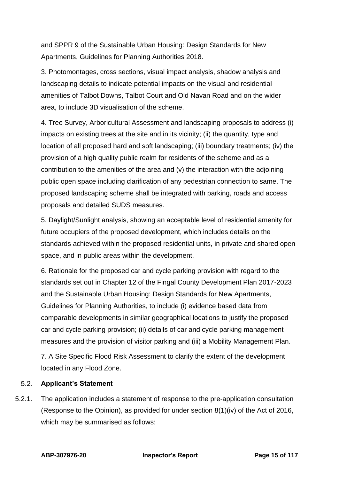and SPPR 9 of the Sustainable Urban Housing: Design Standards for New Apartments, Guidelines for Planning Authorities 2018.

3. Photomontages, cross sections, visual impact analysis, shadow analysis and landscaping details to indicate potential impacts on the visual and residential amenities of Talbot Downs, Talbot Court and Old Navan Road and on the wider area, to include 3D visualisation of the scheme.

4. Tree Survey, Arboricultural Assessment and landscaping proposals to address (i) impacts on existing trees at the site and in its vicinity; (ii) the quantity, type and location of all proposed hard and soft landscaping; (iii) boundary treatments; (iv) the provision of a high quality public realm for residents of the scheme and as a contribution to the amenities of the area and (v) the interaction with the adjoining public open space including clarification of any pedestrian connection to same. The proposed landscaping scheme shall be integrated with parking, roads and access proposals and detailed SUDS measures.

5. Daylight/Sunlight analysis, showing an acceptable level of residential amenity for future occupiers of the proposed development, which includes details on the standards achieved within the proposed residential units, in private and shared open space, and in public areas within the development.

6. Rationale for the proposed car and cycle parking provision with regard to the standards set out in Chapter 12 of the Fingal County Development Plan 2017-2023 and the Sustainable Urban Housing: Design Standards for New Apartments, Guidelines for Planning Authorities, to include (i) evidence based data from comparable developments in similar geographical locations to justify the proposed car and cycle parking provision; (ii) details of car and cycle parking management measures and the provision of visitor parking and (iii) a Mobility Management Plan.

7. A Site Specific Flood Risk Assessment to clarify the extent of the development located in any Flood Zone.

#### $5.2$ **Applicant's Statement**

5.2.1. The application includes a statement of response to the pre-application consultation (Response to the Opinion), as provided for under section 8(1)(iv) of the Act of 2016, which may be summarised as follows: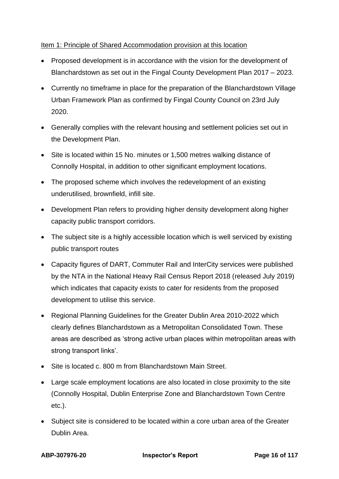# Item 1: Principle of Shared Accommodation provision at this location

- Proposed development is in accordance with the vision for the development of Blanchardstown as set out in the Fingal County Development Plan 2017 – 2023.
- Currently no timeframe in place for the preparation of the Blanchardstown Village Urban Framework Plan as confirmed by Fingal County Council on 23rd July 2020.
- Generally complies with the relevant housing and settlement policies set out in the Development Plan.
- Site is located within 15 No. minutes or 1,500 metres walking distance of Connolly Hospital, in addition to other significant employment locations.
- The proposed scheme which involves the redevelopment of an existing underutilised, brownfield, infill site.
- Development Plan refers to providing higher density development along higher capacity public transport corridors.
- The subject site is a highly accessible location which is well serviced by existing public transport routes
- Capacity figures of DART, Commuter Rail and InterCity services were published by the NTA in the National Heavy Rail Census Report 2018 (released July 2019) which indicates that capacity exists to cater for residents from the proposed development to utilise this service.
- Regional Planning Guidelines for the Greater Dublin Area 2010-2022 which clearly defines Blanchardstown as a Metropolitan Consolidated Town. These areas are described as 'strong active urban places within metropolitan areas with strong transport links'.
- Site is located c. 800 m from Blanchardstown Main Street.
- Large scale employment locations are also located in close proximity to the site (Connolly Hospital, Dublin Enterprise Zone and Blanchardstown Town Centre etc.).
- Subject site is considered to be located within a core urban area of the Greater Dublin Area.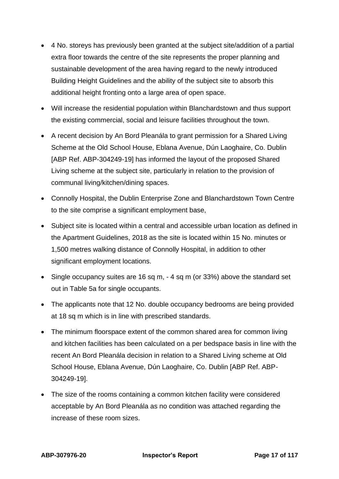- 4 No. storeys has previously been granted at the subject site/addition of a partial extra floor towards the centre of the site represents the proper planning and sustainable development of the area having regard to the newly introduced Building Height Guidelines and the ability of the subject site to absorb this additional height fronting onto a large area of open space.
- Will increase the residential population within Blanchardstown and thus support the existing commercial, social and leisure facilities throughout the town.
- A recent decision by An Bord Pleanála to grant permission for a Shared Living Scheme at the Old School House, Eblana Avenue, Dún Laoghaire, Co. Dublin [ABP Ref. ABP-304249-19] has informed the layout of the proposed Shared Living scheme at the subject site, particularly in relation to the provision of communal living/kitchen/dining spaces.
- Connolly Hospital, the Dublin Enterprise Zone and Blanchardstown Town Centre to the site comprise a significant employment base,
- Subject site is located within a central and accessible urban location as defined in the Apartment Guidelines, 2018 as the site is located within 15 No. minutes or 1,500 metres walking distance of Connolly Hospital, in addition to other significant employment locations.
- Single occupancy suites are 16 sq m, 4 sq m (or 33%) above the standard set out in Table 5a for single occupants.
- The applicants note that 12 No. double occupancy bedrooms are being provided at 18 sq m which is in line with prescribed standards.
- The minimum floorspace extent of the common shared area for common living and kitchen facilities has been calculated on a per bedspace basis in line with the recent An Bord Pleanála decision in relation to a Shared Living scheme at Old School House, Eblana Avenue, Dún Laoghaire, Co. Dublin [ABP Ref. ABP-304249-19].
- The size of the rooms containing a common kitchen facility were considered acceptable by An Bord Pleanála as no condition was attached regarding the increase of these room sizes.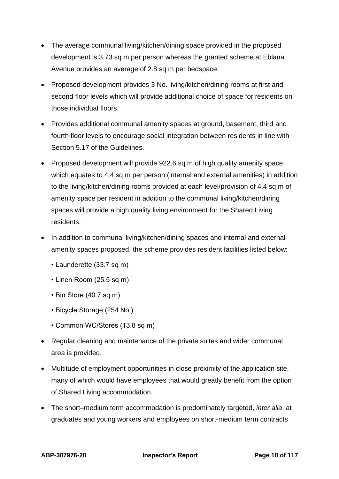- The average communal living/kitchen/dining space provided in the proposed development is 3.73 sq m per person whereas the granted scheme at Eblana Avenue provides an average of 2.8 sq m per bedspace.
- Proposed development provides 3 No. living/kitchen/dining rooms at first and second floor levels which will provide additional choice of space for residents on those individual floors.
- Provides additional communal amenity spaces at ground, basement, third and fourth floor levels to encourage social integration between residents in line with Section 5.17 of the Guidelines.
- Proposed development will provide 922.6 sq m of high quality amenity space which equates to 4.4 sq m per person (internal and external amenities) in addition to the living/kitchen/dining rooms provided at each level/provision of 4.4 sq m of amenity space per resident in addition to the communal living/kitchen/dining spaces will provide a high quality living environment for the Shared Living residents.
- In addition to communal living/kitchen/dining spaces and internal and external amenity spaces proposed, the scheme provides resident facilities listed below:
	- Launderette (33.7 sq m)
	- Linen Room (25.5 sq m)
	- Bin Store (40.7 sq m)
	- Bicycle Storage (254 No.)
	- Common WC/Stores (13.8 sq m)
- Regular cleaning and maintenance of the private suites and wider communal area is provided.
- Multitude of employment opportunities in close proximity of the application site, many of which would have employees that would greatly benefit from the option of Shared Living accommodation.
- The short–medium term accommodation is predominately targeted, *inter alia*, at graduates and young workers and employees on short-medium term contracts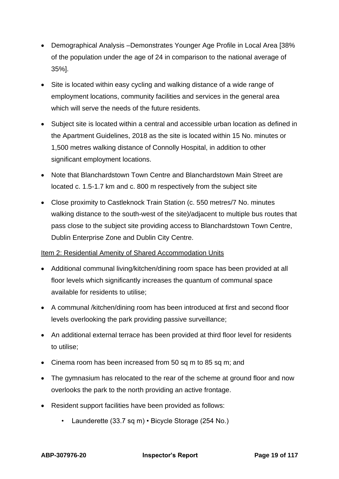- Demographical Analysis –Demonstrates Younger Age Profile in Local Area [38% of the population under the age of 24 in comparison to the national average of 35%].
- Site is located within easy cycling and walking distance of a wide range of employment locations, community facilities and services in the general area which will serve the needs of the future residents.
- Subject site is located within a central and accessible urban location as defined in the Apartment Guidelines, 2018 as the site is located within 15 No. minutes or 1,500 metres walking distance of Connolly Hospital, in addition to other significant employment locations.
- Note that Blanchardstown Town Centre and Blanchardstown Main Street are located c. 1.5-1.7 km and c. 800 m respectively from the subject site
- Close proximity to Castleknock Train Station (c. 550 metres/7 No. minutes walking distance to the south-west of the site)/adjacent to multiple bus routes that pass close to the subject site providing access to Blanchardstown Town Centre, Dublin Enterprise Zone and Dublin City Centre.

# Item 2: Residential Amenity of Shared Accommodation Units

- Additional communal living/kitchen/dining room space has been provided at all floor levels which significantly increases the quantum of communal space available for residents to utilise;
- A communal /kitchen/dining room has been introduced at first and second floor levels overlooking the park providing passive surveillance;
- An additional external terrace has been provided at third floor level for residents to utilise;
- Cinema room has been increased from 50 sq m to 85 sq m; and
- The gymnasium has relocated to the rear of the scheme at ground floor and now overlooks the park to the north providing an active frontage.
- Resident support facilities have been provided as follows:
	- Launderette (33.7 sq m) Bicycle Storage (254 No.)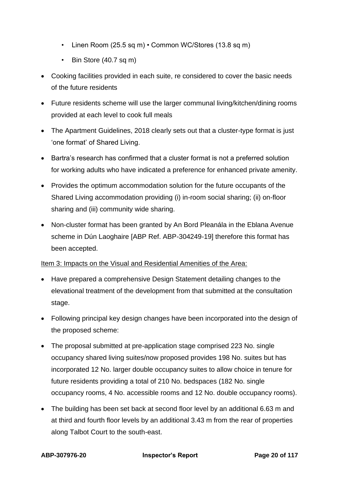- Linen Room (25.5 sq m) Common WC/Stores (13.8 sq m)
- Bin Store (40.7 sq m)
- Cooking facilities provided in each suite, re considered to cover the basic needs of the future residents
- Future residents scheme will use the larger communal living/kitchen/dining rooms provided at each level to cook full meals
- The Apartment Guidelines, 2018 clearly sets out that a cluster-type format is just 'one format' of Shared Living.
- Bartra's research has confirmed that a cluster format is not a preferred solution for working adults who have indicated a preference for enhanced private amenity.
- Provides the optimum accommodation solution for the future occupants of the Shared Living accommodation providing (i) in-room social sharing; (ii) on-floor sharing and (iii) community wide sharing.
- Non-cluster format has been granted by An Bord Pleanála in the Eblana Avenue scheme in Dún Laoghaire [ABP Ref. ABP-304249-19] therefore this format has been accepted.

# Item 3: Impacts on the Visual and Residential Amenities of the Area:

- Have prepared a comprehensive Design Statement detailing changes to the elevational treatment of the development from that submitted at the consultation stage.
- Following principal key design changes have been incorporated into the design of the proposed scheme:
- The proposal submitted at pre-application stage comprised 223 No. single occupancy shared living suites/now proposed provides 198 No. suites but has incorporated 12 No. larger double occupancy suites to allow choice in tenure for future residents providing a total of 210 No. bedspaces (182 No. single occupancy rooms, 4 No. accessible rooms and 12 No. double occupancy rooms).
- The building has been set back at second floor level by an additional 6.63 m and at third and fourth floor levels by an additional 3.43 m from the rear of properties along Talbot Court to the south-east.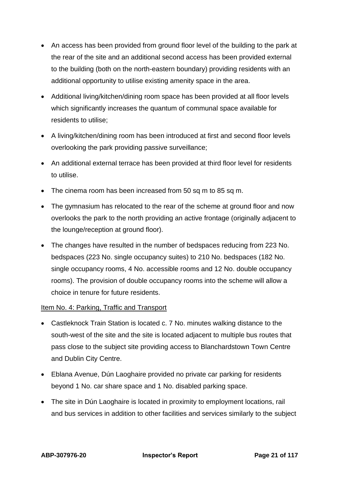- An access has been provided from ground floor level of the building to the park at the rear of the site and an additional second access has been provided external to the building (both on the north-eastern boundary) providing residents with an additional opportunity to utilise existing amenity space in the area.
- Additional living/kitchen/dining room space has been provided at all floor levels which significantly increases the quantum of communal space available for residents to utilise;
- A living/kitchen/dining room has been introduced at first and second floor levels overlooking the park providing passive surveillance;
- An additional external terrace has been provided at third floor level for residents to utilise.
- The cinema room has been increased from 50 sq m to 85 sq m.
- The gymnasium has relocated to the rear of the scheme at ground floor and now overlooks the park to the north providing an active frontage (originally adjacent to the lounge/reception at ground floor).
- The changes have resulted in the number of bedspaces reducing from 223 No. bedspaces (223 No. single occupancy suites) to 210 No. bedspaces (182 No. single occupancy rooms, 4 No. accessible rooms and 12 No. double occupancy rooms). The provision of double occupancy rooms into the scheme will allow a choice in tenure for future residents.

# Item No. 4: Parking, Traffic and Transport

- Castleknock Train Station is located c. 7 No. minutes walking distance to the south-west of the site and the site is located adjacent to multiple bus routes that pass close to the subject site providing access to Blanchardstown Town Centre and Dublin City Centre.
- Eblana Avenue, Dún Laoghaire provided no private car parking for residents beyond 1 No. car share space and 1 No. disabled parking space.
- The site in Dún Laoghaire is located in proximity to employment locations, rail and bus services in addition to other facilities and services similarly to the subject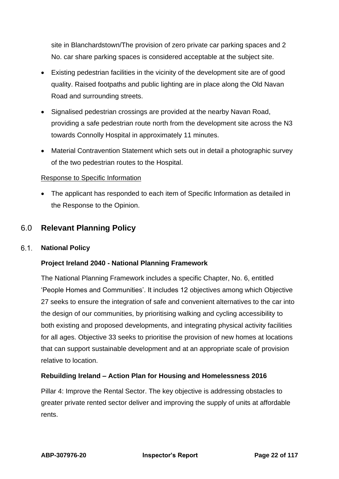site in Blanchardstown/The provision of zero private car parking spaces and 2 No. car share parking spaces is considered acceptable at the subject site.

- Existing pedestrian facilities in the vicinity of the development site are of good quality. Raised footpaths and public lighting are in place along the Old Navan Road and surrounding streets.
- Signalised pedestrian crossings are provided at the nearby Navan Road, providing a safe pedestrian route north from the development site across the N3 towards Connolly Hospital in approximately 11 minutes.
- Material Contravention Statement which sets out in detail a photographic survey of the two pedestrian routes to the Hospital.

# Response to Specific Information

• The applicant has responded to each item of Specific Information as detailed in the Response to the Opinion.

# <span id="page-21-0"></span>6.0 **Relevant Planning Policy**

#### $6.1.$ **National Policy**

# **Project Ireland 2040 - National Planning Framework**

The National Planning Framework includes a specific Chapter, No. 6, entitled 'People Homes and Communities'. It includes 12 objectives among which Objective 27 seeks to ensure the integration of safe and convenient alternatives to the car into the design of our communities, by prioritising walking and cycling accessibility to both existing and proposed developments, and integrating physical activity facilities for all ages. Objective 33 seeks to prioritise the provision of new homes at locations that can support sustainable development and at an appropriate scale of provision relative to location.

# **Rebuilding Ireland – Action Plan for Housing and Homelessness 2016**

Pillar 4: Improve the Rental Sector. The key objective is addressing obstacles to greater private rented sector deliver and improving the supply of units at affordable rents.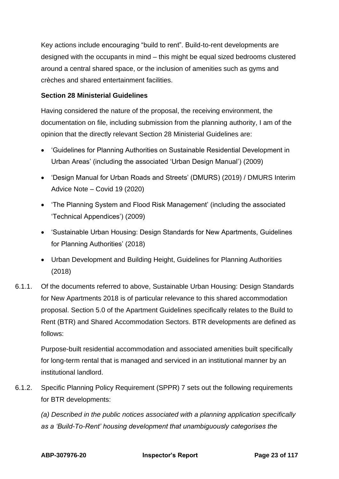Key actions include encouraging "build to rent". Build-to-rent developments are designed with the occupants in mind – this might be equal sized bedrooms clustered around a central shared space, or the inclusion of amenities such as gyms and crèches and shared entertainment facilities.

# **Section 28 Ministerial Guidelines**

Having considered the nature of the proposal, the receiving environment, the documentation on file, including submission from the planning authority, I am of the opinion that the directly relevant Section 28 Ministerial Guidelines are:

- 'Guidelines for Planning Authorities on Sustainable Residential Development in Urban Areas' (including the associated 'Urban Design Manual') (2009)
- 'Design Manual for Urban Roads and Streets' (DMURS) (2019) / DMURS Interim Advice Note – Covid 19 (2020)
- 'The Planning System and Flood Risk Management' (including the associated 'Technical Appendices') (2009)
- 'Sustainable Urban Housing: Design Standards for New Apartments, Guidelines for Planning Authorities' (2018)
- Urban Development and Building Height, Guidelines for Planning Authorities (2018)
- 6.1.1. Of the documents referred to above, Sustainable Urban Housing: Design Standards for New Apartments 2018 is of particular relevance to this shared accommodation proposal. Section 5.0 of the Apartment Guidelines specifically relates to the Build to Rent (BTR) and Shared Accommodation Sectors. BTR developments are defined as follows:

Purpose-built residential accommodation and associated amenities built specifically for long-term rental that is managed and serviced in an institutional manner by an institutional landlord.

6.1.2. Specific Planning Policy Requirement (SPPR) 7 sets out the following requirements for BTR developments:

*(a) Described in the public notices associated with a planning application specifically as a 'Build-To-Rent' housing development that unambiguously categorises the*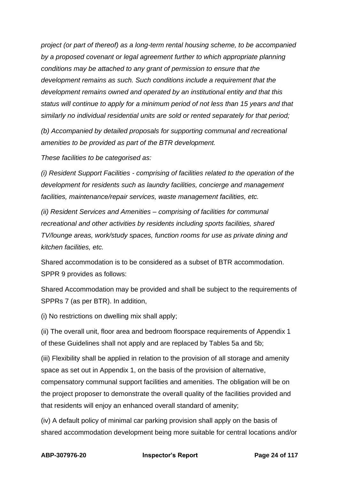*project (or part of thereof) as a long-term rental housing scheme, to be accompanied by a proposed covenant or legal agreement further to which appropriate planning conditions may be attached to any grant of permission to ensure that the development remains as such. Such conditions include a requirement that the development remains owned and operated by an institutional entity and that this status will continue to apply for a minimum period of not less than 15 years and that similarly no individual residential units are sold or rented separately for that period;*

*(b) Accompanied by detailed proposals for supporting communal and recreational amenities to be provided as part of the BTR development.*

*These facilities to be categorised as:*

*(i) Resident Support Facilities - comprising of facilities related to the operation of the development for residents such as laundry facilities, concierge and management facilities, maintenance/repair services, waste management facilities, etc.*

*(ii) Resident Services and Amenities – comprising of facilities for communal recreational and other activities by residents including sports facilities, shared TV/lounge areas, work/study spaces, function rooms for use as private dining and kitchen facilities, etc.*

Shared accommodation is to be considered as a subset of BTR accommodation. SPPR 9 provides as follows:

Shared Accommodation may be provided and shall be subject to the requirements of SPPRs 7 (as per BTR). In addition,

(i) No restrictions on dwelling mix shall apply;

(ii) The overall unit, floor area and bedroom floorspace requirements of Appendix 1 of these Guidelines shall not apply and are replaced by Tables 5a and 5b;

(iii) Flexibility shall be applied in relation to the provision of all storage and amenity space as set out in Appendix 1, on the basis of the provision of alternative, compensatory communal support facilities and amenities. The obligation will be on the project proposer to demonstrate the overall quality of the facilities provided and that residents will enjoy an enhanced overall standard of amenity;

(iv) A default policy of minimal car parking provision shall apply on the basis of shared accommodation development being more suitable for central locations and/or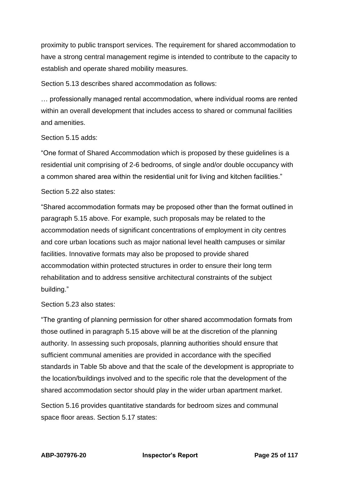proximity to public transport services. The requirement for shared accommodation to have a strong central management regime is intended to contribute to the capacity to establish and operate shared mobility measures.

Section 5.13 describes shared accommodation as follows:

… professionally managed rental accommodation, where individual rooms are rented within an overall development that includes access to shared or communal facilities and amenities.

#### Section 5.15 adds:

"One format of Shared Accommodation which is proposed by these guidelines is a residential unit comprising of 2-6 bedrooms, of single and/or double occupancy with a common shared area within the residential unit for living and kitchen facilities."

### Section 5.22 also states:

"Shared accommodation formats may be proposed other than the format outlined in paragraph 5.15 above. For example, such proposals may be related to the accommodation needs of significant concentrations of employment in city centres and core urban locations such as major national level health campuses or similar facilities. Innovative formats may also be proposed to provide shared accommodation within protected structures in order to ensure their long term rehabilitation and to address sensitive architectural constraints of the subject building."

# Section 5.23 also states:

"The granting of planning permission for other shared accommodation formats from those outlined in paragraph 5.15 above will be at the discretion of the planning authority. In assessing such proposals, planning authorities should ensure that sufficient communal amenities are provided in accordance with the specified standards in Table 5b above and that the scale of the development is appropriate to the location/buildings involved and to the specific role that the development of the shared accommodation sector should play in the wider urban apartment market.

Section 5.16 provides quantitative standards for bedroom sizes and communal space floor areas. Section 5.17 states: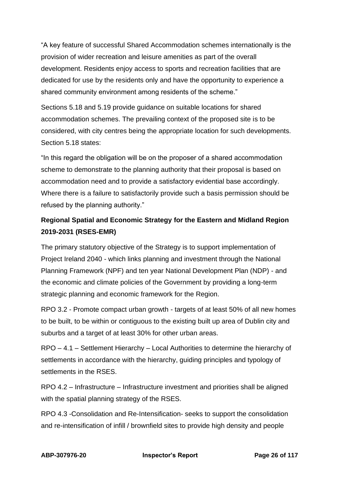"A key feature of successful Shared Accommodation schemes internationally is the provision of wider recreation and leisure amenities as part of the overall development. Residents enjoy access to sports and recreation facilities that are dedicated for use by the residents only and have the opportunity to experience a shared community environment among residents of the scheme."

Sections 5.18 and 5.19 provide guidance on suitable locations for shared accommodation schemes. The prevailing context of the proposed site is to be considered, with city centres being the appropriate location for such developments. Section 5.18 states:

"In this regard the obligation will be on the proposer of a shared accommodation scheme to demonstrate to the planning authority that their proposal is based on accommodation need and to provide a satisfactory evidential base accordingly. Where there is a failure to satisfactorily provide such a basis permission should be refused by the planning authority."

# **Regional Spatial and Economic Strategy for the Eastern and Midland Region 2019-2031 (RSES-EMR)**

The primary statutory objective of the Strategy is to support implementation of Project Ireland 2040 - which links planning and investment through the National Planning Framework (NPF) and ten year National Development Plan (NDP) - and the economic and climate policies of the Government by providing a long-term strategic planning and economic framework for the Region.

RPO 3.2 - Promote compact urban growth - targets of at least 50% of all new homes to be built, to be within or contiguous to the existing built up area of Dublin city and suburbs and a target of at least 30% for other urban areas.

RPO – 4.1 – Settlement Hierarchy – Local Authorities to determine the hierarchy of settlements in accordance with the hierarchy, guiding principles and typology of settlements in the RSES.

RPO 4.2 – Infrastructure – Infrastructure investment and priorities shall be aligned with the spatial planning strategy of the RSES.

RPO 4.3 -Consolidation and Re-Intensification- seeks to support the consolidation and re-intensification of infill / brownfield sites to provide high density and people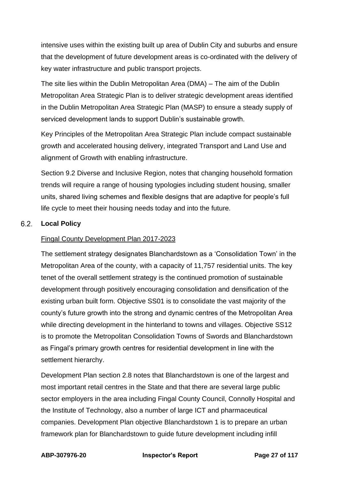intensive uses within the existing built up area of Dublin City and suburbs and ensure that the development of future development areas is co-ordinated with the delivery of key water infrastructure and public transport projects.

The site lies within the Dublin Metropolitan Area (DMA) – The aim of the Dublin Metropolitan Area Strategic Plan is to deliver strategic development areas identified in the Dublin Metropolitan Area Strategic Plan (MASP) to ensure a steady supply of serviced development lands to support Dublin's sustainable growth.

Key Principles of the Metropolitan Area Strategic Plan include compact sustainable growth and accelerated housing delivery, integrated Transport and Land Use and alignment of Growth with enabling infrastructure.

Section 9.2 Diverse and Inclusive Region, notes that changing household formation trends will require a range of housing typologies including student housing, smaller units, shared living schemes and flexible designs that are adaptive for people's full life cycle to meet their housing needs today and into the future.

#### $6.2.$ **Local Policy**

# Fingal County Development Plan 2017-2023

The settlement strategy designates Blanchardstown as a 'Consolidation Town' in the Metropolitan Area of the county, with a capacity of 11,757 residential units. The key tenet of the overall settlement strategy is the continued promotion of sustainable development through positively encouraging consolidation and densification of the existing urban built form. Objective SS01 is to consolidate the vast majority of the county's future growth into the strong and dynamic centres of the Metropolitan Area while directing development in the hinterland to towns and villages. Objective SS12 is to promote the Metropolitan Consolidation Towns of Swords and Blanchardstown as Fingal's primary growth centres for residential development in line with the settlement hierarchy.

Development Plan section 2.8 notes that Blanchardstown is one of the largest and most important retail centres in the State and that there are several large public sector employers in the area including Fingal County Council, Connolly Hospital and the Institute of Technology, also a number of large ICT and pharmaceutical companies. Development Plan objective Blanchardstown 1 is to prepare an urban framework plan for Blanchardstown to guide future development including infill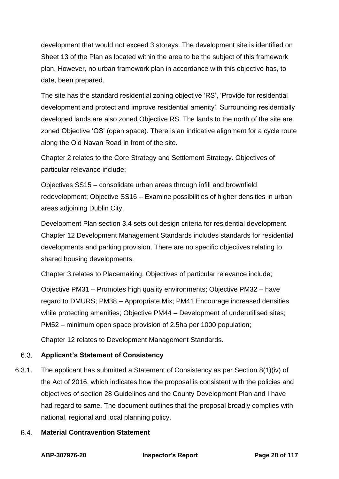development that would not exceed 3 storeys. The development site is identified on Sheet 13 of the Plan as located within the area to be the subject of this framework plan. However, no urban framework plan in accordance with this objective has, to date, been prepared.

The site has the standard residential zoning objective 'RS', 'Provide for residential development and protect and improve residential amenity'. Surrounding residentially developed lands are also zoned Objective RS. The lands to the north of the site are zoned Objective 'OS' (open space). There is an indicative alignment for a cycle route along the Old Navan Road in front of the site.

Chapter 2 relates to the Core Strategy and Settlement Strategy. Objectives of particular relevance include;

Objectives SS15 – consolidate urban areas through infill and brownfield redevelopment; Objective SS16 – Examine possibilities of higher densities in urban areas adjoining Dublin City.

Development Plan section 3.4 sets out design criteria for residential development. Chapter 12 Development Management Standards includes standards for residential developments and parking provision. There are no specific objectives relating to shared housing developments.

Chapter 3 relates to Placemaking. Objectives of particular relevance include;

Objective PM31 – Promotes high quality environments; Objective PM32 – have regard to DMURS; PM38 – Appropriate Mix; PM41 Encourage increased densities while protecting amenities; Objective PM44 – Development of underutilised sites; PM52 – minimum open space provision of 2.5ha per 1000 population;

Chapter 12 relates to Development Management Standards.

#### $6.3.$ **Applicant's Statement of Consistency**

6.3.1. The applicant has submitted a Statement of Consistency as per Section 8(1)(iv) of the Act of 2016, which indicates how the proposal is consistent with the policies and objectives of section 28 Guidelines and the County Development Plan and I have had regard to same. The document outlines that the proposal broadly complies with national, regional and local planning policy.

#### $6.4.$ **Material Contravention Statement**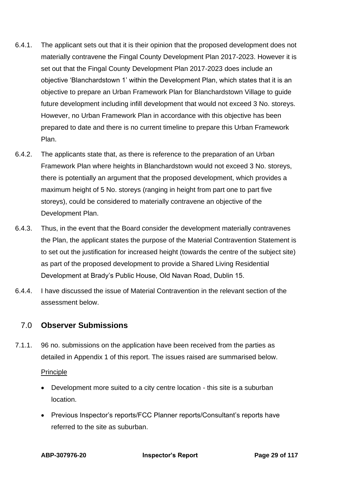- 6.4.1. The applicant sets out that it is their opinion that the proposed development does not materially contravene the Fingal County Development Plan 2017-2023. However it is set out that the Fingal County Development Plan 2017-2023 does include an objective 'Blanchardstown 1' within the Development Plan, which states that it is an objective to prepare an Urban Framework Plan for Blanchardstown Village to guide future development including infill development that would not exceed 3 No. storeys. However, no Urban Framework Plan in accordance with this objective has been prepared to date and there is no current timeline to prepare this Urban Framework Plan.
- 6.4.2. The applicants state that, as there is reference to the preparation of an Urban Framework Plan where heights in Blanchardstown would not exceed 3 No. storeys, there is potentially an argument that the proposed development, which provides a maximum height of 5 No. storeys (ranging in height from part one to part five storeys), could be considered to materially contravene an objective of the Development Plan.
- 6.4.3. Thus, in the event that the Board consider the development materially contravenes the Plan, the applicant states the purpose of the Material Contravention Statement is to set out the justification for increased height (towards the centre of the subject site) as part of the proposed development to provide a Shared Living Residential Development at Brady's Public House, Old Navan Road, Dublin 15.
- 6.4.4. I have discussed the issue of Material Contravention in the relevant section of the assessment below.

# <span id="page-28-0"></span>7.0 **Observer Submissions**

7.1.1. 96 no. submissions on the application have been received from the parties as detailed in Appendix 1 of this report. The issues raised are summarised below.

# Principle

- Development more suited to a city centre location this site is a suburban location.
- Previous Inspector's reports/FCC Planner reports/Consultant's reports have referred to the site as suburban.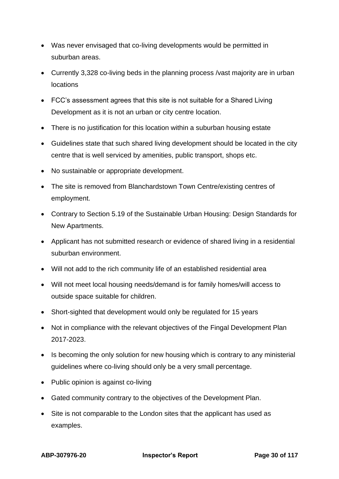- Was never envisaged that co-living developments would be permitted in suburban areas.
- Currently 3,328 co-living beds in the planning process /vast majority are in urban locations
- FCC's assessment agrees that this site is not suitable for a Shared Living Development as it is not an urban or city centre location.
- There is no justification for this location within a suburban housing estate
- Guidelines state that such shared living development should be located in the city centre that is well serviced by amenities, public transport, shops etc.
- No sustainable or appropriate development.
- The site is removed from Blanchardstown Town Centre/existing centres of employment.
- Contrary to Section 5.19 of the Sustainable Urban Housing: Design Standards for New Apartments.
- Applicant has not submitted research or evidence of shared living in a residential suburban environment.
- Will not add to the rich community life of an established residential area
- Will not meet local housing needs/demand is for family homes/will access to outside space suitable for children.
- Short-sighted that development would only be regulated for 15 years
- Not in compliance with the relevant objectives of the Fingal Development Plan 2017-2023.
- Is becoming the only solution for new housing which is contrary to any ministerial guidelines where co-living should only be a very small percentage.
- Public opinion is against co-living
- Gated community contrary to the objectives of the Development Plan.
- Site is not comparable to the London sites that the applicant has used as examples.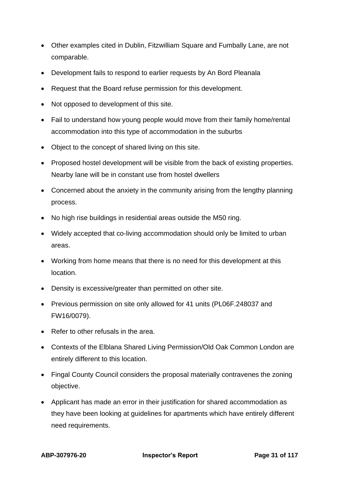- Other examples cited in Dublin, Fitzwilliam Square and Fumbally Lane, are not comparable.
- Development fails to respond to earlier requests by An Bord Pleanala
- Request that the Board refuse permission for this development.
- Not opposed to development of this site.
- Fail to understand how young people would move from their family home/rental accommodation into this type of accommodation in the suburbs
- Object to the concept of shared living on this site.
- Proposed hostel development will be visible from the back of existing properties. Nearby lane will be in constant use from hostel dwellers
- Concerned about the anxiety in the community arising from the lengthy planning process.
- No high rise buildings in residential areas outside the M50 ring.
- Widely accepted that co-living accommodation should only be limited to urban areas.
- Working from home means that there is no need for this development at this location.
- Density is excessive/greater than permitted on other site.
- Previous permission on site only allowed for 41 units (PL06F.248037 and FW16/0079).
- Refer to other refusals in the area.
- Contexts of the Elblana Shared Living Permission/Old Oak Common London are entirely different to this location.
- Fingal County Council considers the proposal materially contravenes the zoning objective.
- Applicant has made an error in their justification for shared accommodation as they have been looking at guidelines for apartments which have entirely different need requirements.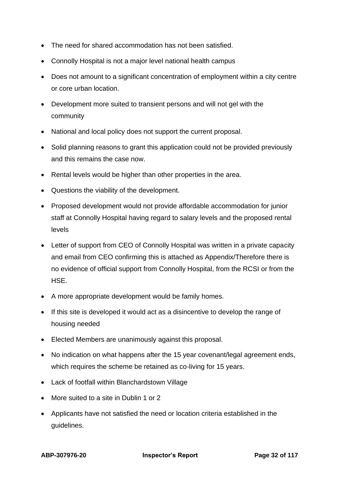- The need for shared accommodation has not been satisfied.
- Connolly Hospital is not a major level national health campus
- Does not amount to a significant concentration of employment within a city centre or core urban location.
- Development more suited to transient persons and will not gel with the community
- National and local policy does not support the current proposal.
- Solid planning reasons to grant this application could not be provided previously and this remains the case now.
- Rental levels would be higher than other properties in the area.
- Questions the viability of the development.
- Proposed development would not provide affordable accommodation for junior staff at Connolly Hospital having regard to salary levels and the proposed rental levels
- Letter of support from CEO of Connolly Hospital was written in a private capacity and email from CEO confirming this is attached as Appendix/Therefore there is no evidence of official support from Connolly Hospital, from the RCSI or from the **HSF**
- A more appropriate development would be family homes.
- If this site is developed it would act as a disincentive to develop the range of housing needed
- Elected Members are unanimously against this proposal.
- No indication on what happens after the 15 year covenant/legal agreement ends, which requires the scheme be retained as co-living for 15 years.
- Lack of footfall within Blanchardstown Village
- More suited to a site in Dublin 1 or 2
- Applicants have not satisfied the need or location criteria established in the guidelines.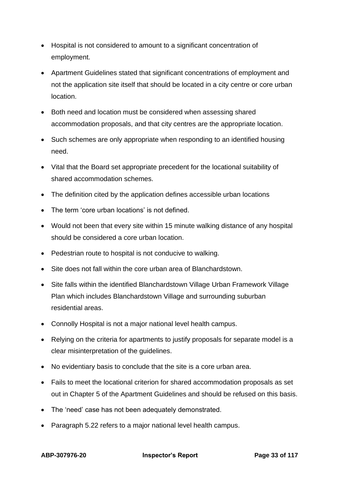- Hospital is not considered to amount to a significant concentration of employment.
- Apartment Guidelines stated that significant concentrations of employment and not the application site itself that should be located in a city centre or core urban location.
- Both need and location must be considered when assessing shared accommodation proposals, and that city centres are the appropriate location.
- Such schemes are only appropriate when responding to an identified housing need.
- Vital that the Board set appropriate precedent for the locational suitability of shared accommodation schemes.
- The definition cited by the application defines accessible urban locations
- The term 'core urban locations' is not defined.
- Would not been that every site within 15 minute walking distance of any hospital should be considered a core urban location.
- Pedestrian route to hospital is not conducive to walking.
- Site does not fall within the core urban area of Blanchardstown.
- Site falls within the identified Blanchardstown Village Urban Framework Village Plan which includes Blanchardstown Village and surrounding suburban residential areas.
- Connolly Hospital is not a major national level health campus.
- Relying on the criteria for apartments to justify proposals for separate model is a clear misinterpretation of the guidelines.
- No evidentiary basis to conclude that the site is a core urban area.
- Fails to meet the locational criterion for shared accommodation proposals as set out in Chapter 5 of the Apartment Guidelines and should be refused on this basis.
- The 'need' case has not been adequately demonstrated.
- Paragraph 5.22 refers to a major national level health campus.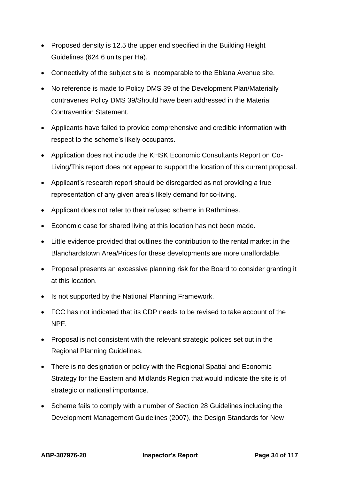- Proposed density is 12.5 the upper end specified in the Building Height Guidelines (624.6 units per Ha).
- Connectivity of the subject site is incomparable to the Eblana Avenue site.
- No reference is made to Policy DMS 39 of the Development Plan/Materially contravenes Policy DMS 39/Should have been addressed in the Material Contravention Statement.
- Applicants have failed to provide comprehensive and credible information with respect to the scheme's likely occupants.
- Application does not include the KHSK Economic Consultants Report on Co-Living/This report does not appear to support the location of this current proposal.
- Applicant's research report should be disregarded as not providing a true representation of any given area's likely demand for co-living.
- Applicant does not refer to their refused scheme in Rathmines.
- Economic case for shared living at this location has not been made.
- Little evidence provided that outlines the contribution to the rental market in the Blanchardstown Area/Prices for these developments are more unaffordable.
- Proposal presents an excessive planning risk for the Board to consider granting it at this location.
- Is not supported by the National Planning Framework.
- FCC has not indicated that its CDP needs to be revised to take account of the NPF.
- Proposal is not consistent with the relevant strategic polices set out in the Regional Planning Guidelines.
- There is no designation or policy with the Regional Spatial and Economic Strategy for the Eastern and Midlands Region that would indicate the site is of strategic or national importance.
- Scheme fails to comply with a number of Section 28 Guidelines including the Development Management Guidelines (2007), the Design Standards for New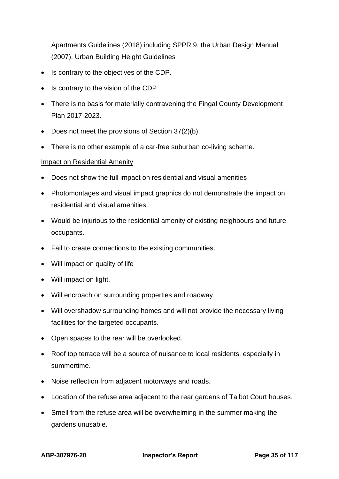Apartments Guidelines (2018) including SPPR 9, the Urban Design Manual (2007), Urban Building Height Guidelines

- Is contrary to the objectives of the CDP.
- Is contrary to the vision of the CDP
- There is no basis for materially contravening the Fingal County Development Plan 2017-2023.
- Does not meet the provisions of Section 37(2)(b).
- There is no other example of a car-free suburban co-living scheme.

### Impact on Residential Amenity

- Does not show the full impact on residential and visual amenities
- Photomontages and visual impact graphics do not demonstrate the impact on residential and visual amenities.
- Would be injurious to the residential amenity of existing neighbours and future occupants.
- Fail to create connections to the existing communities.
- Will impact on quality of life
- Will impact on light.
- Will encroach on surrounding properties and roadway.
- Will overshadow surrounding homes and will not provide the necessary living facilities for the targeted occupants.
- Open spaces to the rear will be overlooked.
- Roof top terrace will be a source of nuisance to local residents, especially in summertime.
- Noise reflection from adjacent motorways and roads.
- Location of the refuse area adjacent to the rear gardens of Talbot Court houses.
- Smell from the refuse area will be overwhelming in the summer making the gardens unusable.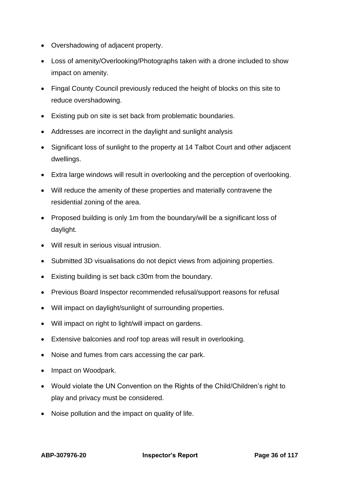- Overshadowing of adjacent property.
- Loss of amenity/Overlooking/Photographs taken with a drone included to show impact on amenity.
- Fingal County Council previously reduced the height of blocks on this site to reduce overshadowing.
- Existing pub on site is set back from problematic boundaries.
- Addresses are incorrect in the daylight and sunlight analysis
- Significant loss of sunlight to the property at 14 Talbot Court and other adjacent dwellings.
- Extra large windows will result in overlooking and the perception of overlooking.
- Will reduce the amenity of these properties and materially contravene the residential zoning of the area.
- Proposed building is only 1m from the boundary/will be a significant loss of daylight.
- Will result in serious visual intrusion.
- Submitted 3D visualisations do not depict views from adjoining properties.
- Existing building is set back c30m from the boundary.
- Previous Board Inspector recommended refusal/support reasons for refusal
- Will impact on daylight/sunlight of surrounding properties.
- Will impact on right to light/will impact on gardens.
- Extensive balconies and roof top areas will result in overlooking.
- Noise and fumes from cars accessing the car park.
- Impact on Woodpark.
- Would violate the UN Convention on the Rights of the Child/Children's right to play and privacy must be considered.
- Noise pollution and the impact on quality of life.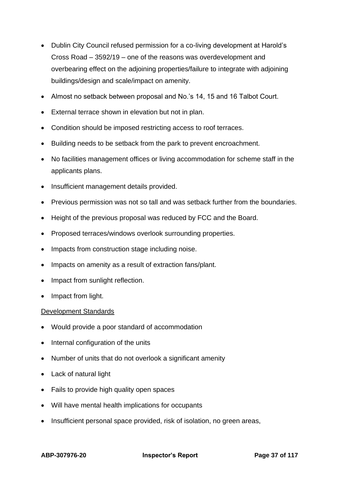- Dublin City Council refused permission for a co-living development at Harold's Cross Road – 3592/19 – one of the reasons was overdevelopment and overbearing effect on the adjoining properties/failure to integrate with adjoining buildings/design and scale/impact on amenity.
- Almost no setback between proposal and No.'s 14, 15 and 16 Talbot Court.
- External terrace shown in elevation but not in plan.
- Condition should be imposed restricting access to roof terraces.
- Building needs to be setback from the park to prevent encroachment.
- No facilities management offices or living accommodation for scheme staff in the applicants plans.
- Insufficient management details provided.
- Previous permission was not so tall and was setback further from the boundaries.
- Height of the previous proposal was reduced by FCC and the Board.
- Proposed terraces/windows overlook surrounding properties.
- Impacts from construction stage including noise.
- Impacts on amenity as a result of extraction fans/plant.
- Impact from sunlight reflection.
- Impact from light.

### Development Standards

- Would provide a poor standard of accommodation
- Internal configuration of the units
- Number of units that do not overlook a significant amenity
- Lack of natural light
- Fails to provide high quality open spaces
- Will have mental health implications for occupants
- Insufficient personal space provided, risk of isolation, no green areas,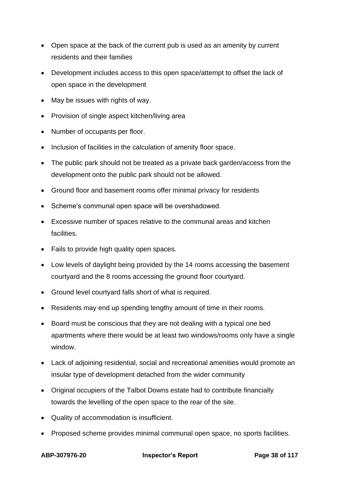- Open space at the back of the current pub is used as an amenity by current residents and their families
- Development includes access to this open space/attempt to offset the lack of open space in the development
- May be issues with rights of way.
- Provision of single aspect kitchen/living area
- Number of occupants per floor.
- Inclusion of facilities in the calculation of amenity floor space.
- The public park should not be treated as a private back garden/access from the development onto the public park should not be allowed.
- Ground floor and basement rooms offer minimal privacy for residents
- Scheme's communal open space will be overshadowed.
- Excessive number of spaces relative to the communal areas and kitchen facilities.
- Fails to provide high quality open spaces.
- Low levels of daylight being provided by the 14 rooms accessing the basement courtyard and the 8 rooms accessing the ground floor courtyard.
- Ground level courtyard falls short of what is required.
- Residents may end up spending lengthy amount of time in their rooms.
- Board must be conscious that they are not dealing with a typical one bed apartments where there would be at least two windows/rooms only have a single window.
- Lack of adjoining residential, social and recreational amenities would promote an insular type of development detached from the wider community
- Original occupiers of the Talbot Downs estate had to contribute financially towards the levelling of the open space to the rear of the site.
- Quality of accommodation is insufficient.
- Proposed scheme provides minimal communal open space, no sports facilities.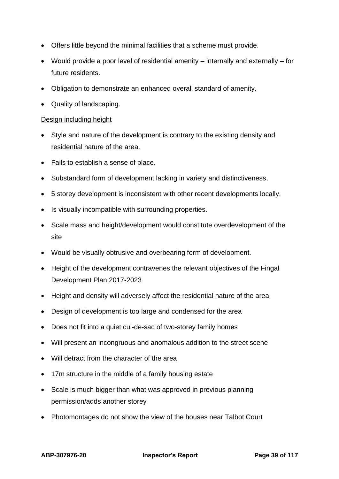- Offers little beyond the minimal facilities that a scheme must provide.
- Would provide a poor level of residential amenity internally and externally for future residents.
- Obligation to demonstrate an enhanced overall standard of amenity.
- Quality of landscaping.

#### Design including height

- Style and nature of the development is contrary to the existing density and residential nature of the area.
- Fails to establish a sense of place.
- Substandard form of development lacking in variety and distinctiveness.
- 5 storey development is inconsistent with other recent developments locally.
- Is visually incompatible with surrounding properties.
- Scale mass and height/development would constitute overdevelopment of the site
- Would be visually obtrusive and overbearing form of development.
- Height of the development contravenes the relevant objectives of the Fingal Development Plan 2017-2023
- Height and density will adversely affect the residential nature of the area
- Design of development is too large and condensed for the area
- Does not fit into a quiet cul-de-sac of two-storey family homes
- Will present an incongruous and anomalous addition to the street scene
- Will detract from the character of the area
- 17m structure in the middle of a family housing estate
- Scale is much bigger than what was approved in previous planning permission/adds another storey
- Photomontages do not show the view of the houses near Talbot Court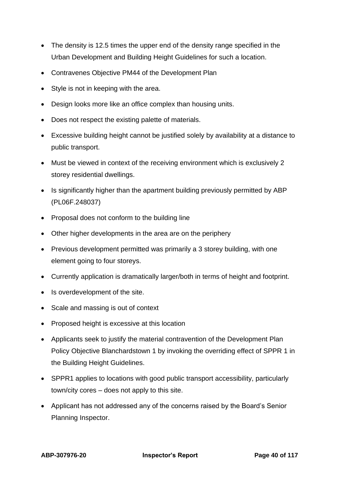- The density is 12.5 times the upper end of the density range specified in the Urban Development and Building Height Guidelines for such a location.
- Contravenes Objective PM44 of the Development Plan
- Style is not in keeping with the area.
- Design looks more like an office complex than housing units.
- Does not respect the existing palette of materials.
- Excessive building height cannot be justified solely by availability at a distance to public transport.
- Must be viewed in context of the receiving environment which is exclusively 2 storey residential dwellings.
- Is significantly higher than the apartment building previously permitted by ABP (PL06F.248037)
- Proposal does not conform to the building line
- Other higher developments in the area are on the periphery
- Previous development permitted was primarily a 3 storey building, with one element going to four storeys.
- Currently application is dramatically larger/both in terms of height and footprint.
- Is overdevelopment of the site.
- Scale and massing is out of context
- Proposed height is excessive at this location
- Applicants seek to justify the material contravention of the Development Plan Policy Objective Blanchardstown 1 by invoking the overriding effect of SPPR 1 in the Building Height Guidelines.
- SPPR1 applies to locations with good public transport accessibility, particularly town/city cores – does not apply to this site.
- Applicant has not addressed any of the concerns raised by the Board's Senior Planning Inspector.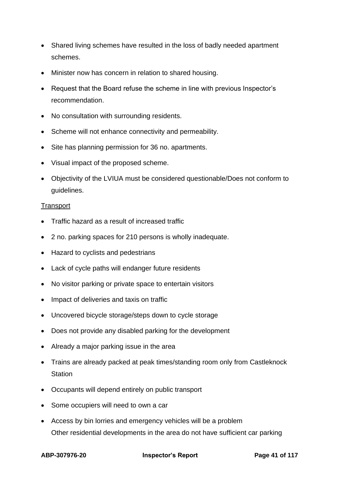- Shared living schemes have resulted in the loss of badly needed apartment schemes.
- Minister now has concern in relation to shared housing.
- Request that the Board refuse the scheme in line with previous Inspector's recommendation.
- No consultation with surrounding residents.
- Scheme will not enhance connectivity and permeability.
- Site has planning permission for 36 no. apartments.
- Visual impact of the proposed scheme.
- Objectivity of the LVIUA must be considered questionable/Does not conform to guidelines.

#### **Transport**

- Traffic hazard as a result of increased traffic
- 2 no. parking spaces for 210 persons is wholly inadequate.
- Hazard to cyclists and pedestrians
- Lack of cycle paths will endanger future residents
- No visitor parking or private space to entertain visitors
- Impact of deliveries and taxis on traffic
- Uncovered bicycle storage/steps down to cycle storage
- Does not provide any disabled parking for the development
- Already a major parking issue in the area
- Trains are already packed at peak times/standing room only from Castleknock **Station**
- Occupants will depend entirely on public transport
- Some occupiers will need to own a car
- Access by bin lorries and emergency vehicles will be a problem Other residential developments in the area do not have sufficient car parking

**ABP-307976-20 Inspector's Report Page 41 of 117**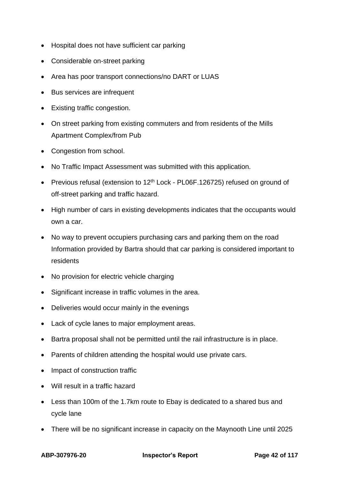- Hospital does not have sufficient car parking
- Considerable on-street parking
- Area has poor transport connections/no DART or LUAS
- Bus services are infrequent
- Existing traffic congestion.
- On street parking from existing commuters and from residents of the Mills Apartment Complex/from Pub
- Congestion from school.
- No Traffic Impact Assessment was submitted with this application.
- Previous refusal (extension to  $12<sup>th</sup>$  Lock PL06F.126725) refused on ground of off-street parking and traffic hazard.
- High number of cars in existing developments indicates that the occupants would own a car.
- No way to prevent occupiers purchasing cars and parking them on the road Information provided by Bartra should that car parking is considered important to residents
- No provision for electric vehicle charging
- Significant increase in traffic volumes in the area.
- Deliveries would occur mainly in the evenings
- Lack of cycle lanes to major employment areas.
- Bartra proposal shall not be permitted until the rail infrastructure is in place.
- Parents of children attending the hospital would use private cars.
- Impact of construction traffic
- Will result in a traffic hazard
- Less than 100m of the 1.7km route to Ebay is dedicated to a shared bus and cycle lane
- There will be no significant increase in capacity on the Maynooth Line until 2025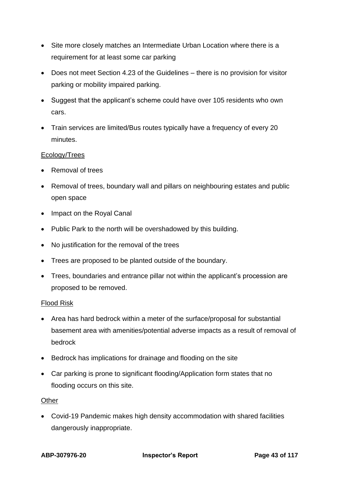- Site more closely matches an Intermediate Urban Location where there is a requirement for at least some car parking
- Does not meet Section 4.23 of the Guidelines there is no provision for visitor parking or mobility impaired parking.
- Suggest that the applicant's scheme could have over 105 residents who own cars.
- Train services are limited/Bus routes typically have a frequency of every 20 minutes.

### Ecology/Trees

- Removal of trees
- Removal of trees, boundary wall and pillars on neighbouring estates and public open space
- Impact on the Royal Canal
- Public Park to the north will be overshadowed by this building.
- No justification for the removal of the trees
- Trees are proposed to be planted outside of the boundary.
- Trees, boundaries and entrance pillar not within the applicant's procession are proposed to be removed.

### Flood Risk

- Area has hard bedrock within a meter of the surface/proposal for substantial basement area with amenities/potential adverse impacts as a result of removal of bedrock
- Bedrock has implications for drainage and flooding on the site
- Car parking is prone to significant flooding/Application form states that no flooding occurs on this site.

#### **Other**

• Covid-19 Pandemic makes high density accommodation with shared facilities dangerously inappropriate.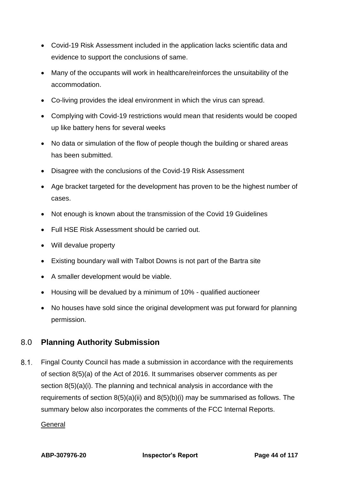- Covid-19 Risk Assessment included in the application lacks scientific data and evidence to support the conclusions of same.
- Many of the occupants will work in healthcare/reinforces the unsuitability of the accommodation.
- Co-living provides the ideal environment in which the virus can spread.
- Complying with Covid-19 restrictions would mean that residents would be cooped up like battery hens for several weeks
- No data or simulation of the flow of people though the building or shared areas has been submitted.
- Disagree with the conclusions of the Covid-19 Risk Assessment
- Age bracket targeted for the development has proven to be the highest number of cases.
- Not enough is known about the transmission of the Covid 19 Guidelines
- Full HSE Risk Assessment should be carried out.
- Will devalue property
- Existing boundary wall with Talbot Downs is not part of the Bartra site
- A smaller development would be viable.
- Housing will be devalued by a minimum of 10% qualified auctioneer
- No houses have sold since the original development was put forward for planning permission.

# 8.0 **Planning Authority Submission**

 $8.1.$ Fingal County Council has made a submission in accordance with the requirements of section 8(5)(a) of the Act of 2016. It summarises observer comments as per section 8(5)(a)(i). The planning and technical analysis in accordance with the requirements of section  $8(5)(a)(ii)$  and  $8(5)(b)(i)$  may be summarised as follows. The summary below also incorporates the comments of the FCC Internal Reports.

### **General**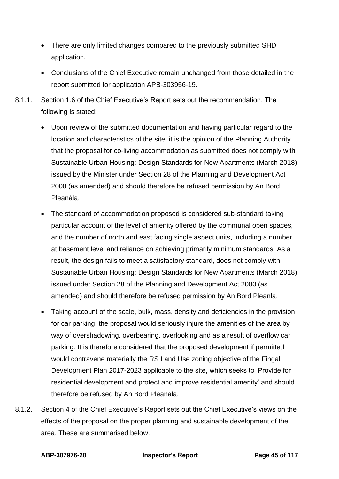- There are only limited changes compared to the previously submitted SHD application.
- Conclusions of the Chief Executive remain unchanged from those detailed in the report submitted for application APB-303956-19.
- 8.1.1. Section 1.6 of the Chief Executive's Report sets out the recommendation. The following is stated:
	- Upon review of the submitted documentation and having particular regard to the location and characteristics of the site, it is the opinion of the Planning Authority that the proposal for co-living accommodation as submitted does not comply with Sustainable Urban Housing: Design Standards for New Apartments (March 2018) issued by the Minister under Section 28 of the Planning and Development Act 2000 (as amended) and should therefore be refused permission by An Bord Pleanála.
	- The standard of accommodation proposed is considered sub-standard taking particular account of the level of amenity offered by the communal open spaces, and the number of north and east facing single aspect units, including a number at basement level and reliance on achieving primarily minimum standards. As a result, the design fails to meet a satisfactory standard, does not comply with Sustainable Urban Housing: Design Standards for New Apartments (March 2018) issued under Section 28 of the Planning and Development Act 2000 (as amended) and should therefore be refused permission by An Bord Pleanla.
	- Taking account of the scale, bulk, mass, density and deficiencies in the provision for car parking, the proposal would seriously injure the amenities of the area by way of overshadowing, overbearing, overlooking and as a result of overflow car parking. It is therefore considered that the proposed development if permitted would contravene materially the RS Land Use zoning objective of the Fingal Development Plan 2017-2023 applicable to the site, which seeks to 'Provide for residential development and protect and improve residential amenity' and should therefore be refused by An Bord Pleanala.
- 8.1.2. Section 4 of the Chief Executive's Report sets out the Chief Executive's views on the effects of the proposal on the proper planning and sustainable development of the area. These are summarised below.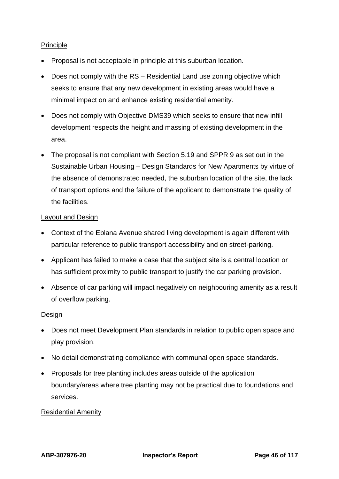### Principle

- Proposal is not acceptable in principle at this suburban location.
- Does not comply with the RS Residential Land use zoning objective which seeks to ensure that any new development in existing areas would have a minimal impact on and enhance existing residential amenity.
- Does not comply with Objective DMS39 which seeks to ensure that new infill development respects the height and massing of existing development in the area.
- The proposal is not compliant with Section 5.19 and SPPR 9 as set out in the Sustainable Urban Housing – Design Standards for New Apartments by virtue of the absence of demonstrated needed, the suburban location of the site, the lack of transport options and the failure of the applicant to demonstrate the quality of the facilities.

### Layout and Design

- Context of the Eblana Avenue shared living development is again different with particular reference to public transport accessibility and on street-parking.
- Applicant has failed to make a case that the subject site is a central location or has sufficient proximity to public transport to justify the car parking provision.
- Absence of car parking will impact negatively on neighbouring amenity as a result of overflow parking.

### **Design**

- Does not meet Development Plan standards in relation to public open space and play provision.
- No detail demonstrating compliance with communal open space standards.
- Proposals for tree planting includes areas outside of the application boundary/areas where tree planting may not be practical due to foundations and services.

### Residential Amenity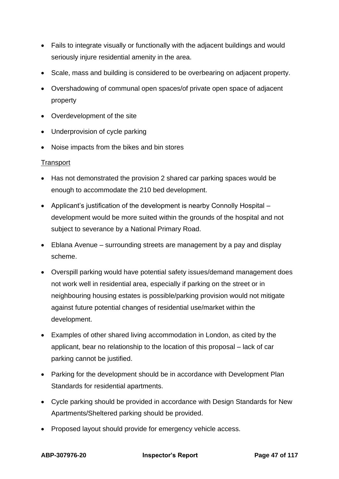- Fails to integrate visually or functionally with the adjacent buildings and would seriously injure residential amenity in the area.
- Scale, mass and building is considered to be overbearing on adjacent property.
- Overshadowing of communal open spaces/of private open space of adjacent property
- Overdevelopment of the site
- Underprovision of cycle parking
- Noise impacts from the bikes and bin stores

### **Transport**

- Has not demonstrated the provision 2 shared car parking spaces would be enough to accommodate the 210 bed development.
- Applicant's justification of the development is nearby Connolly Hospital development would be more suited within the grounds of the hospital and not subject to severance by a National Primary Road.
- Eblana Avenue surrounding streets are management by a pay and display scheme.
- Overspill parking would have potential safety issues/demand management does not work well in residential area, especially if parking on the street or in neighbouring housing estates is possible/parking provision would not mitigate against future potential changes of residential use/market within the development.
- Examples of other shared living accommodation in London, as cited by the applicant, bear no relationship to the location of this proposal – lack of car parking cannot be justified.
- Parking for the development should be in accordance with Development Plan Standards for residential apartments.
- Cycle parking should be provided in accordance with Design Standards for New Apartments/Sheltered parking should be provided.
- Proposed layout should provide for emergency vehicle access.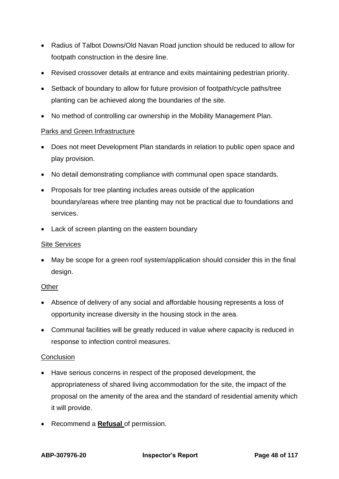- Radius of Talbot Downs/Old Navan Road junction should be reduced to allow for footpath construction in the desire line.
- Revised crossover details at entrance and exits maintaining pedestrian priority.
- Setback of boundary to allow for future provision of footpath/cycle paths/tree planting can be achieved along the boundaries of the site.
- No method of controlling car ownership in the Mobility Management Plan.

### Parks and Green Infrastructure

- Does not meet Development Plan standards in relation to public open space and play provision.
- No detail demonstrating compliance with communal open space standards.
- Proposals for tree planting includes areas outside of the application boundary/areas where tree planting may not be practical due to foundations and services.
- Lack of screen planting on the eastern boundary

### Site Services

• May be scope for a green roof system/application should consider this in the final design.

### **Other**

- Absence of delivery of any social and affordable housing represents a loss of opportunity increase diversity in the housing stock in the area.
- Communal facilities will be greatly reduced in value where capacity is reduced in response to infection control measures.

### **Conclusion**

- Have serious concerns in respect of the proposed development, the appropriateness of shared living accommodation for the site, the impact of the proposal on the amenity of the area and the standard of residential amenity which it will provide.
- Recommend a **Refusal** of permission.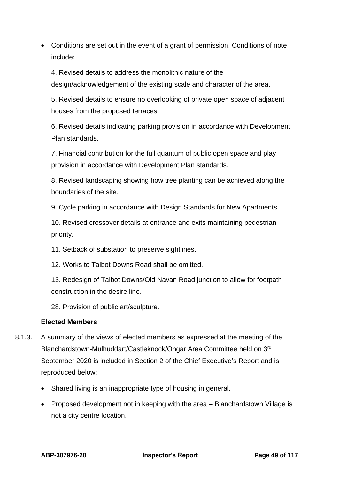• Conditions are set out in the event of a grant of permission. Conditions of note include:

4. Revised details to address the monolithic nature of the design/acknowledgement of the existing scale and character of the area.

5. Revised details to ensure no overlooking of private open space of adjacent houses from the proposed terraces.

6. Revised details indicating parking provision in accordance with Development Plan standards.

7. Financial contribution for the full quantum of public open space and play provision in accordance with Development Plan standards.

8. Revised landscaping showing how tree planting can be achieved along the boundaries of the site.

9. Cycle parking in accordance with Design Standards for New Apartments.

10. Revised crossover details at entrance and exits maintaining pedestrian priority.

11. Setback of substation to preserve sightlines.

12. Works to Talbot Downs Road shall be omitted.

13. Redesign of Talbot Downs/Old Navan Road junction to allow for footpath construction in the desire line.

28. Provision of public art/sculpture.

### **Elected Members**

- 8.1.3. A summary of the views of elected members as expressed at the meeting of the Blanchardstown-Mulhuddart/Castleknock/Ongar Area Committee held on 3rd September 2020 is included in Section 2 of the Chief Executive's Report and is reproduced below:
	- Shared living is an inappropriate type of housing in general.
	- Proposed development not in keeping with the area Blanchardstown Village is not a city centre location.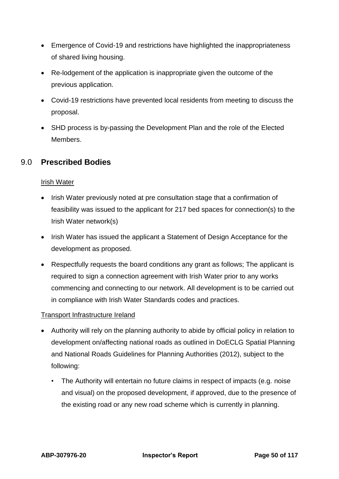- Emergence of Covid-19 and restrictions have highlighted the inappropriateness of shared living housing.
- Re-lodgement of the application is inappropriate given the outcome of the previous application.
- Covid-19 restrictions have prevented local residents from meeting to discuss the proposal.
- SHD process is by-passing the Development Plan and the role of the Elected Members.

# 9.0 **Prescribed Bodies**

## **Irish Water**

- Irish Water previously noted at pre consultation stage that a confirmation of feasibility was issued to the applicant for 217 bed spaces for connection(s) to the Irish Water network(s)
- Irish Water has issued the applicant a Statement of Design Acceptance for the development as proposed.
- Respectfully requests the board conditions any grant as follows; The applicant is required to sign a connection agreement with Irish Water prior to any works commencing and connecting to our network. All development is to be carried out in compliance with Irish Water Standards codes and practices.

## Transport Infrastructure Ireland

- Authority will rely on the planning authority to abide by official policy in relation to development on/affecting national roads as outlined in DoECLG Spatial Planning and National Roads Guidelines for Planning Authorities (2012), subject to the following:
	- The Authority will entertain no future claims in respect of impacts (e.g. noise and visual) on the proposed development, if approved, due to the presence of the existing road or any new road scheme which is currently in planning.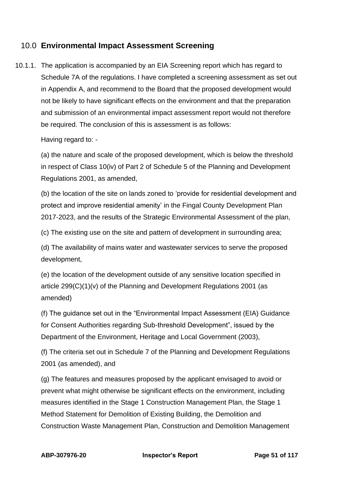# 10.0 **Environmental Impact Assessment Screening**

10.1.1. The application is accompanied by an EIA Screening report which has regard to Schedule 7A of the regulations. I have completed a screening assessment as set out in Appendix A, and recommend to the Board that the proposed development would not be likely to have significant effects on the environment and that the preparation and submission of an environmental impact assessment report would not therefore be required. The conclusion of this is assessment is as follows:

Having regard to: -

(a) the nature and scale of the proposed development, which is below the threshold in respect of Class 10(iv) of Part 2 of Schedule 5 of the Planning and Development Regulations 2001, as amended,

(b) the location of the site on lands zoned to 'provide for residential development and protect and improve residential amenity' in the Fingal County Development Plan 2017-2023, and the results of the Strategic Environmental Assessment of the plan,

(c) The existing use on the site and pattern of development in surrounding area;

(d) The availability of mains water and wastewater services to serve the proposed development,

(e) the location of the development outside of any sensitive location specified in article 299(C)(1)(v) of the Planning and Development Regulations 2001 (as amended)

(f) The guidance set out in the "Environmental Impact Assessment (EIA) Guidance for Consent Authorities regarding Sub-threshold Development", issued by the Department of the Environment, Heritage and Local Government (2003),

(f) The criteria set out in Schedule 7 of the Planning and Development Regulations 2001 (as amended), and

(g) The features and measures proposed by the applicant envisaged to avoid or prevent what might otherwise be significant effects on the environment, including measures identified in the Stage 1 Construction Management Plan, the Stage 1 Method Statement for Demolition of Existing Building, the Demolition and Construction Waste Management Plan, Construction and Demolition Management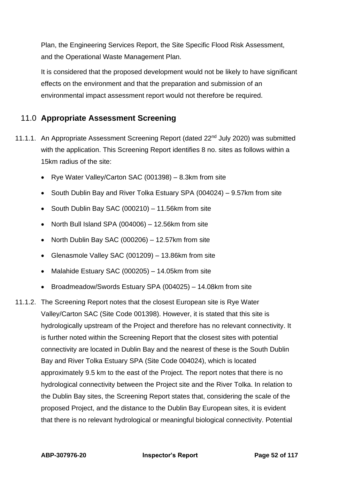Plan, the Engineering Services Report, the Site Specific Flood Risk Assessment, and the Operational Waste Management Plan.

It is considered that the proposed development would not be likely to have significant effects on the environment and that the preparation and submission of an environmental impact assessment report would not therefore be required.

# 11.0 **Appropriate Assessment Screening**

- 11.1.1. An Appropriate Assessment Screening Report (dated 22<sup>nd</sup> July 2020) was submitted with the application. This Screening Report identifies 8 no. sites as follows within a 15km radius of the site:
	- Rye Water Valley/Carton SAC (001398) 8.3km from site
	- South Dublin Bay and River Tolka Estuary SPA (004024) 9.57km from site
	- South Dublin Bay SAC (000210) 11.56km from site
	- North Bull Island SPA (004006) 12.56km from site
	- North Dublin Bay SAC (000206) 12.57km from site
	- Glenasmole Valley SAC (001209) 13.86km from site
	- Malahide Estuary SAC (000205) 14.05km from site
	- Broadmeadow/Swords Estuary SPA (004025) 14.08km from site
- 11.1.2. The Screening Report notes that the closest European site is Rye Water Valley/Carton SAC (Site Code 001398). However, it is stated that this site is hydrologically upstream of the Project and therefore has no relevant connectivity. It is further noted within the Screening Report that the closest sites with potential connectivity are located in Dublin Bay and the nearest of these is the South Dublin Bay and River Tolka Estuary SPA (Site Code 004024), which is located approximately 9.5 km to the east of the Project. The report notes that there is no hydrological connectivity between the Project site and the River Tolka. In relation to the Dublin Bay sites, the Screening Report states that, considering the scale of the proposed Project, and the distance to the Dublin Bay European sites, it is evident that there is no relevant hydrological or meaningful biological connectivity. Potential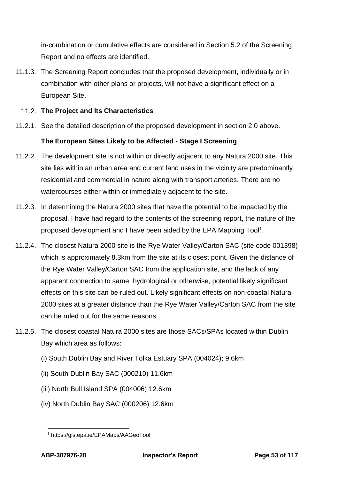in-combination or cumulative effects are considered in Section 5.2 of the Screening Report and no effects are identified.

11.1.3. The Screening Report concludes that the proposed development, individually or in combination with other plans or projects, will not have a significant effect on a European Site.

## **The Project and Its Characteristics**

11.2.1. See the detailed description of the proposed development in section 2.0 above.

## **The European Sites Likely to be Affected - Stage I Screening**

- 11.2.2. The development site is not within or directly adjacent to any Natura 2000 site. This site lies within an urban area and current land uses in the vicinity are predominantly residential and commercial in nature along with transport arteries. There are no watercourses either within or immediately adjacent to the site.
- 11.2.3. In determining the Natura 2000 sites that have the potential to be impacted by the proposal, I have had regard to the contents of the screening report, the nature of the proposed development and I have been aided by the EPA Mapping Tool<sup>1</sup>.
- 11.2.4. The closest Natura 2000 site is the Rye Water Valley/Carton SAC (site code 001398) which is approximately 8.3km from the site at its closest point. Given the distance of the Rye Water Valley/Carton SAC from the application site, and the lack of any apparent connection to same, hydrological or otherwise, potential likely significant effects on this site can be ruled out. Likely significant effects on non-coastal Natura 2000 sites at a greater distance than the Rye Water Valley/Carton SAC from the site can be ruled out for the same reasons.
- 11.2.5. The closest coastal Natura 2000 sites are those SACs/SPAs located within Dublin Bay which area as follows:
	- (i) South Dublin Bay and River Tolka Estuary SPA (004024); 9.6km
	- (ii) South Dublin Bay SAC (000210) 11.6km
	- (iii) North Bull Island SPA (004006) 12.6km
	- (iv) North Dublin Bay SAC (000206) 12.6km

<sup>1</sup> https://gis.epa.ie/EPAMaps/AAGeoTool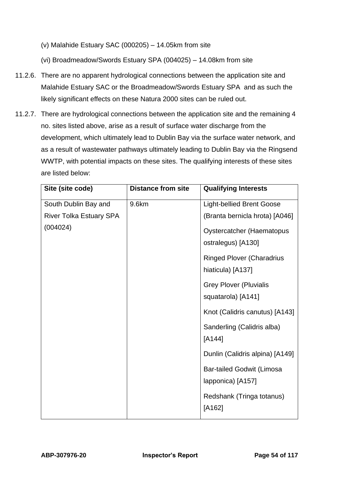(v) Malahide Estuary SAC (000205) – 14.05km from site

(vi) Broadmeadow/Swords Estuary SPA (004025) – 14.08km from site

- 11.2.6. There are no apparent hydrological connections between the application site and Malahide Estuary SAC or the Broadmeadow/Swords Estuary SPA and as such the likely significant effects on these Natura 2000 sites can be ruled out.
- 11.2.7. There are hydrological connections between the application site and the remaining 4 no. sites listed above, arise as a result of surface water discharge from the development, which ultimately lead to Dublin Bay via the surface water network, and as a result of wastewater pathways ultimately leading to Dublin Bay via the Ringsend WWTP, with potential impacts on these sites. The qualifying interests of these sites are listed below:

| Site (site code)               | <b>Distance from site</b> | <b>Qualifying Interests</b>      |
|--------------------------------|---------------------------|----------------------------------|
| South Dublin Bay and           | 9.6km                     | Light-bellied Brent Goose        |
| <b>River Tolka Estuary SPA</b> |                           | (Branta bernicla hrota) [A046]   |
| (004024)                       |                           | <b>Oystercatcher (Haematopus</b> |
|                                |                           | ostralegus) [A130]               |
|                                |                           | <b>Ringed Plover (Charadrius</b> |
|                                |                           | hiaticula) [A137]                |
|                                |                           | <b>Grey Plover (Pluvialis</b>    |
|                                |                           | squatarola) [A141]               |
|                                |                           | Knot (Calidris canutus) [A143]   |
|                                |                           | Sanderling (Calidris alba)       |
|                                |                           | $[A144]$                         |
|                                |                           | Dunlin (Calidris alpina) [A149]  |
|                                |                           | <b>Bar-tailed Godwit (Limosa</b> |
|                                |                           | lapponica) [A157]                |
|                                |                           | Redshank (Tringa totanus)        |
|                                |                           | [A162]                           |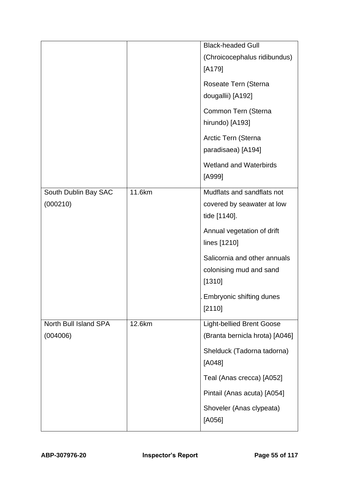|                                   |        | <b>Black-headed Gull</b><br>(Chroicocephalus ridibundus)           |
|-----------------------------------|--------|--------------------------------------------------------------------|
|                                   |        | [A179]                                                             |
|                                   |        | Roseate Tern (Sterna                                               |
|                                   |        | dougallii) [A192]                                                  |
|                                   |        | Common Tern (Sterna                                                |
|                                   |        | hirundo) [A193]                                                    |
|                                   |        | Arctic Tern (Sterna                                                |
|                                   |        | paradisaea) [A194]                                                 |
|                                   |        | <b>Wetland and Waterbirds</b>                                      |
|                                   |        | [A999]                                                             |
| South Dublin Bay SAC              | 11.6km | Mudflats and sandflats not                                         |
| (000210)                          |        | covered by seawater at low                                         |
|                                   |        | tide [1140].                                                       |
|                                   |        | Annual vegetation of drift                                         |
|                                   |        | lines [1210]                                                       |
|                                   |        | Salicornia and other annuals                                       |
|                                   |        | colonising mud and sand<br>[1310]                                  |
|                                   |        |                                                                    |
|                                   |        | Embryonic shifting dunes<br>[2110]                                 |
|                                   |        |                                                                    |
| North Bull Island SPA<br>(004006) | 12.6km | <b>Light-bellied Brent Goose</b><br>(Branta bernicla hrota) [A046] |
|                                   |        |                                                                    |
|                                   |        | Shelduck (Tadorna tadorna)<br>[A048]                               |
|                                   |        | Teal (Anas crecca) [A052]                                          |
|                                   |        | Pintail (Anas acuta) [A054]                                        |
|                                   |        | Shoveler (Anas clypeata)<br>[A056]                                 |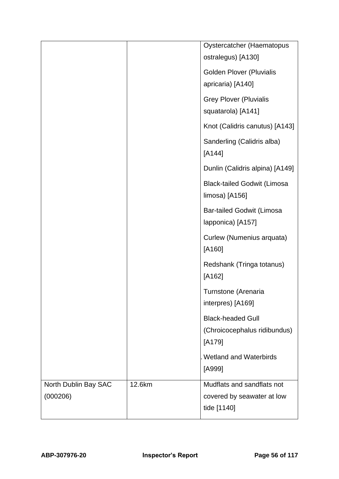|                      |        | Oystercatcher (Haematopus          |
|----------------------|--------|------------------------------------|
|                      |        | ostralegus) [A130]                 |
|                      |        | <b>Golden Plover (Pluvialis</b>    |
|                      |        | apricaria) [A140]                  |
|                      |        | <b>Grey Plover (Pluvialis</b>      |
|                      |        | squatarola) [A141]                 |
|                      |        | Knot (Calidris canutus) [A143]     |
|                      |        | Sanderling (Calidris alba)         |
|                      |        | $[A144]$                           |
|                      |        | Dunlin (Calidris alpina) [A149]    |
|                      |        | <b>Black-tailed Godwit (Limosa</b> |
|                      |        | limosa) [A156]                     |
|                      |        | <b>Bar-tailed Godwit (Limosa</b>   |
|                      |        | lapponica) [A157]                  |
|                      |        | Curlew (Numenius arquata)          |
|                      |        | [A160]                             |
|                      |        | Redshank (Tringa totanus)          |
|                      |        | [A162]                             |
|                      |        | Turnstone (Arenaria                |
|                      |        | interpres) [A169]                  |
|                      |        | <b>Black-headed Gull</b>           |
|                      |        | (Chroicocephalus ridibundus)       |
|                      |        | [A179]                             |
|                      |        | <b>Wetland and Waterbirds</b>      |
|                      |        | [A999]                             |
| North Dublin Bay SAC | 12.6km | Mudflats and sandflats not         |
| (000206)             |        | covered by seawater at low         |
|                      |        | tide [1140]                        |
|                      |        |                                    |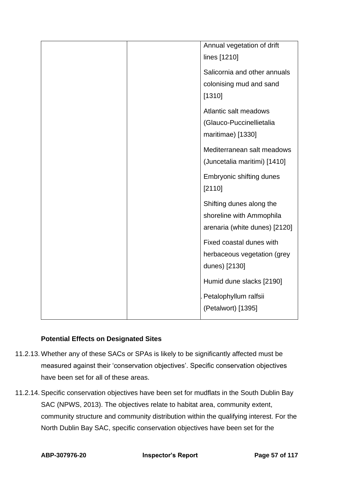|  | Annual vegetation of drift    |
|--|-------------------------------|
|  | lines [1210]                  |
|  | Salicornia and other annuals  |
|  | colonising mud and sand       |
|  | [1310]                        |
|  | Atlantic salt meadows         |
|  | (Glauco-Puccinellietalia      |
|  | maritimae) [1330]             |
|  | Mediterranean salt meadows    |
|  | (Juncetalia maritimi) [1410]  |
|  | Embryonic shifting dunes      |
|  | [2110]                        |
|  | Shifting dunes along the      |
|  | shoreline with Ammophila      |
|  | arenaria (white dunes) [2120] |
|  | Fixed coastal dunes with      |
|  | herbaceous vegetation (grey   |
|  | dunes) [2130]                 |
|  | Humid dune slacks [2190]      |
|  | Petalophyllum ralfsii         |
|  | (Petalwort) [1395]            |
|  |                               |

## **Potential Effects on Designated Sites**

- 11.2.13. Whether any of these SACs or SPAs is likely to be significantly affected must be measured against their 'conservation objectives'. Specific conservation objectives have been set for all of these areas.
- 11.2.14. Specific conservation objectives have been set for mudflats in the South Dublin Bay SAC (NPWS, 2013). The objectives relate to habitat area, community extent, community structure and community distribution within the qualifying interest. For the North Dublin Bay SAC, specific conservation objectives have been set for the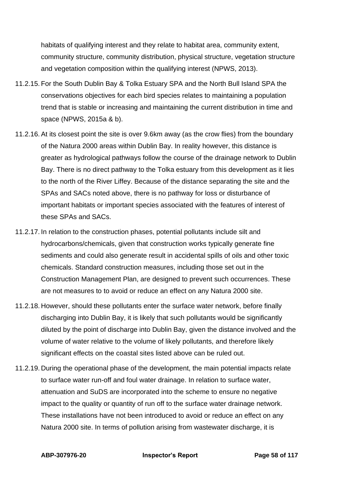habitats of qualifying interest and they relate to habitat area, community extent, community structure, community distribution, physical structure, vegetation structure and vegetation composition within the qualifying interest (NPWS, 2013).

- 11.2.15. For the South Dublin Bay & Tolka Estuary SPA and the North Bull Island SPA the conservations objectives for each bird species relates to maintaining a population trend that is stable or increasing and maintaining the current distribution in time and space (NPWS, 2015a & b).
- 11.2.16. At its closest point the site is over 9.6km away (as the crow flies) from the boundary of the Natura 2000 areas within Dublin Bay. In reality however, this distance is greater as hydrological pathways follow the course of the drainage network to Dublin Bay. There is no direct pathway to the Tolka estuary from this development as it lies to the north of the River Liffey. Because of the distance separating the site and the SPAs and SACs noted above, there is no pathway for loss or disturbance of important habitats or important species associated with the features of interest of these SPAs and SACs.
- 11.2.17. In relation to the construction phases, potential pollutants include silt and hydrocarbons/chemicals, given that construction works typically generate fine sediments and could also generate result in accidental spills of oils and other toxic chemicals. Standard construction measures, including those set out in the Construction Management Plan, are designed to prevent such occurrences. These are not measures to to avoid or reduce an effect on any Natura 2000 site.
- 11.2.18. However, should these pollutants enter the surface water network, before finally discharging into Dublin Bay, it is likely that such pollutants would be significantly diluted by the point of discharge into Dublin Bay, given the distance involved and the volume of water relative to the volume of likely pollutants, and therefore likely significant effects on the coastal sites listed above can be ruled out.
- 11.2.19. During the operational phase of the development, the main potential impacts relate to surface water run-off and foul water drainage. In relation to surface water, attenuation and SuDS are incorporated into the scheme to ensure no negative impact to the quality or quantity of run off to the surface water drainage network. These installations have not been introduced to avoid or reduce an effect on any Natura 2000 site. In terms of pollution arising from wastewater discharge, it is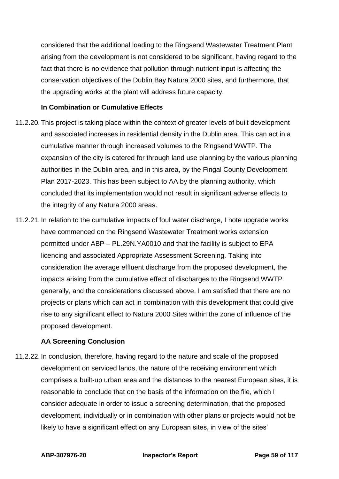considered that the additional loading to the Ringsend Wastewater Treatment Plant arising from the development is not considered to be significant, having regard to the fact that there is no evidence that pollution through nutrient input is affecting the conservation objectives of the Dublin Bay Natura 2000 sites, and furthermore, that the upgrading works at the plant will address future capacity.

### **In Combination or Cumulative Effects**

- 11.2.20. This project is taking place within the context of greater levels of built development and associated increases in residential density in the Dublin area. This can act in a cumulative manner through increased volumes to the Ringsend WWTP. The expansion of the city is catered for through land use planning by the various planning authorities in the Dublin area, and in this area, by the Fingal County Development Plan 2017-2023. This has been subject to AA by the planning authority, which concluded that its implementation would not result in significant adverse effects to the integrity of any Natura 2000 areas.
- 11.2.21. In relation to the cumulative impacts of foul water discharge, I note upgrade works have commenced on the Ringsend Wastewater Treatment works extension permitted under ABP – PL.29N.YA0010 and that the facility is subject to EPA licencing and associated Appropriate Assessment Screening. Taking into consideration the average effluent discharge from the proposed development, the impacts arising from the cumulative effect of discharges to the Ringsend WWTP generally, and the considerations discussed above, I am satisfied that there are no projects or plans which can act in combination with this development that could give rise to any significant effect to Natura 2000 Sites within the zone of influence of the proposed development.

### **AA Screening Conclusion**

11.2.22. In conclusion, therefore, having regard to the nature and scale of the proposed development on serviced lands, the nature of the receiving environment which comprises a built-up urban area and the distances to the nearest European sites, it is reasonable to conclude that on the basis of the information on the file, which I consider adequate in order to issue a screening determination, that the proposed development, individually or in combination with other plans or projects would not be likely to have a significant effect on any European sites, in view of the sites'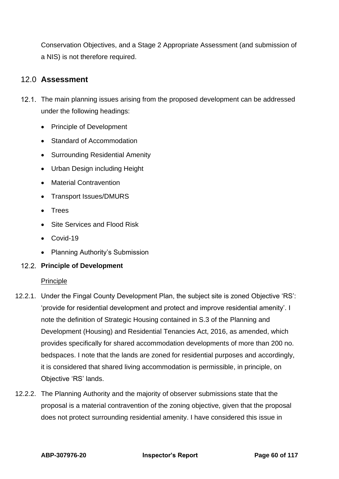Conservation Objectives, and a Stage 2 Appropriate Assessment (and submission of a NIS) is not therefore required.

## 12.0 **Assessment**

- 12.1. The main planning issues arising from the proposed development can be addressed under the following headings:
	- Principle of Development
	- Standard of Accommodation
	- Surrounding Residential Amenity
	- Urban Design including Height
	- Material Contravention
	- Transport Issues/DMURS
	- Trees
	- Site Services and Flood Risk
	- Covid-19
	- Planning Authority's Submission

## **Principle of Development**

### Principle

- 12.2.1. Under the Fingal County Development Plan, the subject site is zoned Objective 'RS': 'provide for residential development and protect and improve residential amenity'. I note the definition of Strategic Housing contained in S.3 of the Planning and Development (Housing) and Residential Tenancies Act, 2016, as amended, which provides specifically for shared accommodation developments of more than 200 no. bedspaces. I note that the lands are zoned for residential purposes and accordingly, it is considered that shared living accommodation is permissible, in principle, on Objective 'RS' lands.
- 12.2.2. The Planning Authority and the majority of observer submissions state that the proposal is a material contravention of the zoning objective, given that the proposal does not protect surrounding residential amenity. I have considered this issue in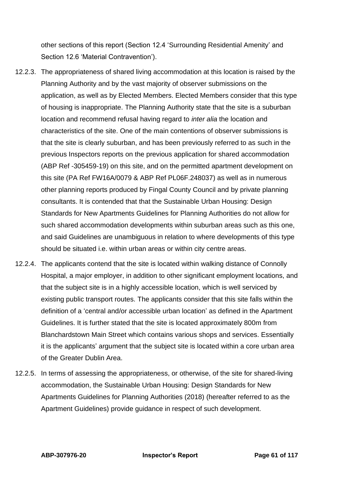other sections of this report (Section 12.4 'Surrounding Residential Amenity' and Section 12.6 'Material Contravention').

- 12.2.3. The appropriateness of shared living accommodation at this location is raised by the Planning Authority and by the vast majority of observer submissions on the application, as well as by Elected Members. Elected Members consider that this type of housing is inappropriate. The Planning Authority state that the site is a suburban location and recommend refusal having regard to *inter alia* the location and characteristics of the site. One of the main contentions of observer submissions is that the site is clearly suburban, and has been previously referred to as such in the previous Inspectors reports on the previous application for shared accommodation (ABP Ref -305459-19) on this site, and on the permitted apartment development on this site (PA Ref FW16A/0079 & ABP Ref PL06F.248037) as well as in numerous other planning reports produced by Fingal County Council and by private planning consultants. It is contended that that the Sustainable Urban Housing: Design Standards for New Apartments Guidelines for Planning Authorities do not allow for such shared accommodation developments within suburban areas such as this one, and said Guidelines are unambiguous in relation to where developments of this type should be situated i.e. within urban areas or within city centre areas.
- 12.2.4. The applicants contend that the site is located within walking distance of Connolly Hospital, a major employer, in addition to other significant employment locations, and that the subject site is in a highly accessible location, which is well serviced by existing public transport routes. The applicants consider that this site falls within the definition of a 'central and/or accessible urban location' as defined in the Apartment Guidelines. It is further stated that the site is located approximately 800m from Blanchardstown Main Street which contains various shops and services. Essentially it is the applicants' argument that the subject site is located within a core urban area of the Greater Dublin Area.
- 12.2.5. In terms of assessing the appropriateness, or otherwise, of the site for shared-living accommodation, the Sustainable Urban Housing: Design Standards for New Apartments Guidelines for Planning Authorities (2018) (hereafter referred to as the Apartment Guidelines) provide guidance in respect of such development.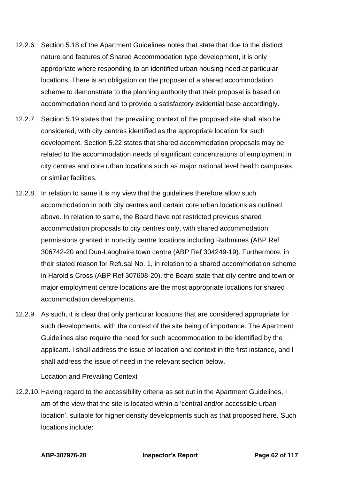- 12.2.6. Section 5.18 of the Apartment Guidelines notes that state that due to the distinct nature and features of Shared Accommodation type development, it is only appropriate where responding to an identified urban housing need at particular locations. There is an obligation on the proposer of a shared accommodation scheme to demonstrate to the planning authority that their proposal is based on accommodation need and to provide a satisfactory evidential base accordingly.
- 12.2.7. Section 5.19 states that the prevailing context of the proposed site shall also be considered, with city centres identified as the appropriate location for such development. Section 5.22 states that shared accommodation proposals may be related to the accommodation needs of significant concentrations of employment in city centres and core urban locations such as major national level health campuses or similar facilities.
- 12.2.8. In relation to same it is my view that the guidelines therefore allow such accommodation in both city centres and certain core urban locations as outlined above. In relation to same, the Board have not restricted previous shared accommodation proposals to city centres only, with shared accommodation permissions granted in non-city centre locations including Rathmines (ABP Ref 306742-20 and Dun-Laoghaire town centre (ABP Ref 304249-19). Furthermore, in their stated reason for Refusal No. 1, in relation to a shared accommodation scheme in Harold's Cross (ABP Ref 307608-20), the Board state that city centre and town or major employment centre locations are the most appropriate locations for shared accommodation developments.
- 12.2.9. As such, it is clear that only particular locations that are considered appropriate for such developments, with the context of the site being of importance. The Apartment Guidelines also require the need for such accommodation to be identified by the applicant. I shall address the issue of location and context in the first instance, and I shall address the issue of need in the relevant section below.

### Location and Prevailing Context

12.2.10. Having regard to the accessibility criteria as set out in the Apartment Guidelines, I am of the view that the site is located within a 'central and/or accessible urban location', suitable for higher density developments such as that proposed here. Such locations include: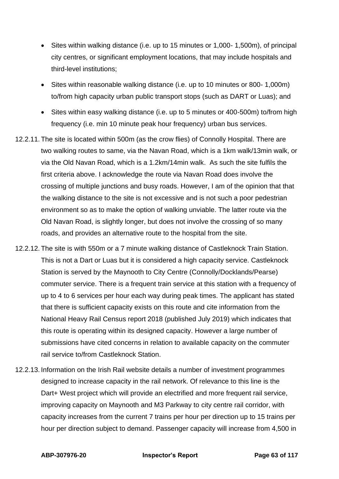- Sites within walking distance (i.e. up to 15 minutes or 1,000- 1,500m), of principal city centres, or significant employment locations, that may include hospitals and third-level institutions;
- Sites within reasonable walking distance (i.e. up to 10 minutes or 800- 1,000m) to/from high capacity urban public transport stops (such as DART or Luas); and
- Sites within easy walking distance (i.e. up to 5 minutes or 400-500m) to/from high frequency (i.e. min 10 minute peak hour frequency) urban bus services.
- 12.2.11. The site is located within 500m (as the crow flies) of Connolly Hospital. There are two walking routes to same, via the Navan Road, which is a 1km walk/13min walk, or via the Old Navan Road, which is a 1.2km/14min walk. As such the site fulfils the first criteria above. I acknowledge the route via Navan Road does involve the crossing of multiple junctions and busy roads. However, I am of the opinion that that the walking distance to the site is not excessive and is not such a poor pedestrian environment so as to make the option of walking unviable. The latter route via the Old Navan Road, is slightly longer, but does not involve the crossing of so many roads, and provides an alternative route to the hospital from the site.
- 12.2.12. The site is with 550m or a 7 minute walking distance of Castleknock Train Station. This is not a Dart or Luas but it is considered a high capacity service. Castleknock Station is served by the Maynooth to City Centre (Connolly/Docklands/Pearse) commuter service. There is a frequent train service at this station with a frequency of up to 4 to 6 services per hour each way during peak times. The applicant has stated that there is sufficient capacity exists on this route and cite information from the National Heavy Rail Census report 2018 (published July 2019) which indicates that this route is operating within its designed capacity. However a large number of submissions have cited concerns in relation to available capacity on the commuter rail service to/from Castleknock Station.
- 12.2.13. Information on the Irish Rail website details a number of investment programmes designed to increase capacity in the rail network. Of relevance to this line is the Dart+ West project which will provide an electrified and more frequent rail service, improving capacity on Maynooth and M3 Parkway to city centre rail corridor, with capacity increases from the current 7 trains per hour per direction up to 15 trains per hour per direction subject to demand. Passenger capacity will increase from 4,500 in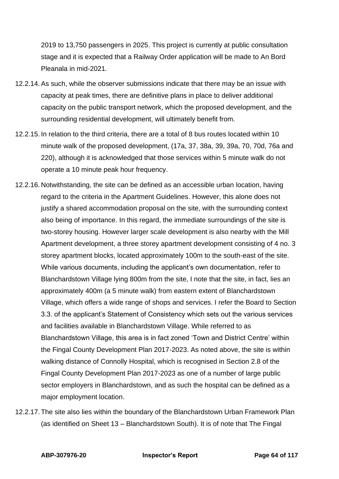2019 to 13,750 passengers in 2025. This project is currently at public consultation stage and it is expected that a Railway Order application will be made to An Bord Pleanala in mid-2021.

- 12.2.14. As such, while the observer submissions indicate that there may be an issue with capacity at peak times, there are definitive plans in place to deliver additional capacity on the public transport network, which the proposed development, and the surrounding residential development, will ultimately benefit from.
- 12.2.15. In relation to the third criteria, there are a total of 8 bus routes located within 10 minute walk of the proposed development, (17a, 37, 38a, 39, 39a, 70, 70d, 76a and 220), although it is acknowledged that those services within 5 minute walk do not operate a 10 minute peak hour frequency.
- 12.2.16. Notwithstanding, the site can be defined as an accessible urban location, having regard to the criteria in the Apartment Guidelines. However, this alone does not justify a shared accommodation proposal on the site, with the surrounding context also being of importance. In this regard, the immediate surroundings of the site is two-storey housing. However larger scale development is also nearby with the Mill Apartment development, a three storey apartment development consisting of 4 no. 3 storey apartment blocks, located approximately 100m to the south-east of the site. While various documents, including the applicant's own documentation, refer to Blanchardstown Village lying 800m from the site, I note that the site, in fact, lies an approximately 400m (a 5 minute walk) from eastern extent of Blanchardstown Village, which offers a wide range of shops and services. I refer the Board to Section 3.3. of the applicant's Statement of Consistency which sets out the various services and facilities available in Blanchardstown Village. While referred to as Blanchardstown Village, this area is in fact zoned 'Town and District Centre' within the Fingal County Development Plan 2017-2023. As noted above, the site is within walking distance of Connolly Hospital, which is recognised in Section 2.8 of the Fingal County Development Plan 2017-2023 as one of a number of large public sector employers in Blanchardstown, and as such the hospital can be defined as a major employment location.
- 12.2.17. The site also lies within the boundary of the Blanchardstown Urban Framework Plan (as identified on Sheet 13 – Blanchardstown South). It is of note that The Fingal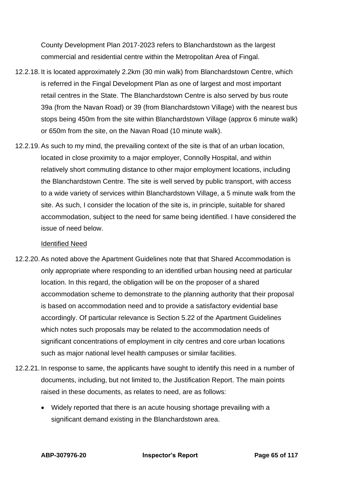County Development Plan 2017-2023 refers to Blanchardstown as the largest commercial and residential centre within the Metropolitan Area of Fingal.

- 12.2.18. It is located approximately 2.2km (30 min walk) from Blanchardstown Centre, which is referred in the Fingal Development Plan as one of largest and most important retail centres in the State. The Blanchardstown Centre is also served by bus route 39a (from the Navan Road) or 39 (from Blanchardstown Village) with the nearest bus stops being 450m from the site within Blanchardstown Village (approx 6 minute walk) or 650m from the site, on the Navan Road (10 minute walk).
- 12.2.19. As such to my mind, the prevailing context of the site is that of an urban location, located in close proximity to a major employer, Connolly Hospital, and within relatively short commuting distance to other major employment locations, including the Blanchardstown Centre. The site is well served by public transport, with access to a wide variety of services within Blanchardstown Village, a 5 minute walk from the site. As such, I consider the location of the site is, in principle, suitable for shared accommodation, subject to the need for same being identified. I have considered the issue of need below.

#### Identified Need

- 12.2.20. As noted above the Apartment Guidelines note that that Shared Accommodation is only appropriate where responding to an identified urban housing need at particular location. In this regard, the obligation will be on the proposer of a shared accommodation scheme to demonstrate to the planning authority that their proposal is based on accommodation need and to provide a satisfactory evidential base accordingly. Of particular relevance is Section 5.22 of the Apartment Guidelines which notes such proposals may be related to the accommodation needs of significant concentrations of employment in city centres and core urban locations such as major national level health campuses or similar facilities.
- 12.2.21. In response to same, the applicants have sought to identify this need in a number of documents, including, but not limited to, the Justification Report. The main points raised in these documents, as relates to need, are as follows:
	- Widely reported that there is an acute housing shortage prevailing with a significant demand existing in the Blanchardstown area.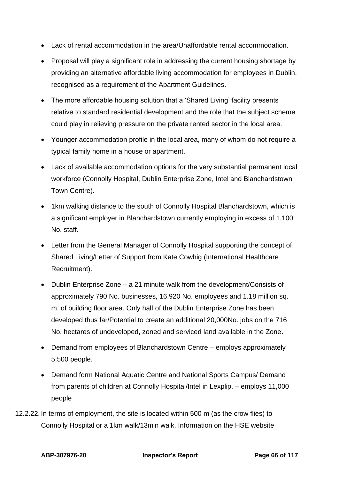- Lack of rental accommodation in the area/Unaffordable rental accommodation.
- Proposal will play a significant role in addressing the current housing shortage by providing an alternative affordable living accommodation for employees in Dublin, recognised as a requirement of the Apartment Guidelines.
- The more affordable housing solution that a 'Shared Living' facility presents relative to standard residential development and the role that the subject scheme could play in relieving pressure on the private rented sector in the local area.
- Younger accommodation profile in the local area, many of whom do not require a typical family home in a house or apartment.
- Lack of available accommodation options for the very substantial permanent local workforce (Connolly Hospital, Dublin Enterprise Zone, Intel and Blanchardstown Town Centre).
- 1km walking distance to the south of Connolly Hospital Blanchardstown, which is a significant employer in Blanchardstown currently employing in excess of 1,100 No. staff.
- Letter from the General Manager of Connolly Hospital supporting the concept of Shared Living/Letter of Support from Kate Cowhig (International Healthcare Recruitment).
- Dublin Enterprise Zone a 21 minute walk from the development/Consists of approximately 790 No. businesses, 16,920 No. employees and 1.18 million sq. m. of building floor area. Only half of the Dublin Enterprise Zone has been developed thus far/Potential to create an additional 20,000No. jobs on the 716 No. hectares of undeveloped, zoned and serviced land available in the Zone.
- Demand from employees of Blanchardstown Centre employs approximately 5,500 people.
- Demand form National Aquatic Centre and National Sports Campus/ Demand from parents of children at Connolly Hospital/Intel in Lexplip. – employs 11,000 people
- 12.2.22. In terms of employment, the site is located within 500 m (as the crow flies) to Connolly Hospital or a 1km walk/13min walk. Information on the HSE website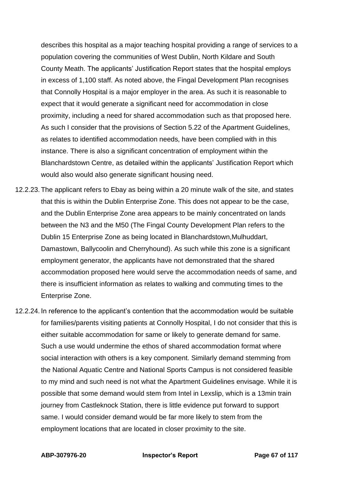describes this hospital as a major teaching hospital providing a range of services to a population covering the communities of West Dublin, North Kildare and South County Meath. The applicants' Justification Report states that the hospital employs in excess of 1,100 staff. As noted above, the Fingal Development Plan recognises that Connolly Hospital is a major employer in the area. As such it is reasonable to expect that it would generate a significant need for accommodation in close proximity, including a need for shared accommodation such as that proposed here. As such I consider that the provisions of Section 5.22 of the Apartment Guidelines, as relates to identified accommodation needs, have been complied with in this instance. There is also a significant concentration of employment within the Blanchardstown Centre, as detailed within the applicants' Justification Report which would also would also generate significant housing need.

- 12.2.23. The applicant refers to Ebay as being within a 20 minute walk of the site, and states that this is within the Dublin Enterprise Zone. This does not appear to be the case, and the Dublin Enterprise Zone area appears to be mainly concentrated on lands between the N3 and the M50 (The Fingal County Development Plan refers to the Dublin 15 Enterprise Zone as being located in Blanchardstown,Mulhuddart, Damastown, Ballycoolin and Cherryhound). As such while this zone is a significant employment generator, the applicants have not demonstrated that the shared accommodation proposed here would serve the accommodation needs of same, and there is insufficient information as relates to walking and commuting times to the Enterprise Zone.
- 12.2.24. In reference to the applicant's contention that the accommodation would be suitable for families/parents visiting patients at Connolly Hospital, I do not consider that this is either suitable accommodation for same or likely to generate demand for same. Such a use would undermine the ethos of shared accommodation format where social interaction with others is a key component. Similarly demand stemming from the National Aquatic Centre and National Sports Campus is not considered feasible to my mind and such need is not what the Apartment Guidelines envisage. While it is possible that some demand would stem from Intel in Lexslip, which is a 13min train journey from Castleknock Station, there is little evidence put forward to support same. I would consider demand would be far more likely to stem from the employment locations that are located in closer proximity to the site.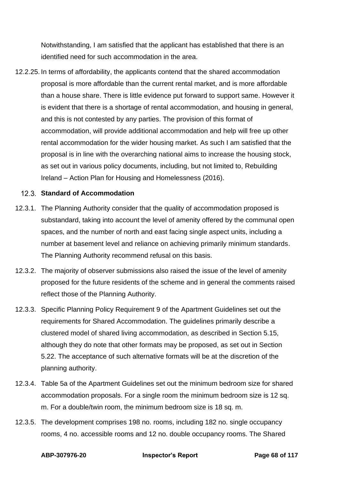Notwithstanding, I am satisfied that the applicant has established that there is an identified need for such accommodation in the area.

12.2.25. In terms of affordability, the applicants contend that the shared accommodation proposal is more affordable than the current rental market, and is more affordable than a house share. There is little evidence put forward to support same. However it is evident that there is a shortage of rental accommodation, and housing in general, and this is not contested by any parties. The provision of this format of accommodation, will provide additional accommodation and help will free up other rental accommodation for the wider housing market. As such I am satisfied that the proposal is in line with the overarching national aims to increase the housing stock, as set out in various policy documents, including, but not limited to, Rebuilding Ireland – Action Plan for Housing and Homelessness (2016).

### **Standard of Accommodation**

- 12.3.1. The Planning Authority consider that the quality of accommodation proposed is substandard, taking into account the level of amenity offered by the communal open spaces, and the number of north and east facing single aspect units, including a number at basement level and reliance on achieving primarily minimum standards. The Planning Authority recommend refusal on this basis.
- 12.3.2. The majority of observer submissions also raised the issue of the level of amenity proposed for the future residents of the scheme and in general the comments raised reflect those of the Planning Authority.
- 12.3.3. Specific Planning Policy Requirement 9 of the Apartment Guidelines set out the requirements for Shared Accommodation. The guidelines primarily describe a clustered model of shared living accommodation, as described in Section 5.15, although they do note that other formats may be proposed, as set out in Section 5.22. The acceptance of such alternative formats will be at the discretion of the planning authority.
- 12.3.4. Table 5a of the Apartment Guidelines set out the minimum bedroom size for shared accommodation proposals. For a single room the minimum bedroom size is 12 sq. m. For a double/twin room, the minimum bedroom size is 18 sq. m.
- 12.3.5. The development comprises 198 no. rooms, including 182 no. single occupancy rooms, 4 no. accessible rooms and 12 no. double occupancy rooms. The Shared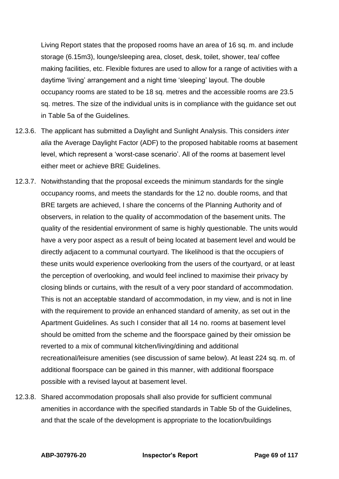Living Report states that the proposed rooms have an area of 16 sq. m. and include storage (6.15m3), lounge/sleeping area, closet, desk, toilet, shower, tea/ coffee making facilities, etc. Flexible fixtures are used to allow for a range of activities with a daytime 'living' arrangement and a night time 'sleeping' layout. The double occupancy rooms are stated to be 18 sq. metres and the accessible rooms are 23.5 sq. metres. The size of the individual units is in compliance with the guidance set out in Table 5a of the Guidelines.

- 12.3.6. The applicant has submitted a Daylight and Sunlight Analysis. This considers *inter alia* the Average Daylight Factor (ADF) to the proposed habitable rooms at basement level, which represent a 'worst-case scenario'. All of the rooms at basement level either meet or achieve BRE Guidelines.
- 12.3.7. Notwithstanding that the proposal exceeds the minimum standards for the single occupancy rooms, and meets the standards for the 12 no. double rooms, and that BRE targets are achieved, I share the concerns of the Planning Authority and of observers, in relation to the quality of accommodation of the basement units. The quality of the residential environment of same is highly questionable. The units would have a very poor aspect as a result of being located at basement level and would be directly adjacent to a communal courtyard. The likelihood is that the occupiers of these units would experience overlooking from the users of the courtyard, or at least the perception of overlooking, and would feel inclined to maximise their privacy by closing blinds or curtains, with the result of a very poor standard of accommodation. This is not an acceptable standard of accommodation, in my view, and is not in line with the requirement to provide an enhanced standard of amenity, as set out in the Apartment Guidelines. As such I consider that all 14 no. rooms at basement level should be omitted from the scheme and the floorspace gained by their omission be reverted to a mix of communal kitchen/living/dining and additional recreational/leisure amenities (see discussion of same below). At least 224 sq. m. of additional floorspace can be gained in this manner, with additional floorspace possible with a revised layout at basement level.
- 12.3.8. Shared accommodation proposals shall also provide for sufficient communal amenities in accordance with the specified standards in Table 5b of the Guidelines, and that the scale of the development is appropriate to the location/buildings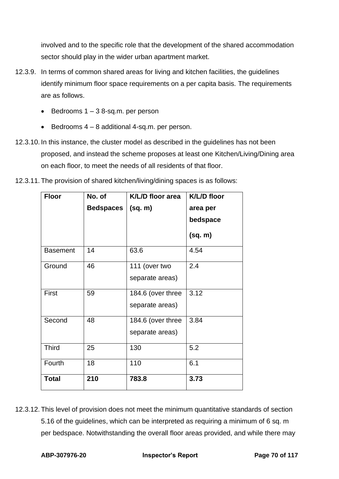involved and to the specific role that the development of the shared accommodation sector should play in the wider urban apartment market.

- 12.3.9. In terms of common shared areas for living and kitchen facilities, the guidelines identify minimum floor space requirements on a per capita basis. The requirements are as follows.
	- $\bullet$  Bedrooms 1 3 8-sq.m. per person
	- Bedrooms 4 8 additional 4-sq.m. per person.
- 12.3.10. In this instance, the cluster model as described in the guidelines has not been proposed, and instead the scheme proposes at least one Kitchen/Living/Dining area on each floor, to meet the needs of all residents of that floor.
- 12.3.11. The provision of shared kitchen/living/dining spaces is as follows:

| <b>Floor</b>    | No. of           | K/L/D floor area  | <b>K/L/D floor</b> |
|-----------------|------------------|-------------------|--------------------|
|                 | <b>Bedspaces</b> | (sq. m)           | area per           |
|                 |                  |                   | bedspace           |
|                 |                  |                   | (sq. m)            |
| <b>Basement</b> | 14               | 63.6              | 4.54               |
| Ground          | 46               | 111 (over two     | 2.4                |
|                 |                  | separate areas)   |                    |
| <b>First</b>    | 59               | 184.6 (over three | 3.12               |
|                 |                  | separate areas)   |                    |
| Second          | 48               | 184.6 (over three | 3.84               |
|                 |                  | separate areas)   |                    |
| <b>Third</b>    | 25               | 130               | 5.2                |
| Fourth          | 18               | 110               | 6.1                |
| <b>Total</b>    | 210              | 783.8             | 3.73               |

12.3.12. This level of provision does not meet the minimum quantitative standards of section 5.16 of the guidelines, which can be interpreted as requiring a minimum of 6 sq. m per bedspace. Notwithstanding the overall floor areas provided, and while there may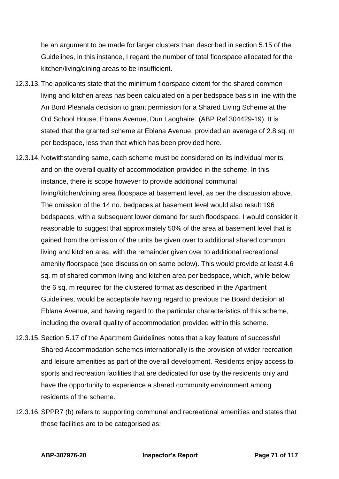be an argument to be made for larger clusters than described in section 5.15 of the Guidelines, in this instance, I regard the number of total floorspace allocated for the kitchen/living/dining areas to be insufficient.

- 12.3.13. The applicants state that the minimum floorspace extent for the shared common living and kitchen areas has been calculated on a per bedspace basis in line with the An Bord Pleanala decision to grant permission for a Shared Living Scheme at the Old School House, Eblana Avenue, Dun Laoghaire. (ABP Ref 304429-19). It is stated that the granted scheme at Eblana Avenue, provided an average of 2.8 sq. m per bedspace, less than that which has been provided here.
- 12.3.14. Notwithstanding same, each scheme must be considered on its individual merits, and on the overall quality of accommodation provided in the scheme. In this instance, there is scope however to provide additional communal living/kitchen/dining area floospace at basement level, as per the discussion above. The omission of the 14 no. bedpaces at basement level would also result 196 bedspaces, with a subsequent lower demand for such floodspace. I would consider it reasonable to suggest that approximately 50% of the area at basement level that is gained from the omission of the units be given over to additional shared common living and kitchen area, with the remainder given over to additional recreational amenity floorspace (see discussion on same below). This would provide at least 4.6 sq. m of shared common living and kitchen area per bedspace, which, while below the 6 sq. m required for the clustered format as described in the Apartment Guidelines, would be acceptable having regard to previous the Board decision at Eblana Avenue, and having regard to the particular characteristics of this scheme, including the overall quality of accommodation provided within this scheme.
- 12.3.15. Section 5.17 of the Apartment Guidelines notes that a key feature of successful Shared Accommodation schemes internationally is the provision of wider recreation and leisure amenities as part of the overall development. Residents enjoy access to sports and recreation facilities that are dedicated for use by the residents only and have the opportunity to experience a shared community environment among residents of the scheme.
- 12.3.16. SPPR7 (b) refers to supporting communal and recreational amenities and states that these facilities are to be categorised as: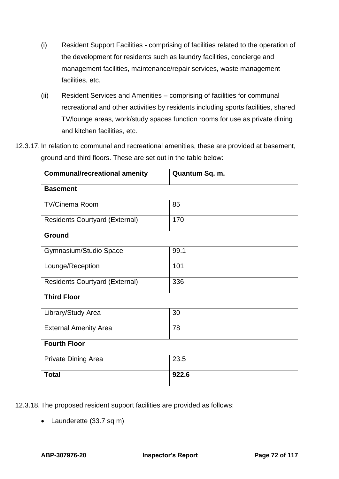- (i) Resident Support Facilities comprising of facilities related to the operation of the development for residents such as laundry facilities, concierge and management facilities, maintenance/repair services, waste management facilities, etc.
- (ii) Resident Services and Amenities comprising of facilities for communal recreational and other activities by residents including sports facilities, shared TV/lounge areas, work/study spaces function rooms for use as private dining and kitchen facilities, etc.
- 12.3.17. In relation to communal and recreational amenities, these are provided at basement, ground and third floors. These are set out in the table below:

| <b>Communal/recreational amenity</b>  | Quantum Sq. m. |
|---------------------------------------|----------------|
| <b>Basement</b>                       |                |
| <b>TV/Cinema Room</b>                 | 85             |
| <b>Residents Courtyard (External)</b> | 170            |
| <b>Ground</b>                         |                |
| Gymnasium/Studio Space                | 99.1           |
| Lounge/Reception                      | 101            |
| <b>Residents Courtyard (External)</b> | 336            |
| <b>Third Floor</b>                    |                |
| Library/Study Area                    | 30             |
| <b>External Amenity Area</b>          | 78             |
| <b>Fourth Floor</b>                   |                |
| <b>Private Dining Area</b>            | 23.5           |
| <b>Total</b>                          | 922.6          |

12.3.18. The proposed resident support facilities are provided as follows:

• Launderette (33.7 sq m)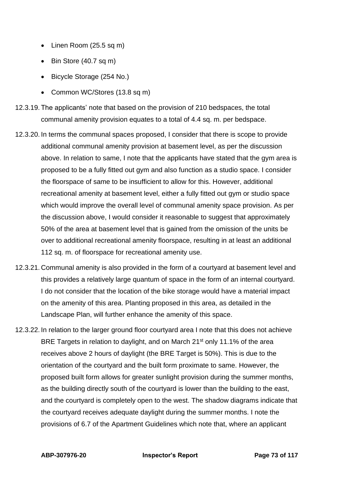- Linen Room (25.5 sq m)
- Bin Store (40.7 sq m)
- Bicycle Storage (254 No.)
- Common WC/Stores (13.8 sq m)
- 12.3.19. The applicants' note that based on the provision of 210 bedspaces, the total communal amenity provision equates to a total of 4.4 sq. m. per bedspace.
- 12.3.20. In terms the communal spaces proposed, I consider that there is scope to provide additional communal amenity provision at basement level, as per the discussion above. In relation to same, I note that the applicants have stated that the gym area is proposed to be a fully fitted out gym and also function as a studio space. I consider the floorspace of same to be insufficient to allow for this. However, additional recreational amenity at basement level, either a fully fitted out gym or studio space which would improve the overall level of communal amenity space provision. As per the discussion above, I would consider it reasonable to suggest that approximately 50% of the area at basement level that is gained from the omission of the units be over to additional recreational amenity floorspace, resulting in at least an additional 112 sq. m. of floorspace for recreational amenity use.
- 12.3.21. Communal amenity is also provided in the form of a courtyard at basement level and this provides a relatively large quantum of space in the form of an internal courtyard. I do not consider that the location of the bike storage would have a material impact on the amenity of this area. Planting proposed in this area, as detailed in the Landscape Plan, will further enhance the amenity of this space.
- 12.3.22. In relation to the larger ground floor courtyard area I note that this does not achieve BRE Targets in relation to daylight, and on March 21<sup>st</sup> only 11.1% of the area receives above 2 hours of daylight (the BRE Target is 50%). This is due to the orientation of the courtyard and the built form proximate to same. However, the proposed built form allows for greater sunlight provision during the summer months, as the building directly south of the courtyard is lower than the building to the east, and the courtyard is completely open to the west. The shadow diagrams indicate that the courtyard receives adequate daylight during the summer months. I note the provisions of 6.7 of the Apartment Guidelines which note that, where an applicant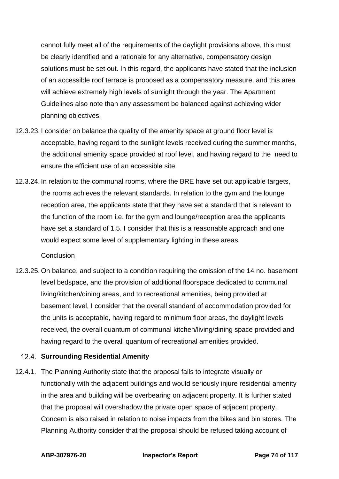cannot fully meet all of the requirements of the daylight provisions above, this must be clearly identified and a rationale for any alternative, compensatory design solutions must be set out. In this regard, the applicants have stated that the inclusion of an accessible roof terrace is proposed as a compensatory measure, and this area will achieve extremely high levels of sunlight through the year. The Apartment Guidelines also note than any assessment be balanced against achieving wider planning objectives.

- 12.3.23. I consider on balance the quality of the amenity space at ground floor level is acceptable, having regard to the sunlight levels received during the summer months, the additional amenity space provided at roof level, and having regard to the need to ensure the efficient use of an accessible site.
- 12.3.24. In relation to the communal rooms, where the BRE have set out applicable targets, the rooms achieves the relevant standards. In relation to the gym and the lounge reception area, the applicants state that they have set a standard that is relevant to the function of the room i.e. for the gym and lounge/reception area the applicants have set a standard of 1.5. I consider that this is a reasonable approach and one would expect some level of supplementary lighting in these areas.

#### **Conclusion**

12.3.25. On balance, and subject to a condition requiring the omission of the 14 no. basement level bedspace, and the provision of additional floorspace dedicated to communal living/kitchen/dining areas, and to recreational amenities, being provided at basement level, I consider that the overall standard of accommodation provided for the units is acceptable, having regard to minimum floor areas, the daylight levels received, the overall quantum of communal kitchen/living/dining space provided and having regard to the overall quantum of recreational amenities provided.

# **Surrounding Residential Amenity**

12.4.1. The Planning Authority state that the proposal fails to integrate visually or functionally with the adjacent buildings and would seriously injure residential amenity in the area and building will be overbearing on adjacent property. It is further stated that the proposal will overshadow the private open space of adjacent property. Concern is also raised in relation to noise impacts from the bikes and bin stores. The Planning Authority consider that the proposal should be refused taking account of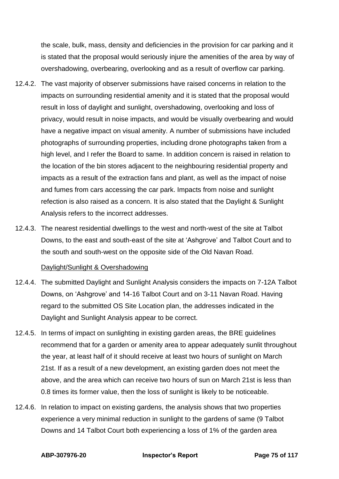the scale, bulk, mass, density and deficiencies in the provision for car parking and it is stated that the proposal would seriously injure the amenities of the area by way of overshadowing, overbearing, overlooking and as a result of overflow car parking.

- 12.4.2. The vast majority of observer submissions have raised concerns in relation to the impacts on surrounding residential amenity and it is stated that the proposal would result in loss of daylight and sunlight, overshadowing, overlooking and loss of privacy, would result in noise impacts, and would be visually overbearing and would have a negative impact on visual amenity. A number of submissions have included photographs of surrounding properties, including drone photographs taken from a high level, and I refer the Board to same. In addition concern is raised in relation to the location of the bin stores adjacent to the neighbouring residential property and impacts as a result of the extraction fans and plant, as well as the impact of noise and fumes from cars accessing the car park. Impacts from noise and sunlight refection is also raised as a concern. It is also stated that the Daylight & Sunlight Analysis refers to the incorrect addresses.
- 12.4.3. The nearest residential dwellings to the west and north-west of the site at Talbot Downs, to the east and south-east of the site at 'Ashgrove' and Talbot Court and to the south and south-west on the opposite side of the Old Navan Road.

#### Daylight/Sunlight & Overshadowing

- 12.4.4. The submitted Daylight and Sunlight Analysis considers the impacts on 7-12A Talbot Downs, on 'Ashgrove' and 14-16 Talbot Court and on 3-11 Navan Road. Having regard to the submitted OS Site Location plan, the addresses indicated in the Daylight and Sunlight Analysis appear to be correct.
- 12.4.5. In terms of impact on sunlighting in existing garden areas, the BRE guidelines recommend that for a garden or amenity area to appear adequately sunlit throughout the year, at least half of it should receive at least two hours of sunlight on March 21st. If as a result of a new development, an existing garden does not meet the above, and the area which can receive two hours of sun on March 21st is less than 0.8 times its former value, then the loss of sunlight is likely to be noticeable.
- 12.4.6. In relation to impact on existing gardens, the analysis shows that two properties experience a very minimal reduction in sunlight to the gardens of same (9 Talbot Downs and 14 Talbot Court both experiencing a loss of 1% of the garden area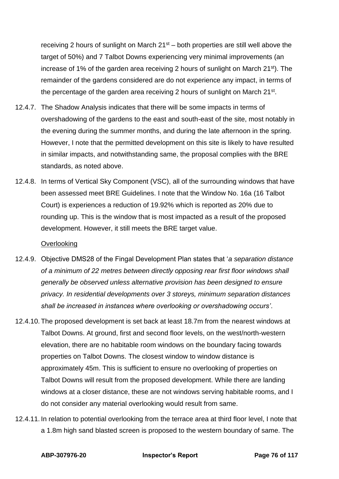receiving 2 hours of sunlight on March  $21<sup>st</sup>$  – both properties are still well above the target of 50%) and 7 Talbot Downs experiencing very minimal improvements (an increase of 1% of the garden area receiving 2 hours of sunlight on March 21<sup>st</sup>). The remainder of the gardens considered are do not experience any impact, in terms of the percentage of the garden area receiving 2 hours of sunlight on March  $21^{st}$ .

- 12.4.7. The Shadow Analysis indicates that there will be some impacts in terms of overshadowing of the gardens to the east and south-east of the site, most notably in the evening during the summer months, and during the late afternoon in the spring. However, I note that the permitted development on this site is likely to have resulted in similar impacts, and notwithstanding same, the proposal complies with the BRE standards, as noted above.
- 12.4.8. In terms of Vertical Sky Component (VSC), all of the surrounding windows that have been assessed meet BRE Guidelines. I note that the Window No. 16a (16 Talbot Court) is experiences a reduction of 19.92% which is reported as 20% due to rounding up. This is the window that is most impacted as a result of the proposed development. However, it still meets the BRE target value.

#### **Overlooking**

- 12.4.9. Objective DMS28 of the Fingal Development Plan states that '*a separation distance of a minimum of 22 metres between directly opposing rear first floor windows shall generally be observed unless alternative provision has been designed to ensure privacy. In residential developments over 3 storeys, minimum separation distances shall be increased in instances where overlooking or overshadowing occurs'*.
- 12.4.10. The proposed development is set back at least 18.7m from the nearest windows at Talbot Downs. At ground, first and second floor levels, on the west/north-western elevation, there are no habitable room windows on the boundary facing towards properties on Talbot Downs. The closest window to window distance is approximately 45m. This is sufficient to ensure no overlooking of properties on Talbot Downs will result from the proposed development. While there are landing windows at a closer distance, these are not windows serving habitable rooms, and I do not consider any material overlooking would result from same.
- 12.4.11. In relation to potential overlooking from the terrace area at third floor level, I note that a 1.8m high sand blasted screen is proposed to the western boundary of same. The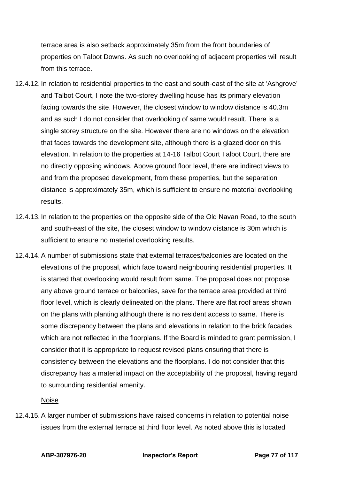terrace area is also setback approximately 35m from the front boundaries of properties on Talbot Downs. As such no overlooking of adjacent properties will result from this terrace.

- 12.4.12. In relation to residential properties to the east and south-east of the site at 'Ashgrove' and Talbot Court, I note the two-storey dwelling house has its primary elevation facing towards the site. However, the closest window to window distance is 40.3m and as such I do not consider that overlooking of same would result. There is a single storey structure on the site. However there are no windows on the elevation that faces towards the development site, although there is a glazed door on this elevation. In relation to the properties at 14-16 Talbot Court Talbot Court, there are no directly opposing windows. Above ground floor level, there are indirect views to and from the proposed development, from these properties, but the separation distance is approximately 35m, which is sufficient to ensure no material overlooking results.
- 12.4.13. In relation to the properties on the opposite side of the Old Navan Road, to the south and south-east of the site, the closest window to window distance is 30m which is sufficient to ensure no material overlooking results.
- 12.4.14. A number of submissions state that external terraces/balconies are located on the elevations of the proposal, which face toward neighbouring residential properties. It is started that overlooking would result from same. The proposal does not propose any above ground terrace or balconies, save for the terrace area provided at third floor level, which is clearly delineated on the plans. There are flat roof areas shown on the plans with planting although there is no resident access to same. There is some discrepancy between the plans and elevations in relation to the brick facades which are not reflected in the floorplans. If the Board is minded to grant permission, I consider that it is appropriate to request revised plans ensuring that there is consistency between the elevations and the floorplans. I do not consider that this discrepancy has a material impact on the acceptability of the proposal, having regard to surrounding residential amenity.

#### Noise

12.4.15. A larger number of submissions have raised concerns in relation to potential noise issues from the external terrace at third floor level. As noted above this is located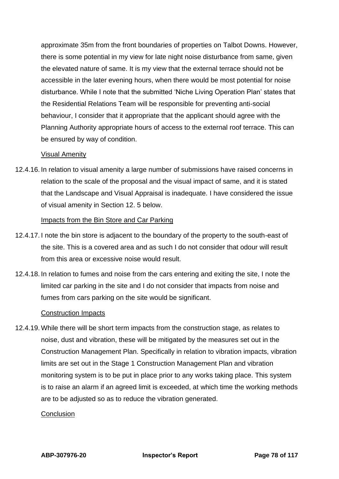approximate 35m from the front boundaries of properties on Talbot Downs. However, there is some potential in my view for late night noise disturbance from same, given the elevated nature of same. It is my view that the external terrace should not be accessible in the later evening hours, when there would be most potential for noise disturbance. While I note that the submitted 'Niche Living Operation Plan' states that the Residential Relations Team will be responsible for preventing anti-social behaviour, I consider that it appropriate that the applicant should agree with the Planning Authority appropriate hours of access to the external roof terrace. This can be ensured by way of condition.

#### Visual Amenity

12.4.16. In relation to visual amenity a large number of submissions have raised concerns in relation to the scale of the proposal and the visual impact of same, and it is stated that the Landscape and Visual Appraisal is inadequate. I have considered the issue of visual amenity in Section 12. 5 below.

#### Impacts from the Bin Store and Car Parking

- 12.4.17. I note the bin store is adjacent to the boundary of the property to the south-east of the site. This is a covered area and as such I do not consider that odour will result from this area or excessive noise would result.
- 12.4.18. In relation to fumes and noise from the cars entering and exiting the site, I note the limited car parking in the site and I do not consider that impacts from noise and fumes from cars parking on the site would be significant.

#### Construction Impacts

12.4.19. While there will be short term impacts from the construction stage, as relates to noise, dust and vibration, these will be mitigated by the measures set out in the Construction Management Plan. Specifically in relation to vibration impacts, vibration limits are set out in the Stage 1 Construction Management Plan and vibration monitoring system is to be put in place prior to any works taking place. This system is to raise an alarm if an agreed limit is exceeded, at which time the working methods are to be adjusted so as to reduce the vibration generated.

#### **Conclusion**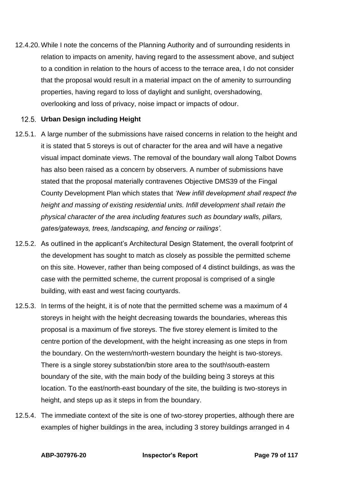12.4.20. While I note the concerns of the Planning Authority and of surrounding residents in relation to impacts on amenity, having regard to the assessment above, and subject to a condition in relation to the hours of access to the terrace area, I do not consider that the proposal would result in a material impact on the of amenity to surrounding properties, having regard to loss of daylight and sunlight, overshadowing, overlooking and loss of privacy, noise impact or impacts of odour.

## **Urban Design including Height**

- 12.5.1. A large number of the submissions have raised concerns in relation to the height and it is stated that 5 storeys is out of character for the area and will have a negative visual impact dominate views. The removal of the boundary wall along Talbot Downs has also been raised as a concern by observers. A number of submissions have stated that the proposal materially contravenes Objective DMS39 of the Fingal County Development Plan which states that *'New infill development shall respect the height and massing of existing residential units. Infill development shall retain the physical character of the area including features such as boundary walls, pillars, gates/gateways, trees, landscaping, and fencing or railings'.*
- 12.5.2. As outlined in the applicant's Architectural Design Statement, the overall footprint of the development has sought to match as closely as possible the permitted scheme on this site. However, rather than being composed of 4 distinct buildings, as was the case with the permitted scheme, the current proposal is comprised of a single building, with east and west facing courtyards.
- 12.5.3. In terms of the height, it is of note that the permitted scheme was a maximum of 4 storeys in height with the height decreasing towards the boundaries, whereas this proposal is a maximum of five storeys. The five storey element is limited to the centre portion of the development, with the height increasing as one steps in from the boundary. On the western/north-western boundary the height is two-storeys. There is a single storey substation/bin store area to the south\south-eastern boundary of the site, with the main body of the building being 3 storeys at this location. To the east/north-east boundary of the site, the building is two-storeys in height, and steps up as it steps in from the boundary.
- 12.5.4. The immediate context of the site is one of two-storey properties, although there are examples of higher buildings in the area, including 3 storey buildings arranged in 4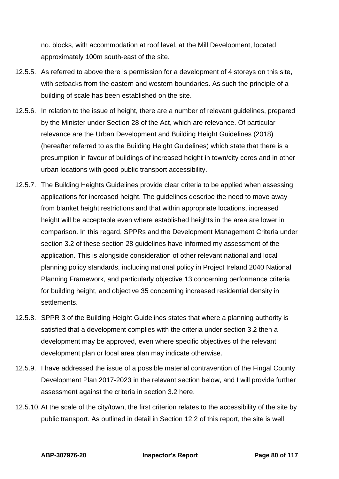no. blocks, with accommodation at roof level, at the Mill Development, located approximately 100m south-east of the site.

- 12.5.5. As referred to above there is permission for a development of 4 storeys on this site, with setbacks from the eastern and western boundaries. As such the principle of a building of scale has been established on the site.
- 12.5.6. In relation to the issue of height, there are a number of relevant guidelines, prepared by the Minister under Section 28 of the Act, which are relevance. Of particular relevance are the Urban Development and Building Height Guidelines (2018) (hereafter referred to as the Building Height Guidelines) which state that there is a presumption in favour of buildings of increased height in town/city cores and in other urban locations with good public transport accessibility.
- 12.5.7. The Building Heights Guidelines provide clear criteria to be applied when assessing applications for increased height. The guidelines describe the need to move away from blanket height restrictions and that within appropriate locations, increased height will be acceptable even where established heights in the area are lower in comparison. In this regard, SPPRs and the Development Management Criteria under section 3.2 of these section 28 guidelines have informed my assessment of the application. This is alongside consideration of other relevant national and local planning policy standards, including national policy in Project Ireland 2040 National Planning Framework, and particularly objective 13 concerning performance criteria for building height, and objective 35 concerning increased residential density in settlements.
- 12.5.8. SPPR 3 of the Building Height Guidelines states that where a planning authority is satisfied that a development complies with the criteria under section 3.2 then a development may be approved, even where specific objectives of the relevant development plan or local area plan may indicate otherwise.
- 12.5.9. I have addressed the issue of a possible material contravention of the Fingal County Development Plan 2017-2023 in the relevant section below, and I will provide further assessment against the criteria in section 3.2 here.
- 12.5.10. At the scale of the city/town, the first criterion relates to the accessibility of the site by public transport. As outlined in detail in Section 12.2 of this report, the site is well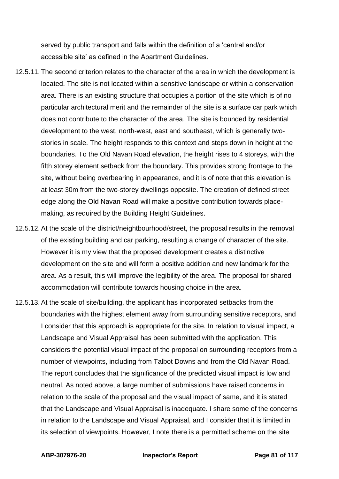served by public transport and falls within the definition of a 'central and/or accessible site' as defined in the Apartment Guidelines.

- 12.5.11. The second criterion relates to the character of the area in which the development is located. The site is not located within a sensitive landscape or within a conservation area. There is an existing structure that occupies a portion of the site which is of no particular architectural merit and the remainder of the site is a surface car park which does not contribute to the character of the area. The site is bounded by residential development to the west, north-west, east and southeast, which is generally twostories in scale. The height responds to this context and steps down in height at the boundaries. To the Old Navan Road elevation, the height rises to 4 storeys, with the fifth storey element setback from the boundary. This provides strong frontage to the site, without being overbearing in appearance, and it is of note that this elevation is at least 30m from the two-storey dwellings opposite. The creation of defined street edge along the Old Navan Road will make a positive contribution towards placemaking, as required by the Building Height Guidelines.
- 12.5.12. At the scale of the district/neightbourhood/street, the proposal results in the removal of the existing building and car parking, resulting a change of character of the site. However it is my view that the proposed development creates a distinctive development on the site and will form a positive addition and new landmark for the area. As a result, this will improve the legibility of the area. The proposal for shared accommodation will contribute towards housing choice in the area.
- 12.5.13. At the scale of site/building, the applicant has incorporated setbacks from the boundaries with the highest element away from surrounding sensitive receptors, and I consider that this approach is appropriate for the site. In relation to visual impact, a Landscape and Visual Appraisal has been submitted with the application. This considers the potential visual impact of the proposal on surrounding receptors from a number of viewpoints, including from Talbot Downs and from the Old Navan Road. The report concludes that the significance of the predicted visual impact is low and neutral. As noted above, a large number of submissions have raised concerns in relation to the scale of the proposal and the visual impact of same, and it is stated that the Landscape and Visual Appraisal is inadequate. I share some of the concerns in relation to the Landscape and Visual Appraisal, and I consider that it is limited in its selection of viewpoints. However, I note there is a permitted scheme on the site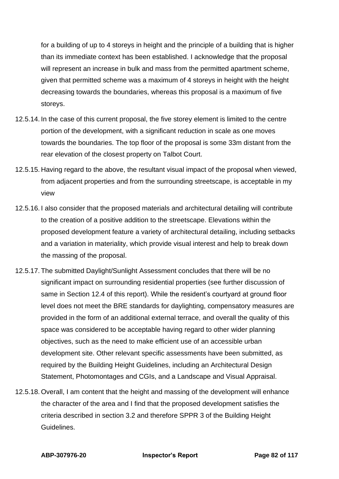for a building of up to 4 storeys in height and the principle of a building that is higher than its immediate context has been established. I acknowledge that the proposal will represent an increase in bulk and mass from the permitted apartment scheme, given that permitted scheme was a maximum of 4 storeys in height with the height decreasing towards the boundaries, whereas this proposal is a maximum of five storeys.

- 12.5.14. In the case of this current proposal, the five storey element is limited to the centre portion of the development, with a significant reduction in scale as one moves towards the boundaries. The top floor of the proposal is some 33m distant from the rear elevation of the closest property on Talbot Court.
- 12.5.15. Having regard to the above, the resultant visual impact of the proposal when viewed, from adjacent properties and from the surrounding streetscape, is acceptable in my view
- 12.5.16. I also consider that the proposed materials and architectural detailing will contribute to the creation of a positive addition to the streetscape. Elevations within the proposed development feature a variety of architectural detailing, including setbacks and a variation in materiality, which provide visual interest and help to break down the massing of the proposal.
- 12.5.17. The submitted Daylight/Sunlight Assessment concludes that there will be no significant impact on surrounding residential properties (see further discussion of same in Section 12.4 of this report). While the resident's courtyard at ground floor level does not meet the BRE standards for daylighting, compensatory measures are provided in the form of an additional external terrace, and overall the quality of this space was considered to be acceptable having regard to other wider planning objectives, such as the need to make efficient use of an accessible urban development site. Other relevant specific assessments have been submitted, as required by the Building Height Guidelines, including an Architectural Design Statement, Photomontages and CGIs, and a Landscape and Visual Appraisal.
- 12.5.18. Overall, I am content that the height and massing of the development will enhance the character of the area and I find that the proposed development satisfies the criteria described in section 3.2 and therefore SPPR 3 of the Building Height Guidelines.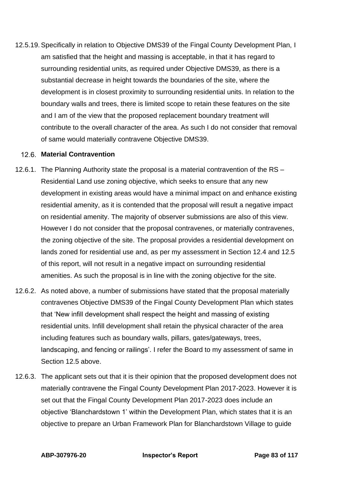12.5.19. Specifically in relation to Objective DMS39 of the Fingal County Development Plan, I am satisfied that the height and massing is acceptable, in that it has regard to surrounding residential units, as required under Objective DMS39, as there is a substantial decrease in height towards the boundaries of the site, where the development is in closest proximity to surrounding residential units. In relation to the boundary walls and trees, there is limited scope to retain these features on the site and I am of the view that the proposed replacement boundary treatment will contribute to the overall character of the area. As such I do not consider that removal of same would materially contravene Objective DMS39.

#### **Material Contravention**

- 12.6.1. The Planning Authority state the proposal is a material contravention of the RS Residential Land use zoning objective, which seeks to ensure that any new development in existing areas would have a minimal impact on and enhance existing residential amenity, as it is contended that the proposal will result a negative impact on residential amenity. The majority of observer submissions are also of this view. However I do not consider that the proposal contravenes, or materially contravenes, the zoning objective of the site. The proposal provides a residential development on lands zoned for residential use and, as per my assessment in Section 12.4 and 12.5 of this report, will not result in a negative impact on surrounding residential amenities. As such the proposal is in line with the zoning objective for the site.
- 12.6.2. As noted above, a number of submissions have stated that the proposal materially contravenes Objective DMS39 of the Fingal County Development Plan which states that 'New infill development shall respect the height and massing of existing residential units. Infill development shall retain the physical character of the area including features such as boundary walls, pillars, gates/gateways, trees, landscaping, and fencing or railings'. I refer the Board to my assessment of same in Section 12.5 above.
- 12.6.3. The applicant sets out that it is their opinion that the proposed development does not materially contravene the Fingal County Development Plan 2017-2023. However it is set out that the Fingal County Development Plan 2017-2023 does include an objective 'Blanchardstown 1' within the Development Plan, which states that it is an objective to prepare an Urban Framework Plan for Blanchardstown Village to guide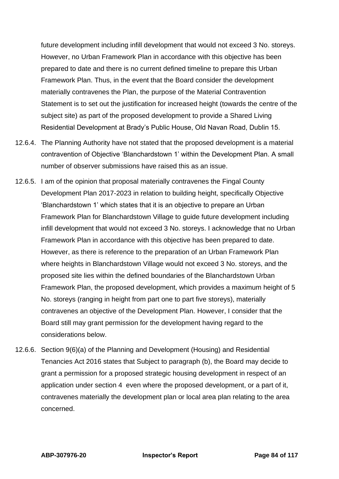future development including infill development that would not exceed 3 No. storeys. However, no Urban Framework Plan in accordance with this objective has been prepared to date and there is no current defined timeline to prepare this Urban Framework Plan. Thus, in the event that the Board consider the development materially contravenes the Plan, the purpose of the Material Contravention Statement is to set out the justification for increased height (towards the centre of the subject site) as part of the proposed development to provide a Shared Living Residential Development at Brady's Public House, Old Navan Road, Dublin 15.

- 12.6.4. The Planning Authority have not stated that the proposed development is a material contravention of Objective 'Blanchardstown 1' within the Development Plan. A small number of observer submissions have raised this as an issue.
- 12.6.5. I am of the opinion that proposal materially contravenes the Fingal County Development Plan 2017-2023 in relation to building height, specifically Objective 'Blanchardstown 1' which states that it is an objective to prepare an Urban Framework Plan for Blanchardstown Village to guide future development including infill development that would not exceed 3 No. storeys. I acknowledge that no Urban Framework Plan in accordance with this objective has been prepared to date. However, as there is reference to the preparation of an Urban Framework Plan where heights in Blanchardstown Village would not exceed 3 No. storeys, and the proposed site lies within the defined boundaries of the Blanchardstown Urban Framework Plan, the proposed development, which provides a maximum height of 5 No. storeys (ranging in height from part one to part five storeys), materially contravenes an objective of the Development Plan. However, I consider that the Board still may grant permission for the development having regard to the considerations below.
- 12.6.6. Section 9(6)(a) of the Planning and Development (Housing) and Residential Tenancies Act 2016 states that Subject to paragraph (b), the Board may decide to grant a permission for a proposed strategic housing development in respect of an application under section 4 even where the proposed development, or a part of it, contravenes materially the development plan or local area plan relating to the area concerned.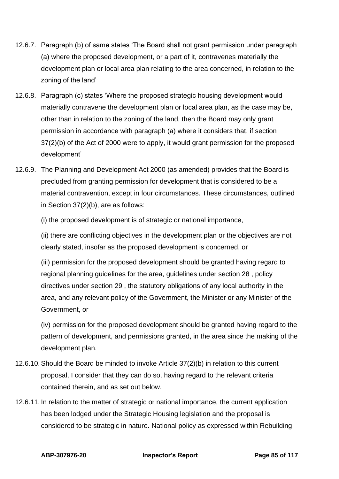- 12.6.7. Paragraph (b) of same states 'The Board shall not grant permission under paragraph (a) where the proposed development, or a part of it, contravenes materially the development plan or local area plan relating to the area concerned, in relation to the zoning of the land'
- 12.6.8. Paragraph (c) states 'Where the proposed strategic housing development would materially contravene the development plan or local area plan, as the case may be, other than in relation to the zoning of the land, then the Board may only grant permission in accordance with paragraph (a) where it considers that, if section 37(2)(b) of the Act of 2000 were to apply, it would grant permission for the proposed development'
- 12.6.9. The Planning and Development Act 2000 (as amended) provides that the Board is precluded from granting permission for development that is considered to be a material contravention, except in four circumstances. These circumstances, outlined in Section 37(2)(b), are as follows:

(i) the proposed development is of strategic or national importance,

(ii) there are conflicting objectives in the development plan or the objectives are not clearly stated, insofar as the proposed development is concerned, or

(iii) permission for the proposed development should be granted having regard to regional planning guidelines for the area, guidelines under section 28 , policy directives under section 29 , the statutory obligations of any local authority in the area, and any relevant policy of the Government, the Minister or any Minister of the Government, or

(iv) permission for the proposed development should be granted having regard to the pattern of development, and permissions granted, in the area since the making of the development plan.

- 12.6.10. Should the Board be minded to invoke Article 37(2)(b) in relation to this current proposal, I consider that they can do so, having regard to the relevant criteria contained therein, and as set out below.
- 12.6.11. In relation to the matter of strategic or national importance, the current application has been lodged under the Strategic Housing legislation and the proposal is considered to be strategic in nature. National policy as expressed within Rebuilding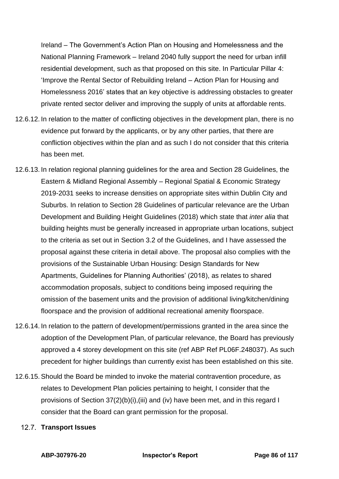Ireland – The Government's Action Plan on Housing and Homelessness and the National Planning Framework – Ireland 2040 fully support the need for urban infill residential development, such as that proposed on this site. In Particular Pillar 4: 'Improve the Rental Sector of Rebuilding Ireland – Action Plan for Housing and Homelessness 2016' states that an key objective is addressing obstacles to greater private rented sector deliver and improving the supply of units at affordable rents.

- 12.6.12. In relation to the matter of conflicting objectives in the development plan, there is no evidence put forward by the applicants, or by any other parties, that there are confliction objectives within the plan and as such I do not consider that this criteria has been met.
- 12.6.13. In relation regional planning guidelines for the area and Section 28 Guidelines, the Eastern & Midland Regional Assembly – Regional Spatial & Economic Strategy 2019-2031 seeks to increase densities on appropriate sites within Dublin City and Suburbs. In relation to Section 28 Guidelines of particular relevance are the Urban Development and Building Height Guidelines (2018) which state that *inter alia* that building heights must be generally increased in appropriate urban locations, subject to the criteria as set out in Section 3.2 of the Guidelines, and I have assessed the proposal against these criteria in detail above. The proposal also complies with the provisions of the Sustainable Urban Housing: Design Standards for New Apartments, Guidelines for Planning Authorities' (2018), as relates to shared accommodation proposals, subject to conditions being imposed requiring the omission of the basement units and the provision of additional living/kitchen/dining floorspace and the provision of additional recreational amenity floorspace.
- 12.6.14. In relation to the pattern of development/permissions granted in the area since the adoption of the Development Plan, of particular relevance, the Board has previously approved a 4 storey development on this site (ref ABP Ref PL06F.248037). As such precedent for higher buildings than currently exist has been established on this site.
- 12.6.15. Should the Board be minded to invoke the material contravention procedure, as relates to Development Plan policies pertaining to height, I consider that the provisions of Section 37(2)(b)(i),(iii) and (iv) have been met, and in this regard I consider that the Board can grant permission for the proposal.

#### **Transport Issues**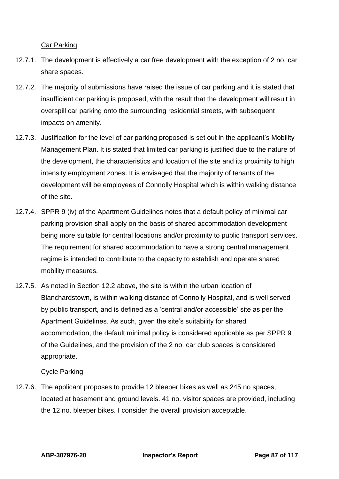Car Parking

- 12.7.1. The development is effectively a car free development with the exception of 2 no. car share spaces.
- 12.7.2. The majority of submissions have raised the issue of car parking and it is stated that insufficient car parking is proposed, with the result that the development will result in overspill car parking onto the surrounding residential streets, with subsequent impacts on amenity.
- 12.7.3. Justification for the level of car parking proposed is set out in the applicant's Mobility Management Plan. It is stated that limited car parking is justified due to the nature of the development, the characteristics and location of the site and its proximity to high intensity employment zones. It is envisaged that the majority of tenants of the development will be employees of Connolly Hospital which is within walking distance of the site.
- 12.7.4. SPPR 9 (iv) of the Apartment Guidelines notes that a default policy of minimal car parking provision shall apply on the basis of shared accommodation development being more suitable for central locations and/or proximity to public transport services. The requirement for shared accommodation to have a strong central management regime is intended to contribute to the capacity to establish and operate shared mobility measures.
- 12.7.5. As noted in Section 12.2 above, the site is within the urban location of Blanchardstown, is within walking distance of Connolly Hospital, and is well served by public transport, and is defined as a 'central and/or accessible' site as per the Apartment Guidelines. As such, given the site's suitability for shared accommodation, the default minimal policy is considered applicable as per SPPR 9 of the Guidelines, and the provision of the 2 no. car club spaces is considered appropriate.

# Cycle Parking

12.7.6. The applicant proposes to provide 12 bleeper bikes as well as 245 no spaces, located at basement and ground levels. 41 no. visitor spaces are provided, including the 12 no. bleeper bikes. I consider the overall provision acceptable.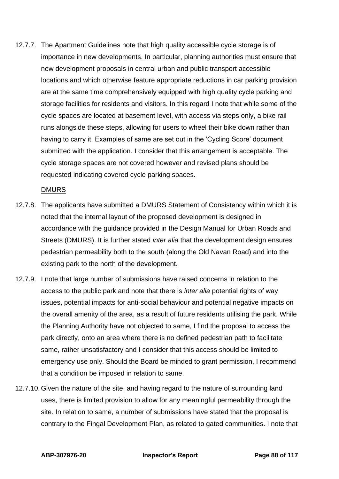12.7.7. The Apartment Guidelines note that high quality accessible cycle storage is of importance in new developments. In particular, planning authorities must ensure that new development proposals in central urban and public transport accessible locations and which otherwise feature appropriate reductions in car parking provision are at the same time comprehensively equipped with high quality cycle parking and storage facilities for residents and visitors. In this regard I note that while some of the cycle spaces are located at basement level, with access via steps only, a bike rail runs alongside these steps, allowing for users to wheel their bike down rather than having to carry it. Examples of same are set out in the 'Cycling Score' document submitted with the application. I consider that this arrangement is acceptable. The cycle storage spaces are not covered however and revised plans should be requested indicating covered cycle parking spaces.

#### DMURS

- 12.7.8. The applicants have submitted a DMURS Statement of Consistency within which it is noted that the internal layout of the proposed development is designed in accordance with the guidance provided in the Design Manual for Urban Roads and Streets (DMURS). It is further stated *inter alia* that the development design ensures pedestrian permeability both to the south (along the Old Navan Road) and into the existing park to the north of the development.
- 12.7.9. I note that large number of submissions have raised concerns in relation to the access to the public park and note that there is *inter alia* potential rights of way issues, potential impacts for anti-social behaviour and potential negative impacts on the overall amenity of the area, as a result of future residents utilising the park. While the Planning Authority have not objected to same, I find the proposal to access the park directly, onto an area where there is no defined pedestrian path to facilitate same, rather unsatisfactory and I consider that this access should be limited to emergency use only. Should the Board be minded to grant permission, I recommend that a condition be imposed in relation to same.
- 12.7.10. Given the nature of the site, and having regard to the nature of surrounding land uses, there is limited provision to allow for any meaningful permeability through the site. In relation to same, a number of submissions have stated that the proposal is contrary to the Fingal Development Plan, as related to gated communities. I note that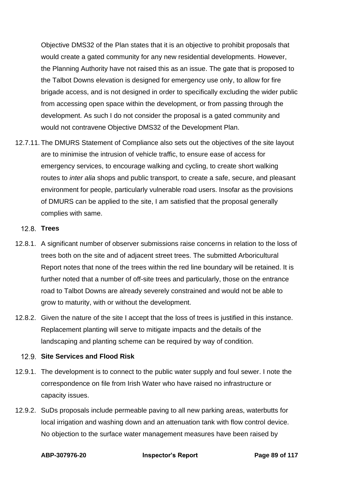Objective DMS32 of the Plan states that it is an objective to prohibit proposals that would create a gated community for any new residential developments. However, the Planning Authority have not raised this as an issue. The gate that is proposed to the Talbot Downs elevation is designed for emergency use only, to allow for fire brigade access, and is not designed in order to specifically excluding the wider public from accessing open space within the development, or from passing through the development. As such I do not consider the proposal is a gated community and would not contravene Objective DMS32 of the Development Plan.

12.7.11. The DMURS Statement of Compliance also sets out the objectives of the site layout are to minimise the intrusion of vehicle traffic, to ensure ease of access for emergency services, to encourage walking and cycling, to create short walking routes to *inter alia* shops and public transport, to create a safe, secure, and pleasant environment for people, particularly vulnerable road users. Insofar as the provisions of DMURS can be applied to the site, I am satisfied that the proposal generally complies with same.

#### **Trees**

- 12.8.1. A significant number of observer submissions raise concerns in relation to the loss of trees both on the site and of adjacent street trees. The submitted Arboricultural Report notes that none of the trees within the red line boundary will be retained. It is further noted that a number of off-site trees and particularly, those on the entrance road to Talbot Downs are already severely constrained and would not be able to grow to maturity, with or without the development.
- 12.8.2. Given the nature of the site I accept that the loss of trees is justified in this instance. Replacement planting will serve to mitigate impacts and the details of the landscaping and planting scheme can be required by way of condition.

#### **12.9 Site Services and Flood Risk**

- 12.9.1. The development is to connect to the public water supply and foul sewer. I note the correspondence on file from Irish Water who have raised no infrastructure or capacity issues.
- 12.9.2. SuDs proposals include permeable paving to all new parking areas, waterbutts for local irrigation and washing down and an attenuation tank with flow control device. No objection to the surface water management measures have been raised by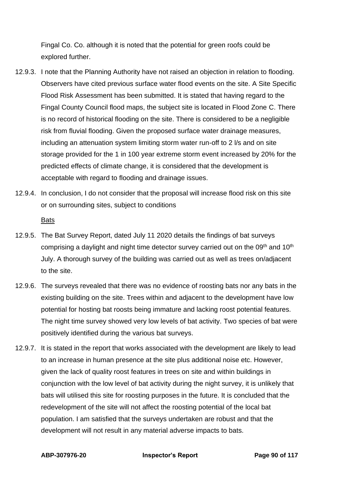Fingal Co. Co. although it is noted that the potential for green roofs could be explored further.

- 12.9.3. I note that the Planning Authority have not raised an objection in relation to flooding. Observers have cited previous surface water flood events on the site. A Site Specific Flood Risk Assessment has been submitted. It is stated that having regard to the Fingal County Council flood maps, the subject site is located in Flood Zone C. There is no record of historical flooding on the site. There is considered to be a negligible risk from fluvial flooding. Given the proposed surface water drainage measures, including an attenuation system limiting storm water run-off to 2 l/s and on site storage provided for the 1 in 100 year extreme storm event increased by 20% for the predicted effects of climate change, it is considered that the development is acceptable with regard to flooding and drainage issues.
- 12.9.4. In conclusion, I do not consider that the proposal will increase flood risk on this site or on surrounding sites, subject to conditions

Bats

- 12.9.5. The Bat Survey Report, dated July 11 2020 details the findings of bat surveys comprising a daylight and night time detector survey carried out on the 09<sup>th</sup> and 10<sup>th</sup> July. A thorough survey of the building was carried out as well as trees on/adjacent to the site.
- 12.9.6. The surveys revealed that there was no evidence of roosting bats nor any bats in the existing building on the site. Trees within and adjacent to the development have low potential for hosting bat roosts being immature and lacking roost potential features. The night time survey showed very low levels of bat activity. Two species of bat were positively identified during the various bat surveys.
- 12.9.7. It is stated in the report that works associated with the development are likely to lead to an increase in human presence at the site plus additional noise etc. However, given the lack of quality roost features in trees on site and within buildings in conjunction with the low level of bat activity during the night survey, it is unlikely that bats will utilised this site for roosting purposes in the future. It is concluded that the redevelopment of the site will not affect the roosting potential of the local bat population. I am satisfied that the surveys undertaken are robust and that the development will not result in any material adverse impacts to bats.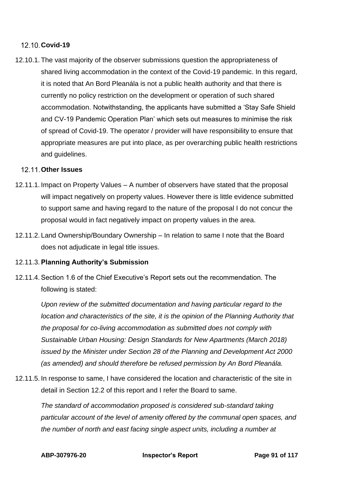## **Covid-19**

12.10.1. The vast majority of the observer submissions question the appropriateness of shared living accommodation in the context of the Covid-19 pandemic. In this regard, it is noted that An Bord Pleanála is not a public health authority and that there is currently no policy restriction on the development or operation of such shared accommodation. Notwithstanding, the applicants have submitted a 'Stay Safe Shield and CV-19 Pandemic Operation Plan' which sets out measures to minimise the risk of spread of Covid-19. The operator / provider will have responsibility to ensure that appropriate measures are put into place, as per overarching public health restrictions and guidelines.

#### **Other Issues**

- 12.11.1. Impact on Property Values A number of observers have stated that the proposal will impact negatively on property values. However there is little evidence submitted to support same and having regard to the nature of the proposal I do not concur the proposal would in fact negatively impact on property values in the area.
- 12.11.2. Land Ownership/Boundary Ownership In relation to same I note that the Board does not adjudicate in legal title issues.

#### 12.11.3. **Planning Authority's Submission**

12.11.4. Section 1.6 of the Chief Executive's Report sets out the recommendation. The following is stated:

*Upon review of the submitted documentation and having particular regard to the location and characteristics of the site, it is the opinion of the Planning Authority that the proposal for co-living accommodation as submitted does not comply with Sustainable Urban Housing: Design Standards for New Apartments (March 2018) issued by the Minister under Section 28 of the Planning and Development Act 2000 (as amended) and should therefore be refused permission by An Bord Pleanála.* 

12.11.5. In response to same, I have considered the location and characteristic of the site in detail in Section 12.2 of this report and I refer the Board to same.

*The standard of accommodation proposed is considered sub-standard taking particular account of the level of amenity offered by the communal open spaces, and the number of north and east facing single aspect units, including a number at*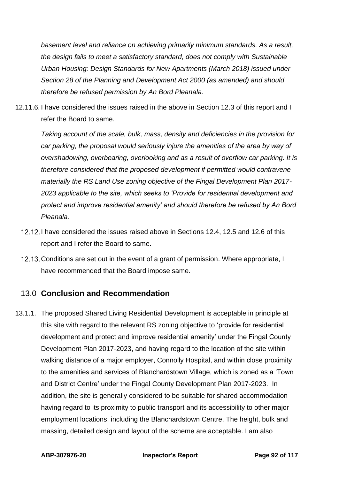*basement level and reliance on achieving primarily minimum standards. As a result, the design fails to meet a satisfactory standard, does not comply with Sustainable Urban Housing: Design Standards for New Apartments (March 2018) issued under Section 28 of the Planning and Development Act 2000 (as amended) and should therefore be refused permission by An Bord Pleanala*.

12.11.6. I have considered the issues raised in the above in Section 12.3 of this report and I refer the Board to same.

*Taking account of the scale, bulk, mass, density and deficiencies in the provision for car parking, the proposal would seriously injure the amenities of the area by way of overshadowing, overbearing, overlooking and as a result of overflow car parking. It is therefore considered that the proposed development if permitted would contravene materially the RS Land Use zoning objective of the Fingal Development Plan 2017- 2023 applicable to the site, which seeks to 'Provide for residential development and protect and improve residential amenity' and should therefore be refused by An Bord Pleanala.* 

- 12.12. I have considered the issues raised above in Sections 12.4, 12.5 and 12.6 of this report and I refer the Board to same.
- 12.13. Conditions are set out in the event of a grant of permission. Where appropriate, I have recommended that the Board impose same.

# 13.0 **Conclusion and Recommendation**

13.1.1. The proposed Shared Living Residential Development is acceptable in principle at this site with regard to the relevant RS zoning objective to 'provide for residential development and protect and improve residential amenity' under the Fingal County Development Plan 2017-2023, and having regard to the location of the site within walking distance of a major employer, Connolly Hospital, and within close proximity to the amenities and services of Blanchardstown Village, which is zoned as a 'Town and District Centre' under the Fingal County Development Plan 2017-2023. In addition, the site is generally considered to be suitable for shared accommodation having regard to its proximity to public transport and its accessibility to other major employment locations, including the Blanchardstown Centre. The height, bulk and massing, detailed design and layout of the scheme are acceptable. I am also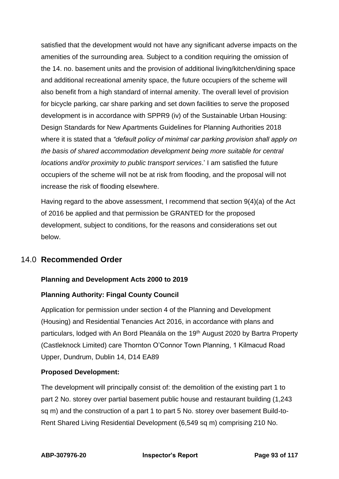satisfied that the development would not have any significant adverse impacts on the amenities of the surrounding area. Subject to a condition requiring the omission of the 14. no. basement units and the provision of additional living/kitchen/dining space and additional recreational amenity space, the future occupiers of the scheme will also benefit from a high standard of internal amenity. The overall level of provision for bicycle parking, car share parking and set down facilities to serve the proposed development is in accordance with SPPR9 (iv) of the Sustainable Urban Housing: Design Standards for New Apartments Guidelines for Planning Authorities 2018 where it is stated that a *"default policy of minimal car parking provision shall apply on the basis of shared accommodation development being more suitable for central locations and/or proximity to public transport services*.' I am satisfied the future occupiers of the scheme will not be at risk from flooding, and the proposal will not increase the risk of flooding elsewhere.

Having regard to the above assessment, I recommend that section 9(4)(a) of the Act of 2016 be applied and that permission be GRANTED for the proposed development, subject to conditions, for the reasons and considerations set out below.

# 14.0 **Recommended Order**

# **Planning and Development Acts 2000 to 2019**

#### **Planning Authority: Fingal County Council**

Application for permission under section 4 of the Planning and Development (Housing) and Residential Tenancies Act 2016, in accordance with plans and particulars, lodged with An Bord Pleanála on the 19<sup>th</sup> August 2020 by Bartra Property (Castleknock Limited) care Thornton O'Connor Town Planning, 1 Kilmacud Road Upper, Dundrum, Dublin 14, D14 EA89

#### **Proposed Development:**

The development will principally consist of: the demolition of the existing part 1 to part 2 No. storey over partial basement public house and restaurant building (1,243 sq m) and the construction of a part 1 to part 5 No. storey over basement Build-to-Rent Shared Living Residential Development (6,549 sq m) comprising 210 No.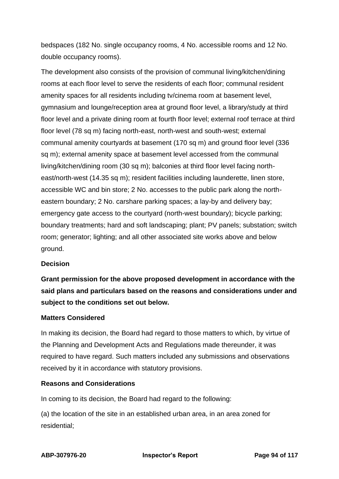bedspaces (182 No. single occupancy rooms, 4 No. accessible rooms and 12 No. double occupancy rooms).

The development also consists of the provision of communal living/kitchen/dining rooms at each floor level to serve the residents of each floor; communal resident amenity spaces for all residents including tv/cinema room at basement level, gymnasium and lounge/reception area at ground floor level, a library/study at third floor level and a private dining room at fourth floor level; external roof terrace at third floor level (78 sq m) facing north-east, north-west and south-west; external communal amenity courtyards at basement (170 sq m) and ground floor level (336 sq m); external amenity space at basement level accessed from the communal living/kitchen/dining room (30 sq m); balconies at third floor level facing northeast/north-west (14.35 sq m); resident facilities including launderette, linen store, accessible WC and bin store; 2 No. accesses to the public park along the northeastern boundary; 2 No. carshare parking spaces; a lay-by and delivery bay; emergency gate access to the courtyard (north-west boundary); bicycle parking; boundary treatments; hard and soft landscaping; plant; PV panels; substation; switch room; generator; lighting; and all other associated site works above and below ground.

#### **Decision**

**Grant permission for the above proposed development in accordance with the said plans and particulars based on the reasons and considerations under and subject to the conditions set out below.**

#### **Matters Considered**

In making its decision, the Board had regard to those matters to which, by virtue of the Planning and Development Acts and Regulations made thereunder, it was required to have regard. Such matters included any submissions and observations received by it in accordance with statutory provisions.

#### **Reasons and Considerations**

In coming to its decision, the Board had regard to the following:

(a) the location of the site in an established urban area, in an area zoned for residential;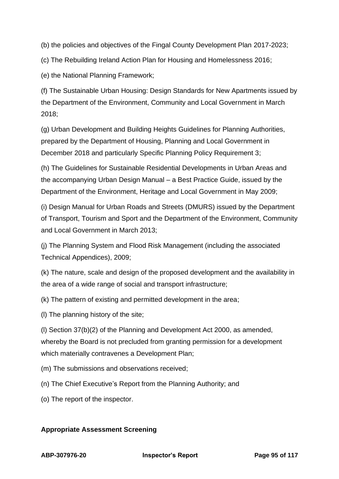(b) the policies and objectives of the Fingal County Development Plan 2017-2023;

(c) The Rebuilding Ireland Action Plan for Housing and Homelessness 2016;

(e) the National Planning Framework;

(f) The Sustainable Urban Housing: Design Standards for New Apartments issued by the Department of the Environment, Community and Local Government in March 2018;

(g) Urban Development and Building Heights Guidelines for Planning Authorities, prepared by the Department of Housing, Planning and Local Government in December 2018 and particularly Specific Planning Policy Requirement 3;

(h) The Guidelines for Sustainable Residential Developments in Urban Areas and the accompanying Urban Design Manual – a Best Practice Guide, issued by the Department of the Environment, Heritage and Local Government in May 2009;

(i) Design Manual for Urban Roads and Streets (DMURS) issued by the Department of Transport, Tourism and Sport and the Department of the Environment, Community and Local Government in March 2013;

(j) The Planning System and Flood Risk Management (including the associated Technical Appendices), 2009;

(k) The nature, scale and design of the proposed development and the availability in the area of a wide range of social and transport infrastructure;

(k) The pattern of existing and permitted development in the area;

(l) The planning history of the site;

(l) Section 37(b)(2) of the Planning and Development Act 2000, as amended, whereby the Board is not precluded from granting permission for a development which materially contravenes a Development Plan;

(m) The submissions and observations received;

(n) The Chief Executive's Report from the Planning Authority; and

(o) The report of the inspector.

# **Appropriate Assessment Screening**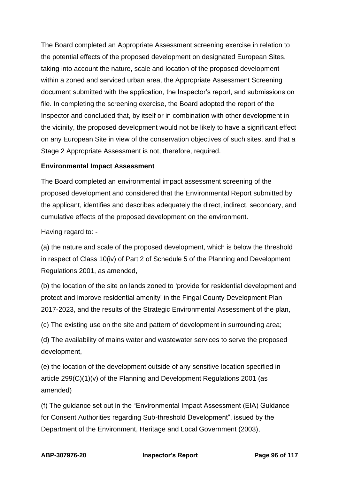The Board completed an Appropriate Assessment screening exercise in relation to the potential effects of the proposed development on designated European Sites, taking into account the nature, scale and location of the proposed development within a zoned and serviced urban area, the Appropriate Assessment Screening document submitted with the application, the Inspector's report, and submissions on file. In completing the screening exercise, the Board adopted the report of the Inspector and concluded that, by itself or in combination with other development in the vicinity, the proposed development would not be likely to have a significant effect on any European Site in view of the conservation objectives of such sites, and that a Stage 2 Appropriate Assessment is not, therefore, required.

#### **Environmental Impact Assessment**

The Board completed an environmental impact assessment screening of the proposed development and considered that the Environmental Report submitted by the applicant, identifies and describes adequately the direct, indirect, secondary, and cumulative effects of the proposed development on the environment.

Having regard to: -

(a) the nature and scale of the proposed development, which is below the threshold in respect of Class 10(iv) of Part 2 of Schedule 5 of the Planning and Development Regulations 2001, as amended,

(b) the location of the site on lands zoned to 'provide for residential development and protect and improve residential amenity' in the Fingal County Development Plan 2017-2023, and the results of the Strategic Environmental Assessment of the plan,

(c) The existing use on the site and pattern of development in surrounding area;

(d) The availability of mains water and wastewater services to serve the proposed development,

(e) the location of the development outside of any sensitive location specified in article 299(C)(1)(v) of the Planning and Development Regulations 2001 (as amended)

(f) The guidance set out in the "Environmental Impact Assessment (EIA) Guidance for Consent Authorities regarding Sub-threshold Development", issued by the Department of the Environment, Heritage and Local Government (2003),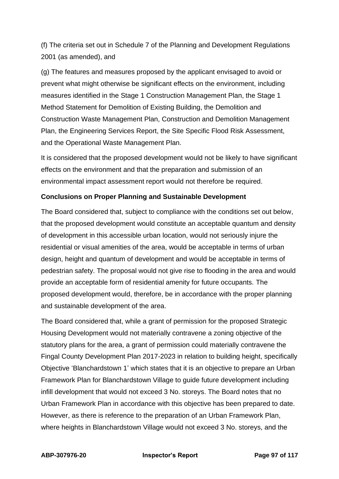(f) The criteria set out in Schedule 7 of the Planning and Development Regulations 2001 (as amended), and

(g) The features and measures proposed by the applicant envisaged to avoid or prevent what might otherwise be significant effects on the environment, including measures identified in the Stage 1 Construction Management Plan, the Stage 1 Method Statement for Demolition of Existing Building, the Demolition and Construction Waste Management Plan, Construction and Demolition Management Plan, the Engineering Services Report, the Site Specific Flood Risk Assessment, and the Operational Waste Management Plan.

It is considered that the proposed development would not be likely to have significant effects on the environment and that the preparation and submission of an environmental impact assessment report would not therefore be required.

# **Conclusions on Proper Planning and Sustainable Development**

The Board considered that, subject to compliance with the conditions set out below, that the proposed development would constitute an acceptable quantum and density of development in this accessible urban location, would not seriously injure the residential or visual amenities of the area, would be acceptable in terms of urban design, height and quantum of development and would be acceptable in terms of pedestrian safety. The proposal would not give rise to flooding in the area and would provide an acceptable form of residential amenity for future occupants. The proposed development would, therefore, be in accordance with the proper planning and sustainable development of the area.

The Board considered that, while a grant of permission for the proposed Strategic Housing Development would not materially contravene a zoning objective of the statutory plans for the area, a grant of permission could materially contravene the Fingal County Development Plan 2017-2023 in relation to building height, specifically Objective 'Blanchardstown 1' which states that it is an objective to prepare an Urban Framework Plan for Blanchardstown Village to guide future development including infill development that would not exceed 3 No. storeys. The Board notes that no Urban Framework Plan in accordance with this objective has been prepared to date. However, as there is reference to the preparation of an Urban Framework Plan, where heights in Blanchardstown Village would not exceed 3 No. storeys, and the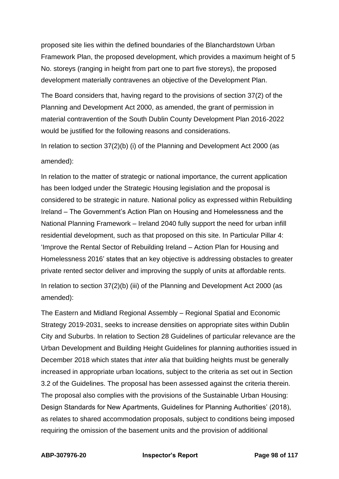proposed site lies within the defined boundaries of the Blanchardstown Urban Framework Plan, the proposed development, which provides a maximum height of 5 No. storeys (ranging in height from part one to part five storeys), the proposed development materially contravenes an objective of the Development Plan.

The Board considers that, having regard to the provisions of section 37(2) of the Planning and Development Act 2000, as amended, the grant of permission in material contravention of the South Dublin County Development Plan 2016-2022 would be justified for the following reasons and considerations.

In relation to section 37(2)(b) (i) of the Planning and Development Act 2000 (as amended):

In relation to the matter of strategic or national importance, the current application has been lodged under the Strategic Housing legislation and the proposal is considered to be strategic in nature. National policy as expressed within Rebuilding Ireland – The Government's Action Plan on Housing and Homelessness and the National Planning Framework – Ireland 2040 fully support the need for urban infill residential development, such as that proposed on this site. In Particular Pillar 4: 'Improve the Rental Sector of Rebuilding Ireland – Action Plan for Housing and Homelessness 2016' states that an key objective is addressing obstacles to greater private rented sector deliver and improving the supply of units at affordable rents.

In relation to section 37(2)(b) (iii) of the Planning and Development Act 2000 (as amended):

The Eastern and Midland Regional Assembly – Regional Spatial and Economic Strategy 2019-2031, seeks to increase densities on appropriate sites within Dublin City and Suburbs. In relation to Section 28 Guidelines of particular relevance are the Urban Development and Building Height Guidelines for planning authorities issued in December 2018 which states that *inter alia* that building heights must be generally increased in appropriate urban locations, subject to the criteria as set out in Section 3.2 of the Guidelines. The proposal has been assessed against the criteria therein. The proposal also complies with the provisions of the Sustainable Urban Housing: Design Standards for New Apartments, Guidelines for Planning Authorities' (2018), as relates to shared accommodation proposals, subject to conditions being imposed requiring the omission of the basement units and the provision of additional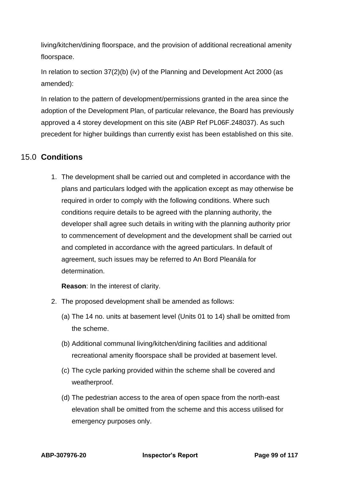living/kitchen/dining floorspace, and the provision of additional recreational amenity floorspace.

In relation to section 37(2)(b) (iv) of the Planning and Development Act 2000 (as amended):

In relation to the pattern of development/permissions granted in the area since the adoption of the Development Plan, of particular relevance, the Board has previously approved a 4 storey development on this site (ABP Ref PL06F.248037). As such precedent for higher buildings than currently exist has been established on this site.

# 15.0 **Conditions**

1. The development shall be carried out and completed in accordance with the plans and particulars lodged with the application except as may otherwise be required in order to comply with the following conditions. Where such conditions require details to be agreed with the planning authority, the developer shall agree such details in writing with the planning authority prior to commencement of development and the development shall be carried out and completed in accordance with the agreed particulars. In default of agreement, such issues may be referred to An Bord Pleanála for determination.

**Reason**: In the interest of clarity.

- 2. The proposed development shall be amended as follows:
	- (a) The 14 no. units at basement level (Units 01 to 14) shall be omitted from the scheme.
	- (b) Additional communal living/kitchen/dining facilities and additional recreational amenity floorspace shall be provided at basement level.
	- (c) The cycle parking provided within the scheme shall be covered and weatherproof.
	- (d) The pedestrian access to the area of open space from the north-east elevation shall be omitted from the scheme and this access utilised for emergency purposes only.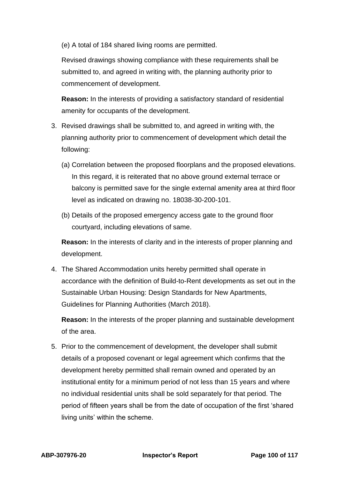(e) A total of 184 shared living rooms are permitted.

Revised drawings showing compliance with these requirements shall be submitted to, and agreed in writing with, the planning authority prior to commencement of development.

**Reason:** In the interests of providing a satisfactory standard of residential amenity for occupants of the development.

- 3. Revised drawings shall be submitted to, and agreed in writing with, the planning authority prior to commencement of development which detail the following:
	- (a) Correlation between the proposed floorplans and the proposed elevations. In this regard, it is reiterated that no above ground external terrace or balcony is permitted save for the single external amenity area at third floor level as indicated on drawing no. 18038-30-200-101.
	- (b) Details of the proposed emergency access gate to the ground floor courtyard, including elevations of same.

**Reason:** In the interests of clarity and in the interests of proper planning and development.

4. The Shared Accommodation units hereby permitted shall operate in accordance with the definition of Build-to-Rent developments as set out in the Sustainable Urban Housing: Design Standards for New Apartments, Guidelines for Planning Authorities (March 2018).

**Reason:** In the interests of the proper planning and sustainable development of the area.

5. Prior to the commencement of development, the developer shall submit details of a proposed covenant or legal agreement which confirms that the development hereby permitted shall remain owned and operated by an institutional entity for a minimum period of not less than 15 years and where no individual residential units shall be sold separately for that period. The period of fifteen years shall be from the date of occupation of the first 'shared living units' within the scheme.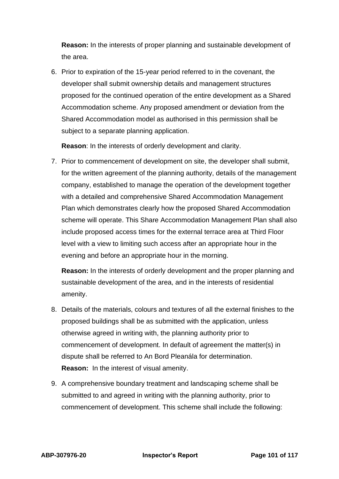**Reason:** In the interests of proper planning and sustainable development of the area.

6. Prior to expiration of the 15-year period referred to in the covenant, the developer shall submit ownership details and management structures proposed for the continued operation of the entire development as a Shared Accommodation scheme. Any proposed amendment or deviation from the Shared Accommodation model as authorised in this permission shall be subject to a separate planning application.

**Reason**: In the interests of orderly development and clarity.

7. Prior to commencement of development on site, the developer shall submit, for the written agreement of the planning authority, details of the management company, established to manage the operation of the development together with a detailed and comprehensive Shared Accommodation Management Plan which demonstrates clearly how the proposed Shared Accommodation scheme will operate. This Share Accommodation Management Plan shall also include proposed access times for the external terrace area at Third Floor level with a view to limiting such access after an appropriate hour in the evening and before an appropriate hour in the morning.

**Reason:** In the interests of orderly development and the proper planning and sustainable development of the area, and in the interests of residential amenity.

- 8. Details of the materials, colours and textures of all the external finishes to the proposed buildings shall be as submitted with the application, unless otherwise agreed in writing with, the planning authority prior to commencement of development. In default of agreement the matter(s) in dispute shall be referred to An Bord Pleanála for determination. **Reason:** In the interest of visual amenity.
- 9. A comprehensive boundary treatment and landscaping scheme shall be submitted to and agreed in writing with the planning authority, prior to commencement of development. This scheme shall include the following: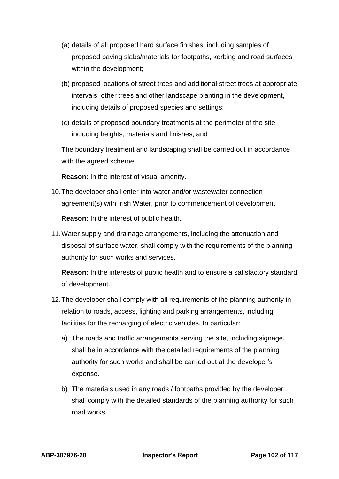- (a) details of all proposed hard surface finishes, including samples of proposed paving slabs/materials for footpaths, kerbing and road surfaces within the development;
- (b) proposed locations of street trees and additional street trees at appropriate intervals, other trees and other landscape planting in the development, including details of proposed species and settings;
- (c) details of proposed boundary treatments at the perimeter of the site, including heights, materials and finishes, and

The boundary treatment and landscaping shall be carried out in accordance with the agreed scheme.

**Reason:** In the interest of visual amenity.

10.The developer shall enter into water and/or wastewater connection agreement(s) with Irish Water, prior to commencement of development.

**Reason:** In the interest of public health.

11.Water supply and drainage arrangements, including the attenuation and disposal of surface water, shall comply with the requirements of the planning authority for such works and services.

**Reason:** In the interests of public health and to ensure a satisfactory standard of development.

- 12.The developer shall comply with all requirements of the planning authority in relation to roads, access, lighting and parking arrangements, including facilities for the recharging of electric vehicles. In particular:
	- a) The roads and traffic arrangements serving the site, including signage, shall be in accordance with the detailed requirements of the planning authority for such works and shall be carried out at the developer's expense.
	- b) The materials used in any roads / footpaths provided by the developer shall comply with the detailed standards of the planning authority for such road works.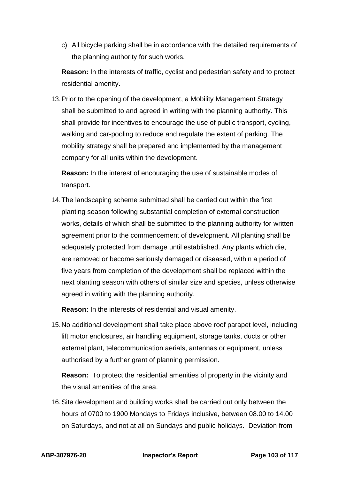c) All bicycle parking shall be in accordance with the detailed requirements of the planning authority for such works.

**Reason:** In the interests of traffic, cyclist and pedestrian safety and to protect residential amenity.

13.Prior to the opening of the development, a Mobility Management Strategy shall be submitted to and agreed in writing with the planning authority. This shall provide for incentives to encourage the use of public transport, cycling, walking and car-pooling to reduce and regulate the extent of parking. The mobility strategy shall be prepared and implemented by the management company for all units within the development.

**Reason:** In the interest of encouraging the use of sustainable modes of transport.

14.The landscaping scheme submitted shall be carried out within the first planting season following substantial completion of external construction works, details of which shall be submitted to the planning authority for written agreement prior to the commencement of development. All planting shall be adequately protected from damage until established. Any plants which die, are removed or become seriously damaged or diseased, within a period of five years from completion of the development shall be replaced within the next planting season with others of similar size and species, unless otherwise agreed in writing with the planning authority.

**Reason:** In the interests of residential and visual amenity.

15.No additional development shall take place above roof parapet level, including lift motor enclosures, air handling equipment, storage tanks, ducts or other external plant, telecommunication aerials, antennas or equipment, unless authorised by a further grant of planning permission.

**Reason:** To protect the residential amenities of property in the vicinity and the visual amenities of the area.

16.Site development and building works shall be carried out only between the hours of 0700 to 1900 Mondays to Fridays inclusive, between 08.00 to 14.00 on Saturdays, and not at all on Sundays and public holidays. Deviation from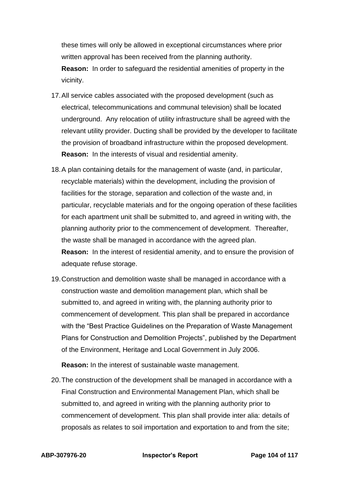these times will only be allowed in exceptional circumstances where prior written approval has been received from the planning authority. **Reason:** In order to safeguard the residential amenities of property in the vicinity.

- 17.All service cables associated with the proposed development (such as electrical, telecommunications and communal television) shall be located underground. Any relocation of utility infrastructure shall be agreed with the relevant utility provider. Ducting shall be provided by the developer to facilitate the provision of broadband infrastructure within the proposed development. **Reason:** In the interests of visual and residential amenity.
- 18.A plan containing details for the management of waste (and, in particular, recyclable materials) within the development, including the provision of facilities for the storage, separation and collection of the waste and, in particular, recyclable materials and for the ongoing operation of these facilities for each apartment unit shall be submitted to, and agreed in writing with, the planning authority prior to the commencement of development. Thereafter, the waste shall be managed in accordance with the agreed plan. **Reason:** In the interest of residential amenity, and to ensure the provision of adequate refuse storage.
- 19.Construction and demolition waste shall be managed in accordance with a construction waste and demolition management plan, which shall be submitted to, and agreed in writing with, the planning authority prior to commencement of development. This plan shall be prepared in accordance with the "Best Practice Guidelines on the Preparation of Waste Management Plans for Construction and Demolition Projects", published by the Department of the Environment, Heritage and Local Government in July 2006.

**Reason:** In the interest of sustainable waste management.

20.The construction of the development shall be managed in accordance with a Final Construction and Environmental Management Plan, which shall be submitted to, and agreed in writing with the planning authority prior to commencement of development. This plan shall provide inter alia: details of proposals as relates to soil importation and exportation to and from the site;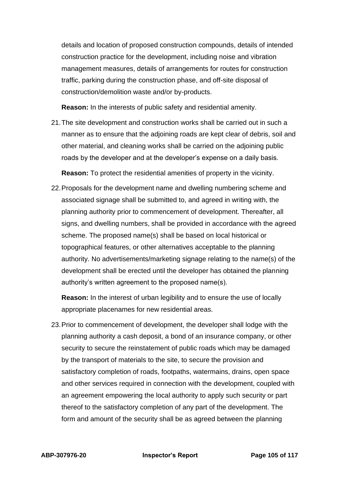details and location of proposed construction compounds, details of intended construction practice for the development, including noise and vibration management measures, details of arrangements for routes for construction traffic, parking during the construction phase, and off-site disposal of construction/demolition waste and/or by-products.

**Reason:** In the interests of public safety and residential amenity.

21.The site development and construction works shall be carried out in such a manner as to ensure that the adjoining roads are kept clear of debris, soil and other material, and cleaning works shall be carried on the adjoining public roads by the developer and at the developer's expense on a daily basis.

**Reason:** To protect the residential amenities of property in the vicinity.

22.Proposals for the development name and dwelling numbering scheme and associated signage shall be submitted to, and agreed in writing with, the planning authority prior to commencement of development. Thereafter, all signs, and dwelling numbers, shall be provided in accordance with the agreed scheme. The proposed name(s) shall be based on local historical or topographical features, or other alternatives acceptable to the planning authority. No advertisements/marketing signage relating to the name(s) of the development shall be erected until the developer has obtained the planning authority's written agreement to the proposed name(s).

**Reason:** In the interest of urban legibility and to ensure the use of locally appropriate placenames for new residential areas.

23.Prior to commencement of development, the developer shall lodge with the planning authority a cash deposit, a bond of an insurance company, or other security to secure the reinstatement of public roads which may be damaged by the transport of materials to the site, to secure the provision and satisfactory completion of roads, footpaths, watermains, drains, open space and other services required in connection with the development, coupled with an agreement empowering the local authority to apply such security or part thereof to the satisfactory completion of any part of the development. The form and amount of the security shall be as agreed between the planning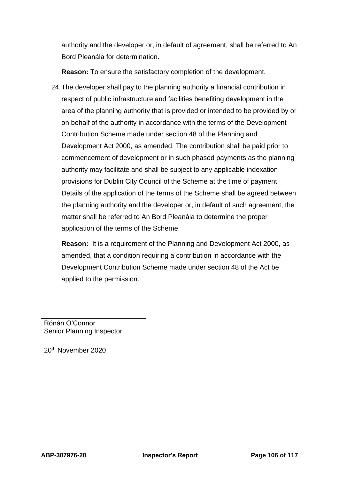authority and the developer or, in default of agreement, shall be referred to An Bord Pleanála for determination.

**Reason:** To ensure the satisfactory completion of the development.

24.The developer shall pay to the planning authority a financial contribution in respect of public infrastructure and facilities benefiting development in the area of the planning authority that is provided or intended to be provided by or on behalf of the authority in accordance with the terms of the Development Contribution Scheme made under section 48 of the Planning and Development Act 2000, as amended. The contribution shall be paid prior to commencement of development or in such phased payments as the planning authority may facilitate and shall be subject to any applicable indexation provisions for Dublin City Council of the Scheme at the time of payment. Details of the application of the terms of the Scheme shall be agreed between the planning authority and the developer or, in default of such agreement, the matter shall be referred to An Bord Pleanála to determine the proper application of the terms of the Scheme.

**Reason:** It is a requirement of the Planning and Development Act 2000, as amended, that a condition requiring a contribution in accordance with the Development Contribution Scheme made under section 48 of the Act be applied to the permission.

Rónán O'Connor Senior Planning Inspector

20th November 2020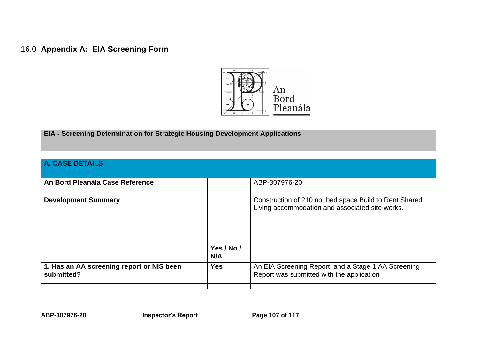# 16.0 **Appendix A: EIA Screening Form**



**EIA - Screening Determination for Strategic Housing Development Applications**

| <b>A. CASE DETAILS</b>                                  |                   |                                                                                                           |  |  |  |  |
|---------------------------------------------------------|-------------------|-----------------------------------------------------------------------------------------------------------|--|--|--|--|
| An Bord Pleanála Case Reference                         |                   | ABP-307976-20                                                                                             |  |  |  |  |
| <b>Development Summary</b>                              |                   | Construction of 210 no. bed space Build to Rent Shared<br>Living accommodation and associated site works. |  |  |  |  |
|                                                         | Yes / No /<br>N/A |                                                                                                           |  |  |  |  |
| 1. Has an AA screening report or NIS been<br>submitted? | <b>Yes</b>        | An EIA Screening Report and a Stage 1 AA Screening<br>Report was submitted with the application           |  |  |  |  |
|                                                         |                   |                                                                                                           |  |  |  |  |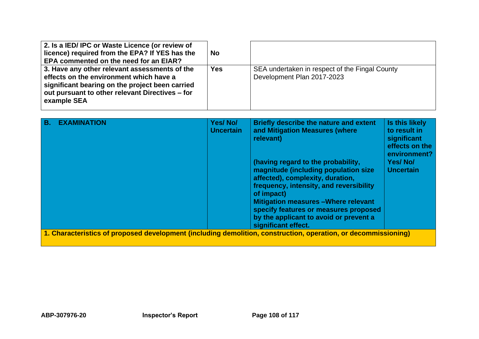| 2. Is a IED/IPC or Waste Licence (or review of<br>licence) required from the EPA? If YES has the<br><b>EPA commented on the need for an EIAR?</b>                                                             | <b>No</b>  |                                                                              |
|---------------------------------------------------------------------------------------------------------------------------------------------------------------------------------------------------------------|------------|------------------------------------------------------------------------------|
| 3. Have any other relevant assessments of the<br>effects on the environment which have a<br>significant bearing on the project been carried<br>out pursuant to other relevant Directives – for<br>example SEA | <b>Yes</b> | SEA undertaken in respect of the Fingal County<br>Development Plan 2017-2023 |

| <b>B.</b>                                                                                                              | <b>EXAMINATION</b> | Yes/No/<br><b>Uncertain</b> | Briefly describe the nature and extent<br>and Mitigation Measures (where<br>relevant)                                                                                                                                                                                                                                            | Is this likely<br>to result in<br>significant<br>effects on the<br>environment? |  |
|------------------------------------------------------------------------------------------------------------------------|--------------------|-----------------------------|----------------------------------------------------------------------------------------------------------------------------------------------------------------------------------------------------------------------------------------------------------------------------------------------------------------------------------|---------------------------------------------------------------------------------|--|
|                                                                                                                        |                    |                             | (having regard to the probability,<br>magnitude (including population size<br>affected), complexity, duration,<br>frequency, intensity, and reversibility<br>of impact)<br><b>Mitigation measures - Where relevant</b><br>specify features or measures proposed<br>by the applicant to avoid or prevent a<br>significant effect. | <b>Yes/No/</b><br><b>Uncertain</b>                                              |  |
| $\vert$ 1. Characteristics of proposed development (including demolition, construction, operation, or decommissioning) |                    |                             |                                                                                                                                                                                                                                                                                                                                  |                                                                                 |  |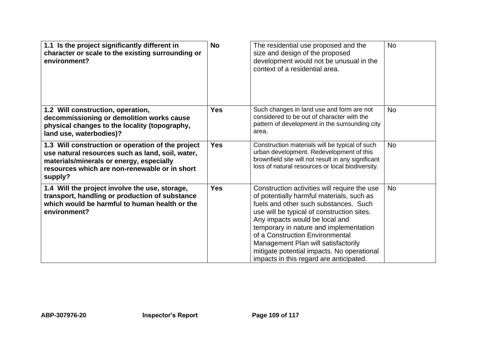| 1.1 Is the project significantly different in<br>character or scale to the existing surrounding or<br>environment?                                                                                            | <b>No</b>  | The residential use proposed and the<br>size and design of the proposed<br>development would not be unusual in the<br>context of a residential area.                                                                                                                                                                                                                                                                            | <b>No</b> |
|---------------------------------------------------------------------------------------------------------------------------------------------------------------------------------------------------------------|------------|---------------------------------------------------------------------------------------------------------------------------------------------------------------------------------------------------------------------------------------------------------------------------------------------------------------------------------------------------------------------------------------------------------------------------------|-----------|
| 1.2 Will construction, operation,<br>decommissioning or demolition works cause<br>physical changes to the locality (topography,<br>land use, waterbodies)?                                                    | <b>Yes</b> | Such changes in land use and form are not<br>considered to be out of character with the<br>pattern of development in the surrounding city<br>area.                                                                                                                                                                                                                                                                              | <b>No</b> |
| 1.3 Will construction or operation of the project<br>use natural resources such as land, soil, water,<br>materials/minerals or energy, especially<br>resources which are non-renewable or in short<br>supply? | <b>Yes</b> | Construction materials will be typical of such<br>urban development. Redevelopment of this<br>brownfield site will not result in any significant<br>loss of natural resources or local biodiversity.                                                                                                                                                                                                                            | <b>No</b> |
| 1.4 Will the project involve the use, storage,<br>transport, handling or production of substance<br>which would be harmful to human health or the<br>environment?                                             | <b>Yes</b> | Construction activities will require the use<br>of potentially harmful materials, such as<br>fuels and other such substances. Such<br>use will be typical of construction sites.<br>Any impacts would be local and<br>temporary in nature and implementation<br>of a Construction Environmental<br>Management Plan will satisfactorily<br>mitigate potential impacts. No operational<br>impacts in this regard are anticipated. | <b>No</b> |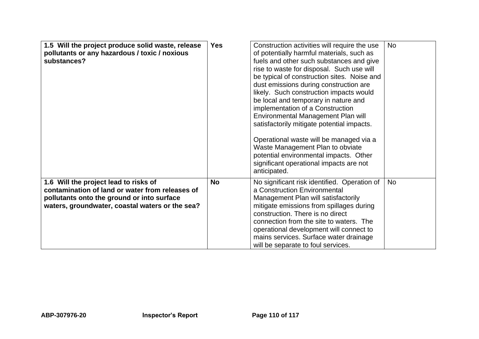| 1.5 Will the project produce solid waste, release<br>pollutants or any hazardous / toxic / noxious<br>substances?                                                                         | <b>Yes</b> | Construction activities will require the use<br>of potentially harmful materials, such as<br>fuels and other such substances and give<br>rise to waste for disposal. Such use will<br>be typical of construction sites. Noise and<br>dust emissions during construction are<br>likely. Such construction impacts would<br>be local and temporary in nature and<br>implementation of a Construction<br>Environmental Management Plan will<br>satisfactorily mitigate potential impacts.<br>Operational waste will be managed via a | <b>No</b> |
|-------------------------------------------------------------------------------------------------------------------------------------------------------------------------------------------|------------|-----------------------------------------------------------------------------------------------------------------------------------------------------------------------------------------------------------------------------------------------------------------------------------------------------------------------------------------------------------------------------------------------------------------------------------------------------------------------------------------------------------------------------------|-----------|
|                                                                                                                                                                                           |            | Waste Management Plan to obviate<br>potential environmental impacts. Other<br>significant operational impacts are not<br>anticipated.                                                                                                                                                                                                                                                                                                                                                                                             |           |
| 1.6 Will the project lead to risks of<br>contamination of land or water from releases of<br>pollutants onto the ground or into surface<br>waters, groundwater, coastal waters or the sea? | <b>No</b>  | No significant risk identified. Operation of<br>a Construction Environmental<br>Management Plan will satisfactorily<br>mitigate emissions from spillages during<br>construction. There is no direct<br>connection from the site to waters. The<br>operational development will connect to<br>mains services. Surface water drainage<br>will be separate to foul services.                                                                                                                                                         | <b>No</b> |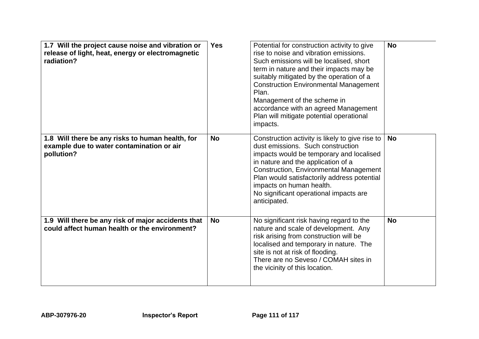| 1.7 Will the project cause noise and vibration or<br>release of light, heat, energy or electromagnetic<br>radiation? | <b>Yes</b> | Potential for construction activity to give<br>rise to noise and vibration emissions.<br>Such emissions will be localised, short<br>term in nature and their impacts may be<br>suitably mitigated by the operation of a<br><b>Construction Environmental Management</b><br>Plan.<br>Management of the scheme in<br>accordance with an agreed Management<br>Plan will mitigate potential operational<br>impacts. | <b>No</b> |
|----------------------------------------------------------------------------------------------------------------------|------------|-----------------------------------------------------------------------------------------------------------------------------------------------------------------------------------------------------------------------------------------------------------------------------------------------------------------------------------------------------------------------------------------------------------------|-----------|
| 1.8 Will there be any risks to human health, for<br>example due to water contamination or air<br>pollution?          | <b>No</b>  | Construction activity is likely to give rise to<br>dust emissions. Such construction<br>impacts would be temporary and localised<br>in nature and the application of a<br><b>Construction, Environmental Management</b><br>Plan would satisfactorily address potential<br>impacts on human health.<br>No significant operational impacts are<br>anticipated.                                                    | <b>No</b> |
| 1.9 Will there be any risk of major accidents that<br>could affect human health or the environment?                  | <b>No</b>  | No significant risk having regard to the<br>nature and scale of development. Any<br>risk arising from construction will be<br>localised and temporary in nature. The<br>site is not at risk of flooding.<br>There are no Seveso / COMAH sites in<br>the vicinity of this location.                                                                                                                              | <b>No</b> |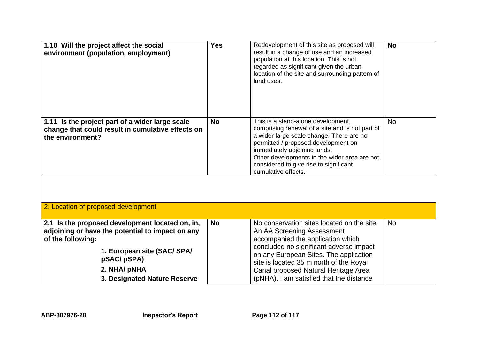| 1.10 Will the project affect the social<br>environment (population, employment)                                                                         | <b>Yes</b> | Redevelopment of this site as proposed will<br>result in a change of use and an increased<br>population at this location. This is not<br>regarded as significant given the urban<br>location of the site and surrounding pattern of<br>land uses.                                                                         | <b>No</b> |
|---------------------------------------------------------------------------------------------------------------------------------------------------------|------------|---------------------------------------------------------------------------------------------------------------------------------------------------------------------------------------------------------------------------------------------------------------------------------------------------------------------------|-----------|
| 1.11 Is the project part of a wider large scale<br>change that could result in cumulative effects on<br>the environment?                                | <b>No</b>  | This is a stand-alone development,<br>comprising renewal of a site and is not part of<br>a wider large scale change. There are no<br>permitted / proposed development on<br>immediately adjoining lands.<br>Other developments in the wider area are not<br>considered to give rise to significant<br>cumulative effects. | <b>No</b> |
| 2. Location of proposed development                                                                                                                     |            |                                                                                                                                                                                                                                                                                                                           |           |
|                                                                                                                                                         |            |                                                                                                                                                                                                                                                                                                                           |           |
| 2.1 Is the proposed development located on, in,<br>adjoining or have the potential to impact on any<br>of the following:<br>1. European site (SAC/ SPA/ | <b>No</b>  | No conservation sites located on the site.<br>An AA Screening Assessment<br>accompanied the application which<br>concluded no significant adverse impact<br>on any European Sites. The application                                                                                                                        | <b>No</b> |
| pSAC/pSPA)<br>2. NHA/ pNHA<br>3. Designated Nature Reserve                                                                                              |            | site is located 35 m north of the Royal<br>Canal proposed Natural Heritage Area<br>(pNHA). I am satisfied that the distance                                                                                                                                                                                               |           |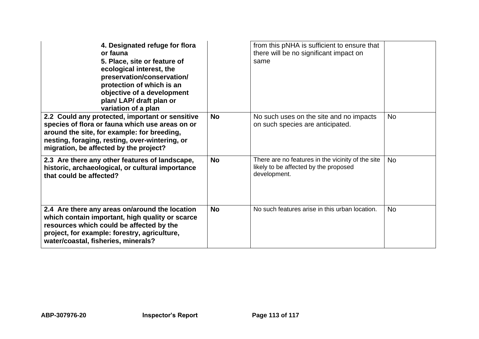| 4. Designated refuge for flora<br>or fauna<br>5. Place, site or feature of<br>ecological interest, the<br>preservation/conservation/<br>protection of which is an<br>objective of a development<br>plan/LAP/ draft plan or<br>variation of a plan |           | from this pNHA is sufficient to ensure that<br>there will be no significant impact on<br>same              |           |
|---------------------------------------------------------------------------------------------------------------------------------------------------------------------------------------------------------------------------------------------------|-----------|------------------------------------------------------------------------------------------------------------|-----------|
| 2.2 Could any protected, important or sensitive<br>species of flora or fauna which use areas on or<br>around the site, for example: for breeding,<br>nesting, foraging, resting, over-wintering, or<br>migration, be affected by the project?     | <b>No</b> | No such uses on the site and no impacts<br>on such species are anticipated.                                | <b>No</b> |
| 2.3 Are there any other features of landscape,<br>historic, archaeological, or cultural importance<br>that could be affected?                                                                                                                     | <b>No</b> | There are no features in the vicinity of the site<br>likely to be affected by the proposed<br>development. | <b>No</b> |
| 2.4 Are there any areas on/around the location<br>which contain important, high quality or scarce<br>resources which could be affected by the<br>project, for example: forestry, agriculture,<br>water/coastal, fisheries, minerals?              | <b>No</b> | No such features arise in this urban location.                                                             | <b>No</b> |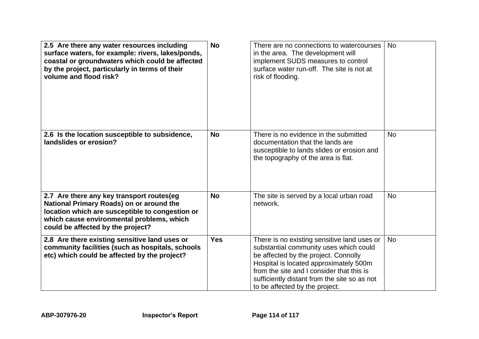| 2.5 Are there any water resources including<br>surface waters, for example: rivers, lakes/ponds,<br>coastal or groundwaters which could be affected<br>by the project, particularly in terms of their<br>volume and flood risk? | <b>No</b>  | There are no connections to watercourses<br>in the area. The development will<br>implement SUDS measures to control<br>surface water run-off. The site is not at<br>risk of flooding.                                                                                                                  | <b>No</b> |
|---------------------------------------------------------------------------------------------------------------------------------------------------------------------------------------------------------------------------------|------------|--------------------------------------------------------------------------------------------------------------------------------------------------------------------------------------------------------------------------------------------------------------------------------------------------------|-----------|
| 2.6 Is the location susceptible to subsidence,<br>landslides or erosion?                                                                                                                                                        | <b>No</b>  | There is no evidence in the submitted<br>documentation that the lands are<br>susceptible to lands slides or erosion and<br>the topography of the area is flat.                                                                                                                                         | <b>No</b> |
| 2.7 Are there any key transport routes(eg<br>National Primary Roads) on or around the<br>location which are susceptible to congestion or<br>which cause environmental problems, which<br>could be affected by the project?      | <b>No</b>  | The site is served by a local urban road<br>network.                                                                                                                                                                                                                                                   | <b>No</b> |
| 2.8 Are there existing sensitive land uses or<br>community facilities (such as hospitals, schools<br>etc) which could be affected by the project?                                                                               | <b>Yes</b> | There is no existing sensitive land uses or<br>substantial community uses which could<br>be affected by the project. Connolly<br>Hospital is located approximately 500m<br>from the site and I consider that this is<br>sufficiently distant from the site so as not<br>to be affected by the project. | <b>No</b> |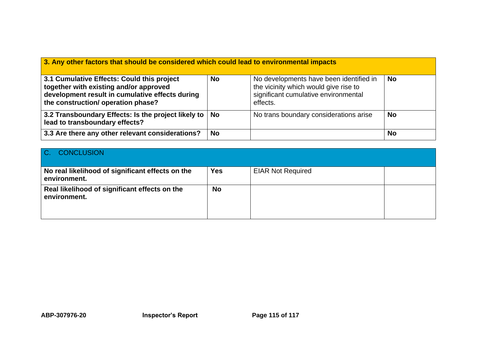| 3. Any other factors that should be considered which could lead to environmental impacts                                                                                      |           |                                                                                                                                      |           |  |
|-------------------------------------------------------------------------------------------------------------------------------------------------------------------------------|-----------|--------------------------------------------------------------------------------------------------------------------------------------|-----------|--|
| 3.1 Cumulative Effects: Could this project<br>together with existing and/or approved<br>development result in cumulative effects during<br>the construction/ operation phase? | <b>No</b> | No developments have been identified in<br>the vicinity which would give rise to<br>significant cumulative environmental<br>effects. | <b>No</b> |  |
| 3.2 Transboundary Effects: Is the project likely to   No<br>lead to transboundary effects?                                                                                    |           | No trans boundary considerations arise                                                                                               | <b>No</b> |  |
| 3.3 Are there any other relevant considerations?                                                                                                                              | <b>No</b> |                                                                                                                                      | <b>No</b> |  |

| C. CONCLUSION                                                    |            |                          |  |
|------------------------------------------------------------------|------------|--------------------------|--|
| No real likelihood of significant effects on the<br>environment. | <b>Yes</b> | <b>EIAR Not Required</b> |  |
| Real likelihood of significant effects on the<br>environment.    | <b>No</b>  |                          |  |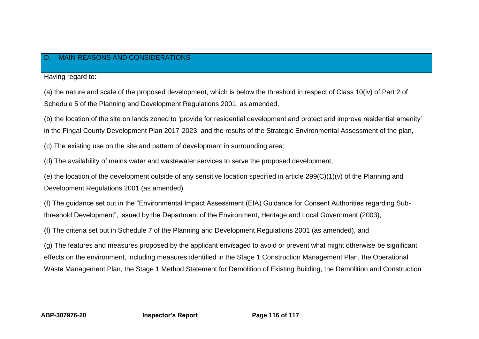## D. MAIN REASONS AND CONSIDERATIONS

Having regard to: -

(a) the nature and scale of the proposed development, which is below the threshold in respect of Class 10(iv) of Part 2 of Schedule 5 of the Planning and Development Regulations 2001, as amended,

(b) the location of the site on lands zoned to 'provide for residential development and protect and improve residential amenity' in the Fingal County Development Plan 2017-2023, and the results of the Strategic Environmental Assessment of the plan,

(c) The existing use on the site and pattern of development in surrounding area;

(d) The availability of mains water and wastewater services to serve the proposed development,

(e) the location of the development outside of any sensitive location specified in article 299(C)(1)(v) of the Planning and Development Regulations 2001 (as amended)

(f) The guidance set out in the "Environmental Impact Assessment (EIA) Guidance for Consent Authorities regarding Subthreshold Development", issued by the Department of the Environment, Heritage and Local Government (2003),

(f) The criteria set out in Schedule 7 of the Planning and Development Regulations 2001 (as amended), and

(g) The features and measures proposed by the applicant envisaged to avoid or prevent what might otherwise be significant effects on the environment, including measures identified in the Stage 1 Construction Management Plan, the Operational Waste Management Plan, the Stage 1 Method Statement for Demolition of Existing Building, the Demolition and Construction